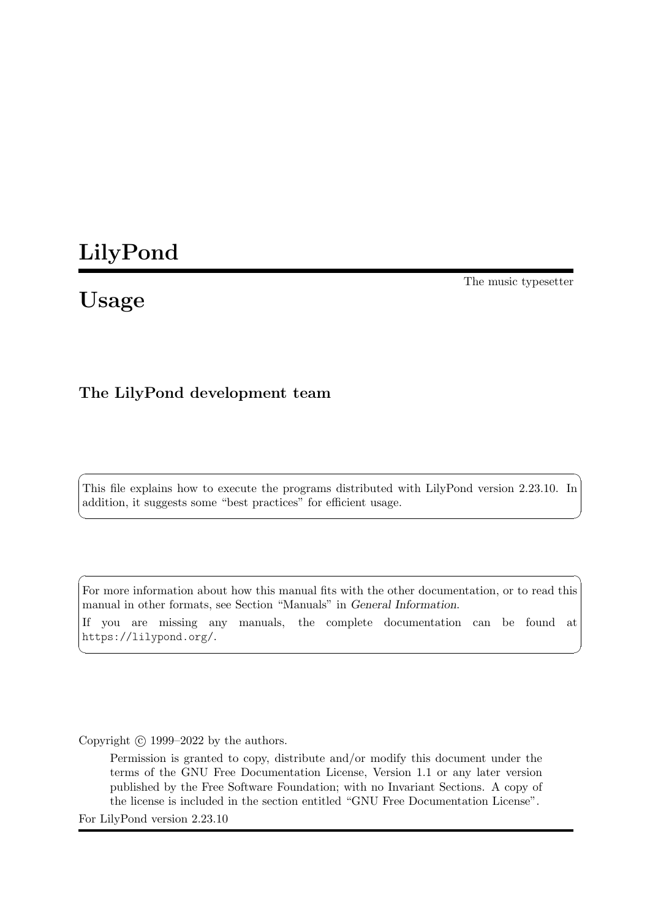# LilyPond

# Usage

The music typesetter

# The LilyPond development team

This file explains how to execute the programs distributed with LilyPond version 2.23.10. In addition, it suggests some "best practices" for efficient usage.

 $\sqrt{2\pi}$ 

✡ ✠

 $\sqrt{2\pi}$ 

For more information about how this manual fits with the other documentation, or to read this manual in other formats, see Section "Manuals" in General Information. If you are missing any manuals, the complete documentation can be found at <https://lilypond.org/>.

 $\overline{\phantom{a}}$   $\overline{\phantom{a}}$   $\overline{\phantom{a}}$   $\overline{\phantom{a}}$   $\overline{\phantom{a}}$   $\overline{\phantom{a}}$   $\overline{\phantom{a}}$   $\overline{\phantom{a}}$   $\overline{\phantom{a}}$   $\overline{\phantom{a}}$   $\overline{\phantom{a}}$   $\overline{\phantom{a}}$   $\overline{\phantom{a}}$   $\overline{\phantom{a}}$   $\overline{\phantom{a}}$   $\overline{\phantom{a}}$   $\overline{\phantom{a}}$   $\overline{\phantom{a}}$   $\overline{\$ 

Copyright © 1999–2022 by the authors.

Permission is granted to copy, distribute and/or modify this document under the terms of the GNU Free Documentation License, Version 1.1 or any later version published by the Free Software Foundation; with no Invariant Sections. A copy of the license is included in the section entitled "GNU Free Documentation License".

For LilyPond version 2.23.10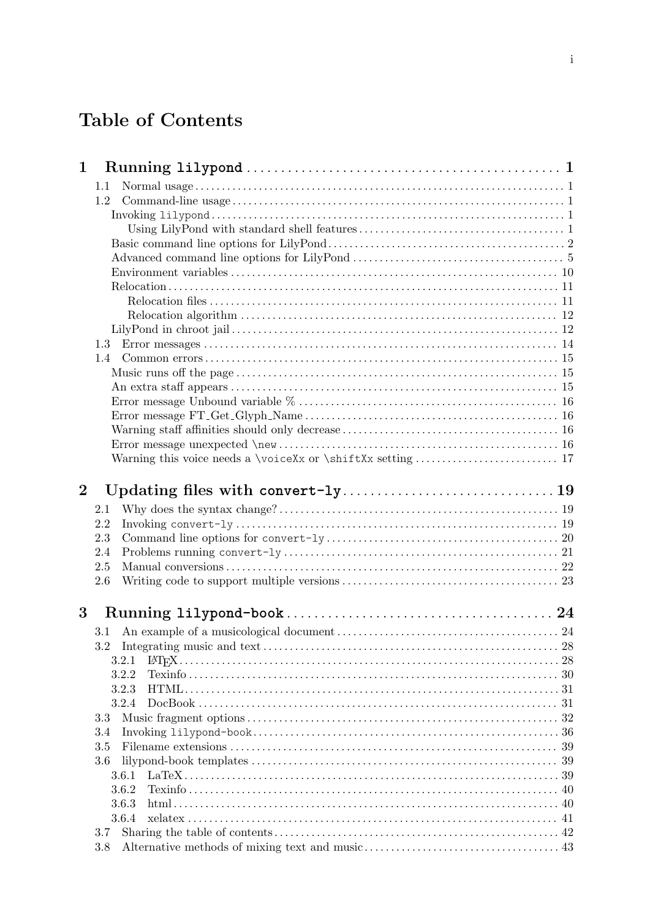# Table of Contents

| $\mathbf 1$ |            |  |  |  |  |
|-------------|------------|--|--|--|--|
|             | $1.1\,$    |  |  |  |  |
|             | 1.2        |  |  |  |  |
|             |            |  |  |  |  |
|             |            |  |  |  |  |
|             |            |  |  |  |  |
|             |            |  |  |  |  |
|             |            |  |  |  |  |
|             |            |  |  |  |  |
|             |            |  |  |  |  |
|             |            |  |  |  |  |
|             |            |  |  |  |  |
|             | 1.3        |  |  |  |  |
|             | 1.4        |  |  |  |  |
|             |            |  |  |  |  |
|             |            |  |  |  |  |
|             |            |  |  |  |  |
|             |            |  |  |  |  |
|             |            |  |  |  |  |
|             |            |  |  |  |  |
|             |            |  |  |  |  |
| $\bf{2}$    |            |  |  |  |  |
|             | 2.1        |  |  |  |  |
|             | 2.2        |  |  |  |  |
|             | 2.3        |  |  |  |  |
|             | 2.4        |  |  |  |  |
|             | 2.5        |  |  |  |  |
|             | 2.6        |  |  |  |  |
| $\bf{3}$    |            |  |  |  |  |
|             |            |  |  |  |  |
|             | $3.1\,$    |  |  |  |  |
|             | 3.2        |  |  |  |  |
|             | 3.2.1      |  |  |  |  |
|             |            |  |  |  |  |
|             | 3.2.2      |  |  |  |  |
|             | 3.2.3      |  |  |  |  |
|             | 3.2.4      |  |  |  |  |
|             | 3.3        |  |  |  |  |
|             | 3.4        |  |  |  |  |
|             | 3.5        |  |  |  |  |
|             | 3.6        |  |  |  |  |
|             | 3.6.1      |  |  |  |  |
|             | 3.6.2      |  |  |  |  |
|             | 3.6.3      |  |  |  |  |
|             | 3.6.4      |  |  |  |  |
|             | 3.7<br>3.8 |  |  |  |  |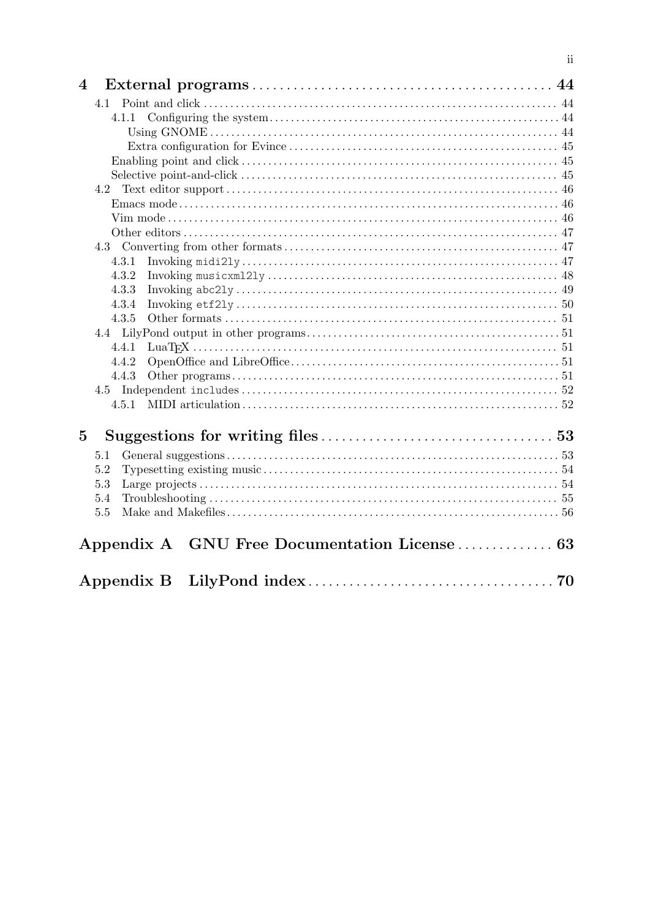| $\overline{4}$ |                                               |  |
|----------------|-----------------------------------------------|--|
|                |                                               |  |
|                | 4.1.1                                         |  |
|                |                                               |  |
|                |                                               |  |
|                |                                               |  |
|                |                                               |  |
|                |                                               |  |
|                |                                               |  |
|                |                                               |  |
|                |                                               |  |
|                |                                               |  |
|                | 4.3.1                                         |  |
|                | 4.3.2                                         |  |
|                | 4.3.3                                         |  |
|                | 4.3.4                                         |  |
|                | 4.3.5                                         |  |
|                |                                               |  |
|                | 4.4.1                                         |  |
|                | 4.4.2                                         |  |
|                | 4.4.3                                         |  |
|                |                                               |  |
|                |                                               |  |
| $\bf{5}$       |                                               |  |
|                | 5.1                                           |  |
|                | 5.2                                           |  |
|                | 5.3                                           |  |
|                | 5.4                                           |  |
|                | 5.5                                           |  |
|                | Appendix A GNU Free Documentation License  63 |  |
|                |                                               |  |

 $\ddot{\text{ii}}$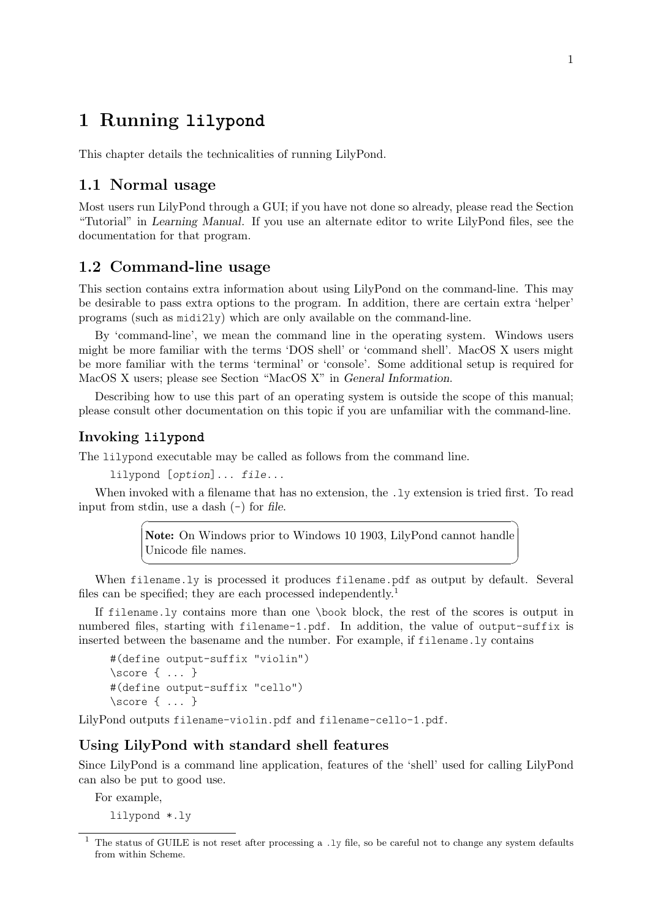# <span id="page-3-0"></span>1 Running **lilypond**

This chapter details the technicalities of running LilyPond.

# 1.1 Normal usage

Most users run LilyPond through a GUI; if you have not done so already, please read the Section "Tutorial" in Learning Manual. If you use an alternate editor to write LilyPond files, see the documentation for that program.

# <span id="page-3-1"></span>1.2 Command-line usage

This section contains extra information about using LilyPond on the command-line. This may be desirable to pass extra options to the program. In addition, there are certain extra 'helper' programs (such as midi2ly) which are only available on the command-line.

By 'command-line', we mean the command line in the operating system. Windows users might be more familiar with the terms 'DOS shell' or 'command shell'. MacOS X users might be more familiar with the terms 'terminal' or 'console'. Some additional setup is required for MacOS X users; please see Section "MacOS X" in General Information.

Describing how to use this part of an operating system is outside the scope of this manual; please consult other documentation on this topic if you are unfamiliar with the command-line.

## Invoking **lilypond**

The lilypond executable may be called as follows from the command line.

lilypond [option]... file...

When invoked with a filename that has no extension, the .ly extension is tried first. To read input from stdin, use a dash  $(-)$  for file.

> Note: On Windows prior to Windows 10 1903, LilyPond cannot handle Unicode file names.

 $\sqrt{a^2 + a^2 + a^2 + a^2 + a^2}$ 

 $\overline{\phantom{a}}$   $\overline{\phantom{a}}$   $\overline{\phantom{a}}$   $\overline{\phantom{a}}$   $\overline{\phantom{a}}$   $\overline{\phantom{a}}$   $\overline{\phantom{a}}$   $\overline{\phantom{a}}$   $\overline{\phantom{a}}$   $\overline{\phantom{a}}$   $\overline{\phantom{a}}$   $\overline{\phantom{a}}$   $\overline{\phantom{a}}$   $\overline{\phantom{a}}$   $\overline{\phantom{a}}$   $\overline{\phantom{a}}$   $\overline{\phantom{a}}$   $\overline{\phantom{a}}$   $\overline{\$ 

When filename.ly is processed it produces filename.pdf as output by default. Several files can be specified; they are each processed independently.<sup>1</sup>

If filename.ly contains more than one \book block, the rest of the scores is output in numbered files, starting with filename-1.pdf. In addition, the value of output-suffix is inserted between the basename and the number. For example, if filename.ly contains

```
#(define output-suffix "violin")
\score { ... }
#(define output-suffix "cello")
\score { ... }
```
LilyPond outputs filename-violin.pdf and filename-cello-1.pdf.

## Using LilyPond with standard shell features

Since LilyPond is a command line application, features of the 'shell' used for calling LilyPond can also be put to good use.

For example,

lilypond \*.ly

<sup>1</sup> The status of GUILE is not reset after processing a .ly file, so be careful not to change any system defaults from within Scheme.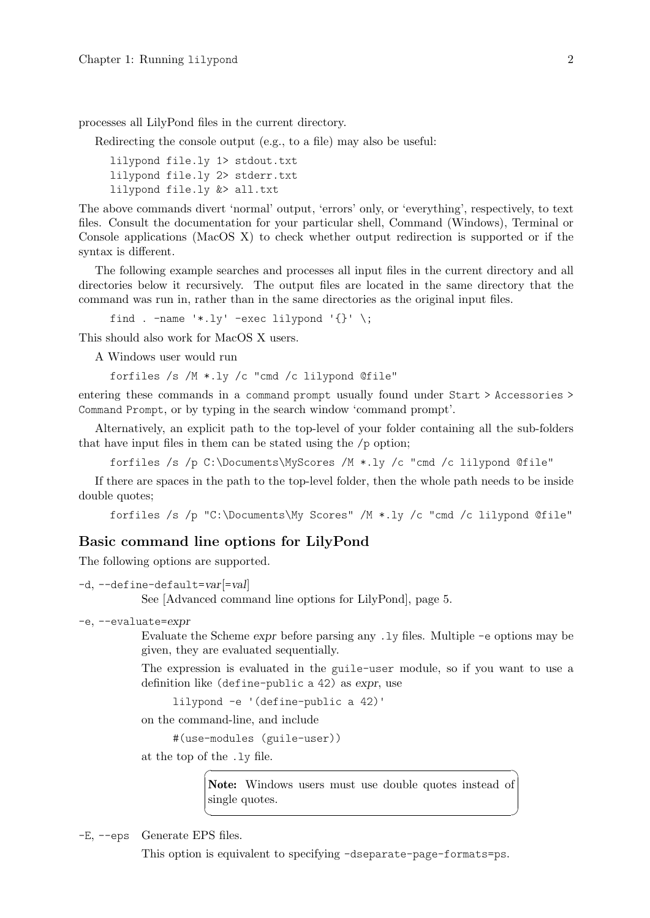<span id="page-4-0"></span>processes all LilyPond files in the current directory.

Redirecting the console output (e.g., to a file) may also be useful:

```
lilypond file.ly 1> stdout.txt
lilypond file.ly 2> stderr.txt
lilypond file.ly &> all.txt
```
The above commands divert 'normal' output, 'errors' only, or 'everything', respectively, to text files. Consult the documentation for your particular shell, Command (Windows), Terminal or Console applications (MacOS X) to check whether output redirection is supported or if the syntax is different.

The following example searches and processes all input files in the current directory and all directories below it recursively. The output files are located in the same directory that the command was run in, rather than in the same directories as the original input files.

find .  $-\text{name } '*.l y' - \text{exec } lilypond' { } ' \; \; \; ;$ 

This should also work for MacOS X users.

A Windows user would run

forfiles /s /M \*.ly /c "cmd /c lilypond @file"

entering these commands in a command prompt usually found under Start > Accessories > Command Prompt, or by typing in the search window 'command prompt'.

Alternatively, an explicit path to the top-level of your folder containing all the sub-folders that have input files in them can be stated using the /p option;

forfiles /s /p C:\Documents\MyScores /M \*.ly /c "cmd /c lilypond @file"

If there are spaces in the path to the top-level folder, then the whole path needs to be inside double quotes;

forfiles /s /p "C:\Documents\My Scores" /M \*.ly /c "cmd /c lilypond @file"

## <span id="page-4-1"></span>Basic command line options for LilyPond

The following options are supported.

```
-d, -define-default=var[-val]
```
See [\[Advanced command line options for LilyPond\], page 5.](#page-7-1)

-e, --evaluate=expr

Evaluate the Scheme expr before parsing any .ly files. Multiple -e options may be given, they are evaluated sequentially.

The expression is evaluated in the guile-user module, so if you want to use a definition like (define-public a 42) as expr, use

lilypond -e '(define-public a 42)'

on the command-line, and include

#(use-modules (guile-user))

at the top of the .ly file.

Note: Windows users must use double quotes instead of single quotes.

 $\sqrt{a^2 + b^2 + c^2}$ 

 $\sqrt{2\pi}$ 

-E, --eps Generate EPS files.

This option is equivalent to specifying -dseparate-page-formats=ps.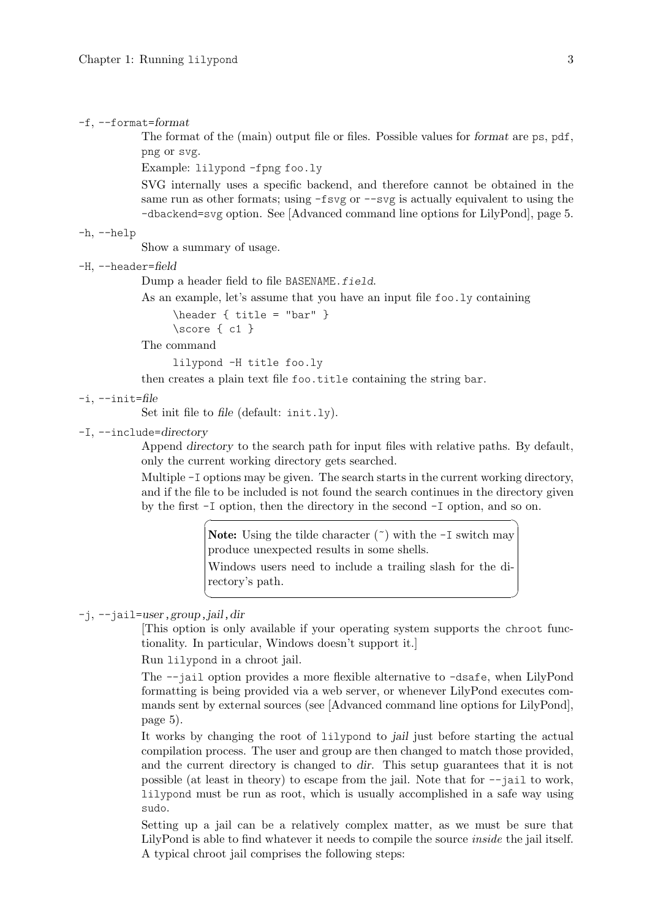#### $-f, -format=format$

The format of the (main) output file or files. Possible values for format are ps, pdf, png or svg.

Example: lilypond -fpng foo.ly

SVG internally uses a specific backend, and therefore cannot be obtained in the same run as other formats; using  $-fsvg$  or  $-svg$  is actually equivalent to using the -dbackend=svg option. See [\[Advanced command line options for LilyPond\], page 5.](#page-7-1)

-h, --help

Show a summary of usage.

-H, --header=field

Dump a header field to file BASENAME.field.

As an example, let's assume that you have an input file foo.ly containing

 $\header f title = "bar" }$ 

\score { c1 }

The command

lilypond -H title foo.ly

then creates a plain text file foo.title containing the string bar.

```
-i, -init=file
```
Set init file to file (default: init.ly).

-I, --include=directory

Append directory to the search path for input files with relative paths. By default, only the current working directory gets searched.

Multiple -I options may be given. The search starts in the current working directory, and if the file to be included is not found the search continues in the directory given by the first -I option, then the directory in the second -I option, and so on.

> **Note:** Using the tilde character  $(\tilde{\ })$  with the  $-I$  switch may produce unexpected results in some shells.

☛ ✟

Windows users need to include a trailing slash for the directory's path.

 $\overline{\phantom{a}}$ 

## -j, --jail=user,group,jail,dir

[This option is only available if your operating system supports the chroot functionality. In particular, Windows doesn't support it.]

Run lilypond in a chroot jail.

The --jail option provides a more flexible alternative to -dsafe, when LilyPond formatting is being provided via a web server, or whenever LilyPond executes commands sent by external sources (see [\[Advanced command line options for LilyPond\],](#page-7-1) [page 5\)](#page-7-1).

It works by changing the root of lilypond to jail just before starting the actual compilation process. The user and group are then changed to match those provided, and the current directory is changed to dir. This setup guarantees that it is not possible (at least in theory) to escape from the jail. Note that for --jail to work, lilypond must be run as root, which is usually accomplished in a safe way using sudo.

Setting up a jail can be a relatively complex matter, as we must be sure that LilyPond is able to find whatever it needs to compile the source inside the jail itself. A typical chroot jail comprises the following steps: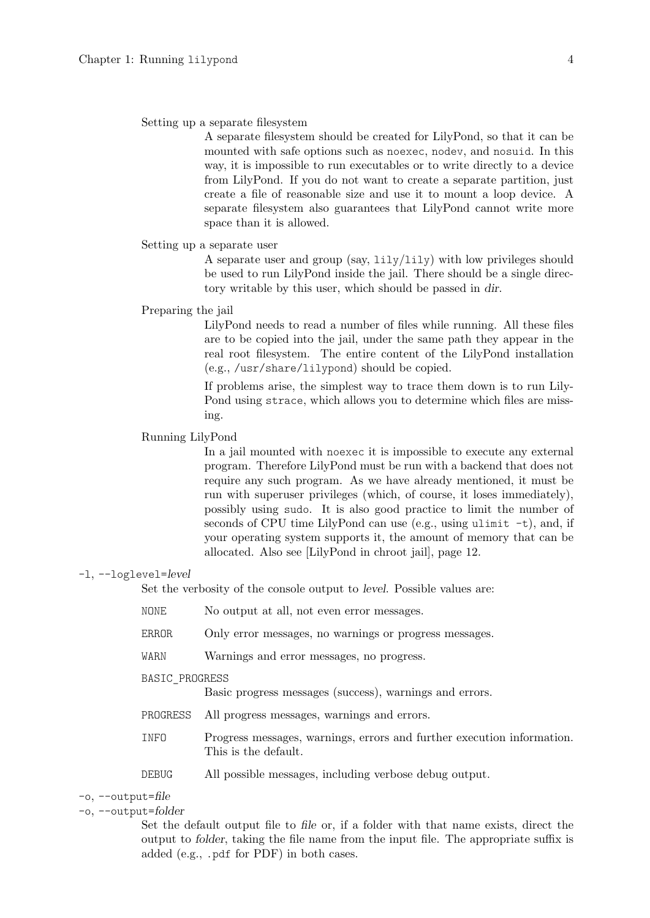#### Setting up a separate filesystem

A separate filesystem should be created for LilyPond, so that it can be mounted with safe options such as noexec, nodev, and nosuid. In this way, it is impossible to run executables or to write directly to a device from LilyPond. If you do not want to create a separate partition, just create a file of reasonable size and use it to mount a loop device. A separate filesystem also guarantees that LilyPond cannot write more space than it is allowed.

#### Setting up a separate user

A separate user and group (say, lily/lily) with low privileges should be used to run LilyPond inside the jail. There should be a single directory writable by this user, which should be passed in dir.

#### Preparing the jail

LilyPond needs to read a number of files while running. All these files are to be copied into the jail, under the same path they appear in the real root filesystem. The entire content of the LilyPond installation (e.g., /usr/share/lilypond) should be copied.

If problems arise, the simplest way to trace them down is to run Lily-Pond using strace, which allows you to determine which files are missing.

#### Running LilyPond

In a jail mounted with noexec it is impossible to execute any external program. Therefore LilyPond must be run with a backend that does not require any such program. As we have already mentioned, it must be run with superuser privileges (which, of course, it loses immediately), possibly using sudo. It is also good practice to limit the number of seconds of CPU time LilyPond can use (e.g., using ulimit -t), and, if your operating system supports it, the amount of memory that can be allocated. Also see [\[LilyPond in chroot jail\], page 12.](#page-14-1)

#### -l, --loglevel=level

Set the verbosity of the console output to level. Possible values are:

- NONE No output at all, not even error messages.
- ERROR Only error messages, no warnings or progress messages.
- WARN Warnings and error messages, no progress.

#### BASIC\_PROGRESS

Basic progress messages (success), warnings and errors.

- PROGRESS All progress messages, warnings and errors.
- INFO Progress messages, warnings, errors and further execution information. This is the default.

DEBUG All possible messages, including verbose debug output.

#### $-\circ$ ,  $-\circ$ utput=file

## -o, --output=folder

Set the default output file to file or, if a folder with that name exists, direct the output to folder, taking the file name from the input file. The appropriate suffix is added (e.g., .pdf for PDF) in both cases.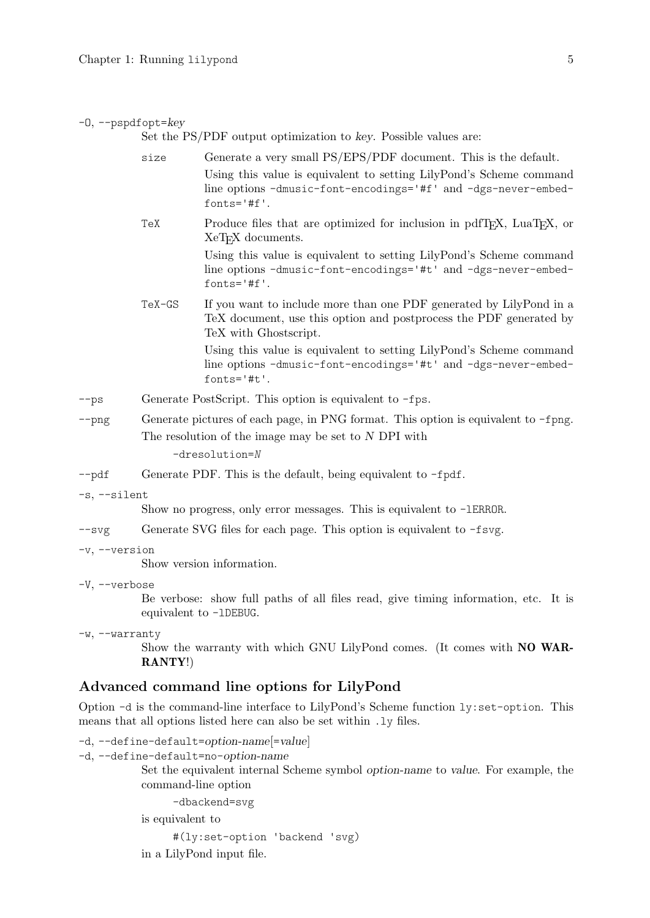#### <span id="page-7-0"></span> $-0$ ,  $-$ pspdfopt= $key$

Set the PS/PDF output optimization to key. Possible values are:

|               | size                                                                                         | Generate a very small PS/EPS/PDF document. This is the default.                                                                                                    |  |  |
|---------------|----------------------------------------------------------------------------------------------|--------------------------------------------------------------------------------------------------------------------------------------------------------------------|--|--|
|               |                                                                                              | Using this value is equivalent to setting LilyPond's Scheme command<br>line options -dmusic-font-encodings='#f' and -dgs-never-embed-<br>$fonts='#f'.$             |  |  |
|               | TeX                                                                                          | Produce files that are optimized for inclusion in pdfT <sub>F</sub> X, LuaT <sub>F</sub> X, or<br>XeT <sub>F</sub> X documents.                                    |  |  |
|               |                                                                                              | Using this value is equivalent to setting LilyPond's Scheme command<br>line options -dmusic-font-encodings='#t' and -dgs-never-embed-<br>$fonts='#f'.$             |  |  |
|               | TeX-GS                                                                                       | If you want to include more than one PDF generated by LilyPond in a<br>TeX document, use this option and postprocess the PDF generated by<br>TeX with Ghostscript. |  |  |
|               |                                                                                              | Using this value is equivalent to setting LilyPond's Scheme command<br>line options -dmusic-font-encodings='#t' and -dgs-never-embed-<br>$fonts='#t'.$             |  |  |
| $-$ ps        | Generate PostScript. This option is equivalent to $-\text{fps}$ .                            |                                                                                                                                                                    |  |  |
| $-\text{png}$ | Generate pictures of each page, in PNG format. This option is equivalent to $-\text{fppg}$ . |                                                                                                                                                                    |  |  |
|               | The resolution of the image may be set to $N$ DPI with                                       |                                                                                                                                                                    |  |  |
|               | $-dresolution = N$                                                                           |                                                                                                                                                                    |  |  |

--pdf Generate PDF. This is the default, being equivalent to -fpdf.

-s, --silent

Show no progress, only error messages. This is equivalent to -lERROR.

 $-\text{svg}$  Generate SVG files for each page. This option is equivalent to  $-\text{fsvg}$ .

-v, --version

Show version information.

-V, --verbose

Be verbose: show full paths of all files read, give timing information, etc. It is equivalent to -lDEBUG.

-w, --warranty

Show the warranty with which GNU LilyPond comes. (It comes with NO WAR-RANTY!)

## <span id="page-7-1"></span>Advanced command line options for LilyPond

Option -d is the command-line interface to LilyPond's Scheme function ly:set-option. This means that all options listed here can also be set within .ly files.

```
-d, --define-default=option-name[=value]
```
-d, --define-default=no-option-name

Set the equivalent internal Scheme symbol option-name to value. For example, the command-line option

-dbackend=svg

is equivalent to

```
#(ly:set-option 'backend 'svg)
```
in a LilyPond input file.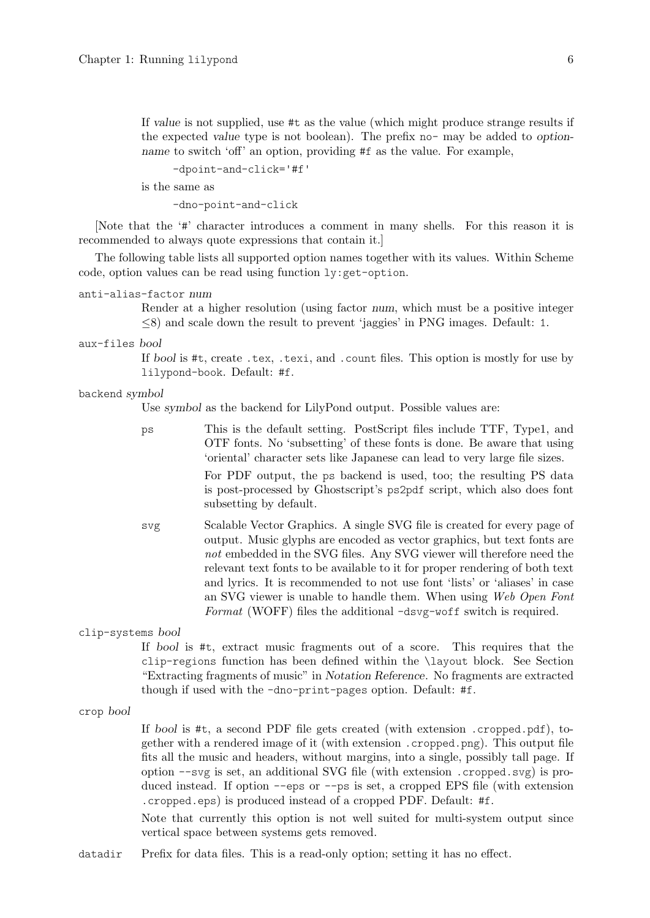If value is not supplied, use #t as the value (which might produce strange results if the expected value type is not boolean). The prefix no- may be added to optionname to switch 'off' an option, providing #f as the value. For example,

-dpoint-and-click='#f'

is the same as

-dno-point-and-click

[Note that the '#' character introduces a comment in many shells. For this reason it is recommended to always quote expressions that contain it.]

The following table lists all supported option names together with its values. Within Scheme code, option values can be read using function ly:get-option.

```
anti-alias-factor num
```
Render at a higher resolution (using factor num, which must be a positive integer ≤8) and scale down the result to prevent 'jaggies' in PNG images. Default: 1.

aux-files bool

If bool is #t, create .tex, .texi, and .count files. This option is mostly for use by lilypond-book. Default: #f.

#### backend symbol

Use symbol as the backend for LilyPond output. Possible values are:

subsetting by default.

- ps This is the default setting. PostScript files include TTF, Type1, and OTF fonts. No 'subsetting' of these fonts is done. Be aware that using 'oriental' character sets like Japanese can lead to very large file sizes. For PDF output, the ps backend is used, too; the resulting PS data is post-processed by Ghostscript's ps2pdf script, which also does font
- svg Scalable Vector Graphics. A single SVG file is created for every page of output. Music glyphs are encoded as vector graphics, but text fonts are not embedded in the SVG files. Any SVG viewer will therefore need the relevant text fonts to be available to it for proper rendering of both text and lyrics. It is recommended to not use font 'lists' or 'aliases' in case an SVG viewer is unable to handle them. When using Web Open Font Format (WOFF) files the additional -dsvg-woff switch is required.

clip-systems bool

If bool is #t, extract music fragments out of a score. This requires that the clip-regions function has been defined within the \layout block. See Section "Extracting fragments of music" in Notation Reference. No fragments are extracted though if used with the -dno-print-pages option. Default: #f.

crop bool

If bool is  $\#t$ , a second PDF file gets created (with extension .cropped.pdf), together with a rendered image of it (with extension .cropped.png). This output file fits all the music and headers, without margins, into a single, possibly tall page. If option --svg is set, an additional SVG file (with extension .cropped.svg) is produced instead. If option --eps or --ps is set, a cropped EPS file (with extension .cropped.eps) is produced instead of a cropped PDF. Default: #f.

Note that currently this option is not well suited for multi-system output since vertical space between systems gets removed.

datadir Prefix for data files. This is a read-only option; setting it has no effect.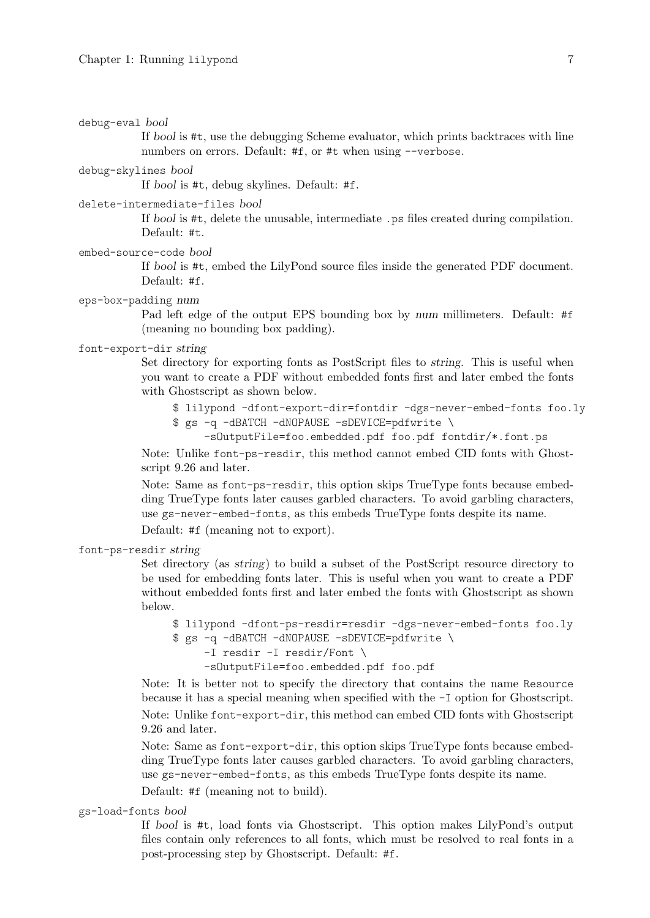debug-eval bool

If bool is #t, use the debugging Scheme evaluator, which prints backtraces with line numbers on errors. Default: #f, or #t when using --verbose.

debug-skylines bool

If bool is #t, debug skylines. Default: #f.

#### delete-intermediate-files bool

If bool is #t, delete the unusable, intermediate .ps files created during compilation. Default: #t.

## embed-source-code bool

If bool is #t, embed the LilyPond source files inside the generated PDF document. Default: #f.

#### eps-box-padding num

Pad left edge of the output EPS bounding box by num millimeters. Default: #f (meaning no bounding box padding).

#### font-export-dir string

Set directory for exporting fonts as PostScript files to string. This is useful when you want to create a PDF without embedded fonts first and later embed the fonts with Ghostscript as shown below.

- \$ lilypond -dfont-export-dir=fontdir -dgs-never-embed-fonts foo.ly \$ gs -q -dBATCH -dNOPAUSE -sDEVICE=pdfwrite \
	- -sOutputFile=foo.embedded.pdf foo.pdf fontdir/\*.font.ps

Note: Unlike font-ps-resdir, this method cannot embed CID fonts with Ghostscript 9.26 and later.

Note: Same as font-ps-resdir, this option skips TrueType fonts because embedding TrueType fonts later causes garbled characters. To avoid garbling characters, use gs-never-embed-fonts, as this embeds TrueType fonts despite its name. Default: #f (meaning not to export).

#### font-ps-resdir string

Set directory (as string) to build a subset of the PostScript resource directory to be used for embedding fonts later. This is useful when you want to create a PDF without embedded fonts first and later embed the fonts with Ghostscript as shown below.

```
$ lilypond -dfont-ps-resdir=resdir -dgs-never-embed-fonts foo.ly
$ gs -q -dBATCH -dNOPAUSE -sDEVICE=pdfwrite \
    -I resdir -I resdir/Font \
     -sOutputFile=foo.embedded.pdf foo.pdf
```
Note: It is better not to specify the directory that contains the name Resource because it has a special meaning when specified with the -I option for Ghostscript. Note: Unlike font-export-dir, this method can embed CID fonts with Ghostscript 9.26 and later.

Note: Same as font-export-dir, this option skips TrueType fonts because embedding TrueType fonts later causes garbled characters. To avoid garbling characters, use gs-never-embed-fonts, as this embeds TrueType fonts despite its name.

Default: #f (meaning not to build).

gs-load-fonts bool

If bool is #t, load fonts via Ghostscript. This option makes LilyPond's output files contain only references to all fonts, which must be resolved to real fonts in a post-processing step by Ghostscript. Default: #f.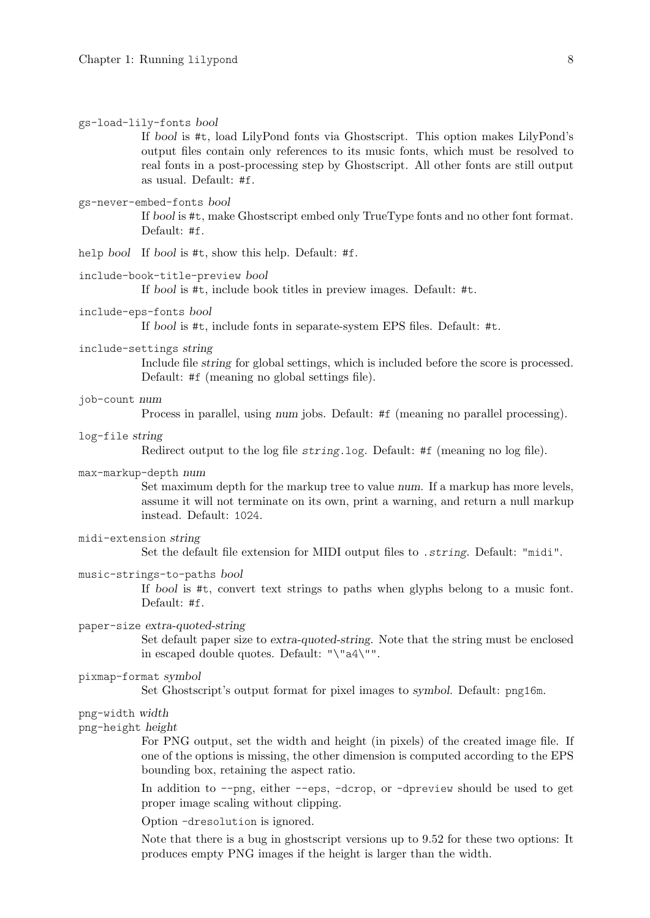#### gs-load-lily-fonts bool

If bool is #t, load LilyPond fonts via Ghostscript. This option makes LilyPond's output files contain only references to its music fonts, which must be resolved to real fonts in a post-processing step by Ghostscript. All other fonts are still output as usual. Default: #f.

#### gs-never-embed-fonts bool

If bool is #t, make Ghostscript embed only TrueType fonts and no other font format. Default: #f.

help bool If bool is #t, show this help. Default: #f.

#### include-book-title-preview bool

If bool is #t, include book titles in preview images. Default: #t.

#### include-eps-fonts bool

If bool is #t, include fonts in separate-system EPS files. Default: #t.

#### include-settings string

Include file string for global settings, which is included before the score is processed. Default: #f (meaning no global settings file).

#### job-count num

Process in parallel, using num jobs. Default: #f (meaning no parallel processing).

log-file string

Redirect output to the log file string.log. Default: #f (meaning no log file).

## max-markup-depth num

Set maximum depth for the markup tree to value num. If a markup has more levels, assume it will not terminate on its own, print a warning, and return a null markup instead. Default: 1024.

#### midi-extension string

Set the default file extension for MIDI output files to .string. Default: "midi".

#### music-strings-to-paths bool

If bool is #t, convert text strings to paths when glyphs belong to a music font. Default: #f.

#### paper-size extra-quoted-string

Set default paper size to extra-quoted-string. Note that the string must be enclosed in escaped double quotes. Default: "\"a4\"".

## pixmap-format symbol

Set Ghostscript's output format for pixel images to symbol. Default: png16m.

## png-width width

png-height height

For PNG output, set the width and height (in pixels) of the created image file. If one of the options is missing, the other dimension is computed according to the EPS bounding box, retaining the aspect ratio.

In addition to --png, either --eps, -dcrop, or -dpreview should be used to get proper image scaling without clipping.

Option -dresolution is ignored.

Note that there is a bug in ghostscript versions up to 9.52 for these two options: It produces empty PNG images if the height is larger than the width.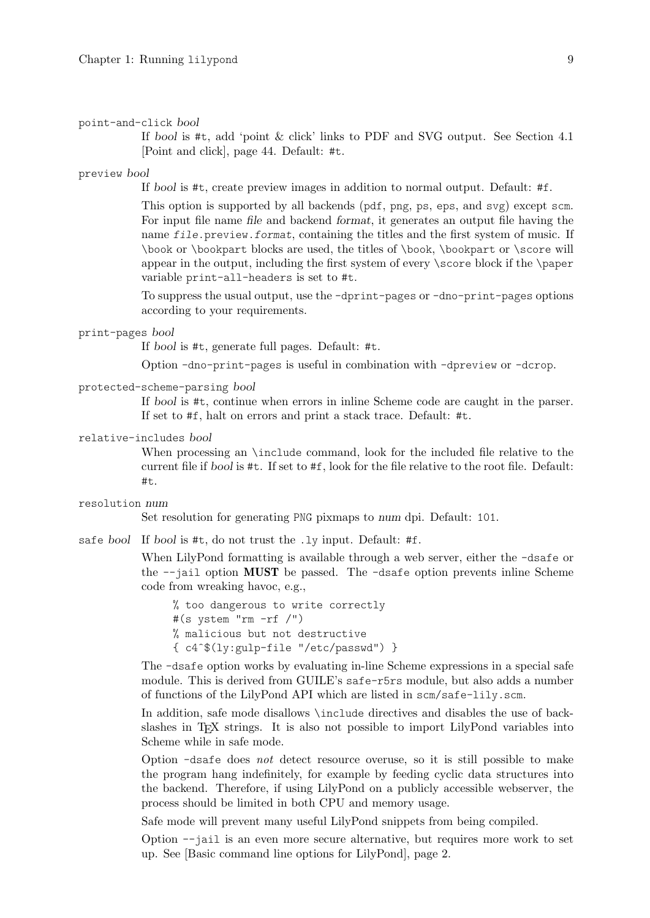#### point-and-click bool

If bool is #t, add 'point & click' links to PDF and SVG output. See [Section 4.1](#page-46-1) [\[Point and click\], page 44](#page-46-1). Default: #t.

#### preview bool

If bool is #t, create preview images in addition to normal output. Default: #f.

This option is supported by all backends (pdf, png, ps, eps, and svg) except scm. For input file name file and backend format, it generates an output file having the name file.preview.format, containing the titles and the first system of music. If \book or \bookpart blocks are used, the titles of \book, \bookpart or \score will appear in the output, including the first system of every \score block if the \paper variable print-all-headers is set to #t.

To suppress the usual output, use the -dprint-pages or -dno-print-pages options according to your requirements.

#### print-pages bool

If bool is #t, generate full pages. Default: #t.

Option -dno-print-pages is useful in combination with -dpreview or -dcrop.

#### protected-scheme-parsing bool

If bool is #t, continue when errors in inline Scheme code are caught in the parser. If set to #f, halt on errors and print a stack trace. Default: #t.

#### relative-includes bool

When processing an \include command, look for the included file relative to the current file if bool is #t. If set to #f, look for the file relative to the root file. Default: #t.

#### resolution num

Set resolution for generating PNG pixmaps to num dpi. Default: 101.

safe bool If bool is #t, do not trust the .ly input. Default: #f.

When LilyPond formatting is available through a web server, either the -dsafe or the --jail option MUST be passed. The -dsafe option prevents inline Scheme code from wreaking havoc, e.g.,

% too dangerous to write correctly #(s ystem "rm -rf /") % malicious but not destructive { c4ˆ\$(ly:gulp-file "/etc/passwd") }

The -dsafe option works by evaluating in-line Scheme expressions in a special safe module. This is derived from GUILE's safe-r5rs module, but also adds a number of functions of the LilyPond API which are listed in scm/safe-lily.scm.

In addition, safe mode disallows \include directives and disables the use of backslashes in TEX strings. It is also not possible to import LilyPond variables into Scheme while in safe mode.

Option -dsafe does not detect resource overuse, so it is still possible to make the program hang indefinitely, for example by feeding cyclic data structures into the backend. Therefore, if using LilyPond on a publicly accessible webserver, the process should be limited in both CPU and memory usage.

Safe mode will prevent many useful LilyPond snippets from being compiled.

Option --jail is an even more secure alternative, but requires more work to set up. See [\[Basic command line options for LilyPond\], page 2](#page-4-1).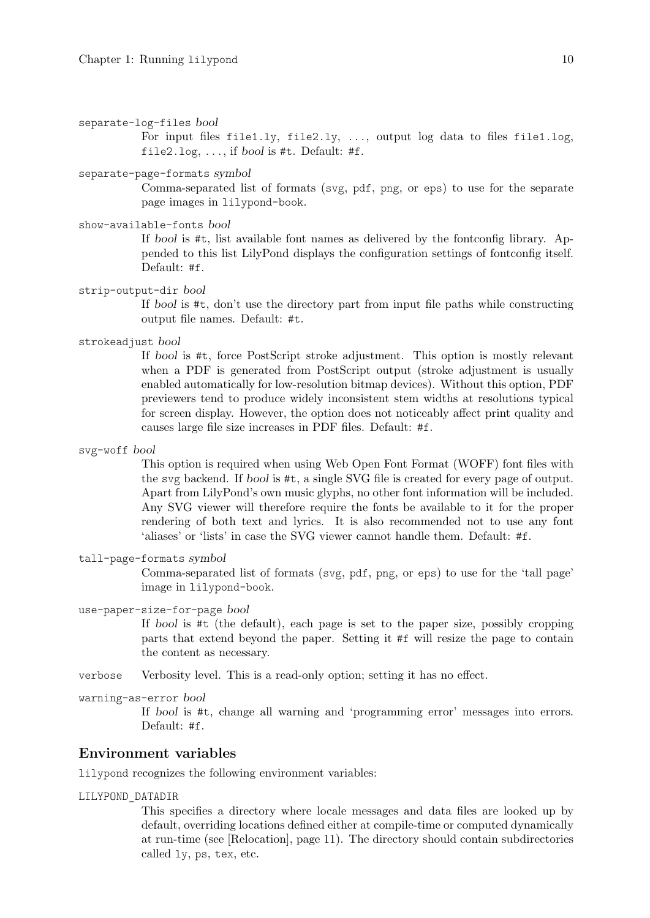```
separate-log-files bool
```
For input files file1.ly, file2.ly, . . ., output log data to files file1.log, file2.log,  $\dots$ , if bool is #t. Default: #f.

## separate-page-formats symbol

Comma-separated list of formats (svg, pdf, png, or eps) to use for the separate page images in lilypond-book.

show-available-fonts bool

If bool is #t, list available font names as delivered by the fontconfig library. Appended to this list LilyPond displays the configuration settings of fontconfig itself. Default: #f.

strip-output-dir bool

If bool is #t, don't use the directory part from input file paths while constructing output file names. Default: #t.

strokeadjust bool

If bool is #t, force PostScript stroke adjustment. This option is mostly relevant when a PDF is generated from PostScript output (stroke adjustment is usually enabled automatically for low-resolution bitmap devices). Without this option, PDF previewers tend to produce widely inconsistent stem widths at resolutions typical for screen display. However, the option does not noticeably affect print quality and causes large file size increases in PDF files. Default: #f.

svg-woff bool

This option is required when using Web Open Font Format (WOFF) font files with the svg backend. If bool is #t, a single SVG file is created for every page of output. Apart from LilyPond's own music glyphs, no other font information will be included. Any SVG viewer will therefore require the fonts be available to it for the proper rendering of both text and lyrics. It is also recommended not to use any font 'aliases' or 'lists' in case the SVG viewer cannot handle them. Default: #f.

tall-page-formats symbol

Comma-separated list of formats (svg, pdf, png, or eps) to use for the 'tall page' image in lilypond-book.

use-paper-size-for-page bool

If bool is #t (the default), each page is set to the paper size, possibly cropping parts that extend beyond the paper. Setting it #f will resize the page to contain the content as necessary.

- verbose Verbosity level. This is a read-only option; setting it has no effect.
- warning-as-error bool

If bool is #t, change all warning and 'programming error' messages into errors. Default: #f.

## Environment variables

lilypond recognizes the following environment variables:

## LILYPOND\_DATADIR

This specifies a directory where locale messages and data files are looked up by default, overriding locations defined either at compile-time or computed dynamically at run-time (see [\[Relocation\], page 11](#page-13-1)). The directory should contain subdirectories called ly, ps, tex, etc.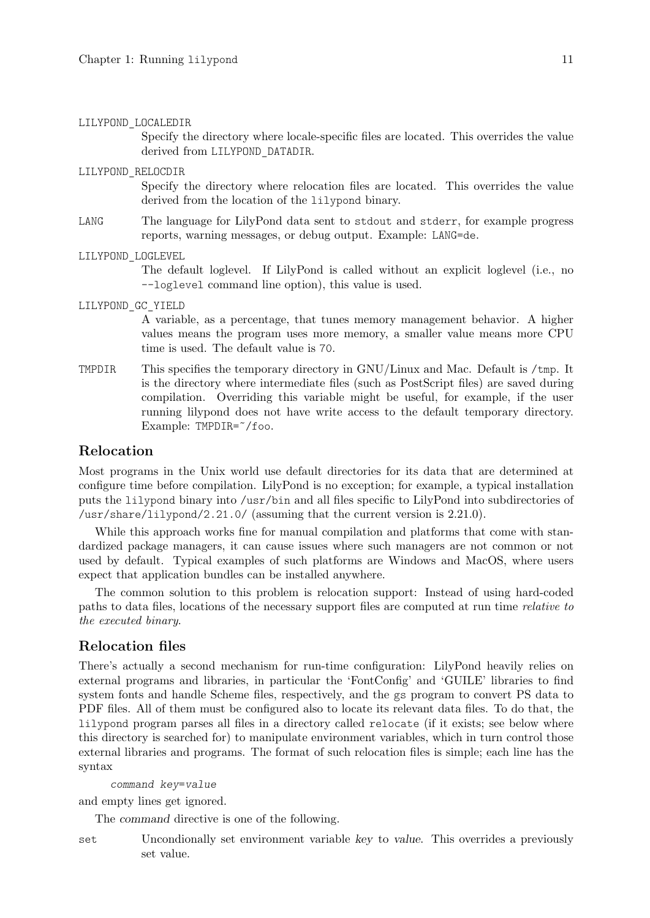#### <span id="page-13-0"></span>LILYPOND\_LOCALEDIR

Specify the directory where locale-specific files are located. This overrides the value derived from LILYPOND\_DATADIR.

## LILYPOND\_RELOCDIR

Specify the directory where relocation files are located. This overrides the value derived from the location of the lilypond binary.

LANG The language for LilyPond data sent to stdout and stderr, for example progress reports, warning messages, or debug output. Example: LANG=de.

#### LILYPOND\_LOGLEVEL

The default loglevel. If LilyPond is called without an explicit loglevel (i.e., no --loglevel command line option), this value is used.

LILYPOND\_GC\_YIELD

A variable, as a percentage, that tunes memory management behavior. A higher values means the program uses more memory, a smaller value means more CPU time is used. The default value is 70.

TMPDIR This specifies the temporary directory in GNU/Linux and Mac. Default is /tmp. It is the directory where intermediate files (such as PostScript files) are saved during compilation. Overriding this variable might be useful, for example, if the user running lilypond does not have write access to the default temporary directory. Example: TMPDIR=˜/foo.

## <span id="page-13-1"></span>Relocation

Most programs in the Unix world use default directories for its data that are determined at configure time before compilation. LilyPond is no exception; for example, a typical installation puts the lilypond binary into /usr/bin and all files specific to LilyPond into subdirectories of /usr/share/lilypond/2.21.0/ (assuming that the current version is  $2.21.0$ ).

While this approach works fine for manual compilation and platforms that come with standardized package managers, it can cause issues where such managers are not common or not used by default. Typical examples of such platforms are Windows and MacOS, where users expect that application bundles can be installed anywhere.

The common solution to this problem is relocation support: Instead of using hard-coded paths to data files, locations of the necessary support files are computed at run time relative to the executed binary.

## <span id="page-13-2"></span>Relocation files

There's actually a second mechanism for run-time configuration: LilyPond heavily relies on external programs and libraries, in particular the 'FontConfig' and 'GUILE' libraries to find system fonts and handle Scheme files, respectively, and the gs program to convert PS data to PDF files. All of them must be configured also to locate its relevant data files. To do that, the lilypond program parses all files in a directory called relocate (if it exists; see below where this directory is searched for) to manipulate environment variables, which in turn control those external libraries and programs. The format of such relocation files is simple; each line has the syntax

```
command key=value
```
and empty lines get ignored.

The command directive is one of the following.

set Uncondionally set environment variable key to value. This overrides a previously set value.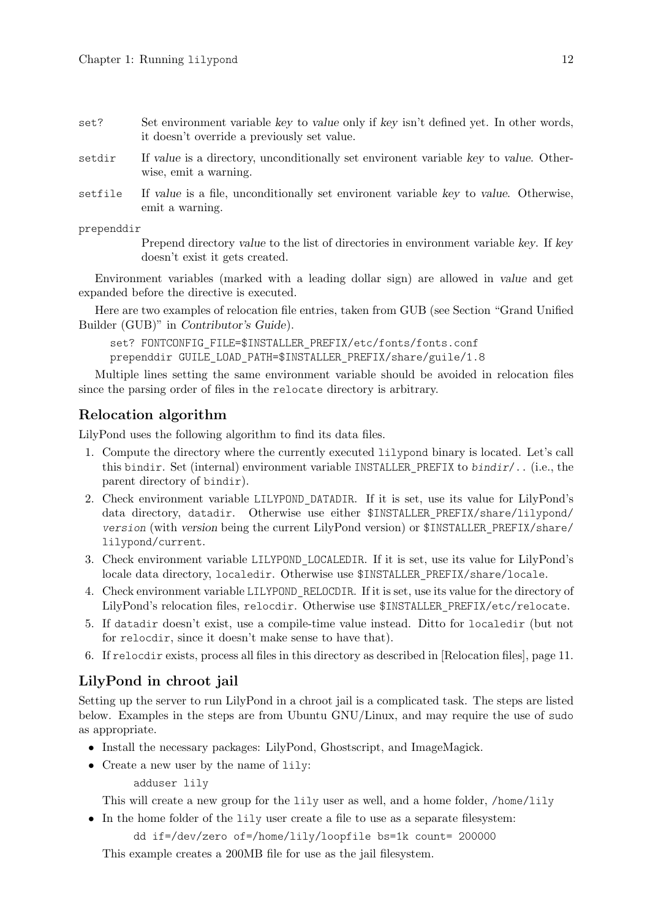<span id="page-14-0"></span>set? Set environment variable key to value only if key isn't defined yet. In other words, it doesn't override a previously set value.

- setdir If value is a directory, unconditionally set environent variable key to value. Otherwise, emit a warning.
- setfile If value is a file, unconditionally set environent variable key to value. Otherwise, emit a warning.

prependdir

Prepend directory value to the list of directories in environment variable key. If key doesn't exist it gets created.

Environment variables (marked with a leading dollar sign) are allowed in value and get expanded before the directive is executed.

Here are two examples of relocation file entries, taken from GUB (see Section "Grand Unified Builder (GUB)" in Contributor's Guide).

set? FONTCONFIG\_FILE=\$INSTALLER\_PREFIX/etc/fonts/fonts.conf prependdir GUILE\_LOAD\_PATH=\$INSTALLER\_PREFIX/share/guile/1.8

Multiple lines setting the same environment variable should be avoided in relocation files since the parsing order of files in the relocate directory is arbitrary.

## Relocation algorithm

LilyPond uses the following algorithm to find its data files.

- 1. Compute the directory where the currently executed lilypond binary is located. Let's call this bindir. Set (internal) environment variable INSTALLER\_PREFIX to bindir/.. (i.e., the parent directory of bindir).
- 2. Check environment variable LILYPOND\_DATADIR. If it is set, use its value for LilyPond's data directory, datadir. Otherwise use either \$INSTALLER\_PREFIX/share/lilypond/ version (with version being the current LilyPond version) or \$INSTALLER\_PREFIX/share/ lilypond/current.
- 3. Check environment variable LILYPOND\_LOCALEDIR. If it is set, use its value for LilyPond's locale data directory, localedir. Otherwise use \$INSTALLER\_PREFIX/share/locale.
- 4. Check environment variable LILYPOND\_RELOCDIR. If it is set, use its value for the directory of LilyPond's relocation files, relocdir. Otherwise use \$INSTALLER\_PREFIX/etc/relocate.
- 5. If datadir doesn't exist, use a compile-time value instead. Ditto for localedir (but not for relocdir, since it doesn't make sense to have that).
- 6. If relocdir exists, process all files in this directory as described in [\[Relocation files\], page 11.](#page-13-2)

## <span id="page-14-1"></span>LilyPond in chroot jail

Setting up the server to run LilyPond in a chroot jail is a complicated task. The steps are listed below. Examples in the steps are from Ubuntu GNU/Linux, and may require the use of sudo as appropriate.

- Install the necessary packages: LilyPond, Ghostscript, and ImageMagick.
- Create a new user by the name of lily:

adduser lily

This will create a new group for the lily user as well, and a home folder, /home/lily

• In the home folder of the lily user create a file to use as a separate filesystem:

dd if=/dev/zero of=/home/lily/loopfile bs=1k count= 200000

This example creates a 200MB file for use as the jail filesystem.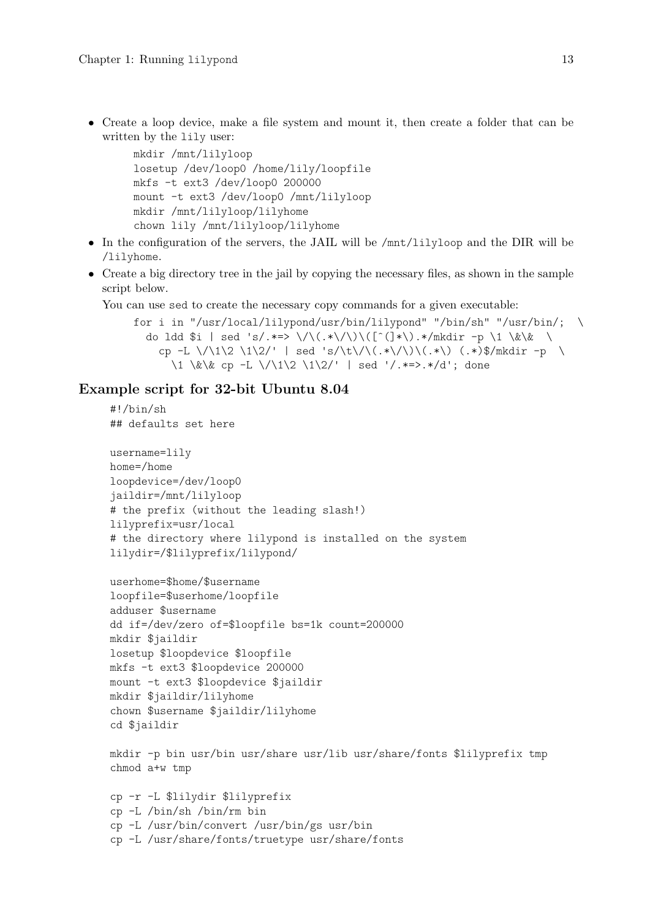• Create a loop device, make a file system and mount it, then create a folder that can be written by the lily user:

```
mkdir /mnt/lilyloop
losetup /dev/loop0 /home/lily/loopfile
mkfs -t ext3 /dev/loop0 200000
mount -t ext3 /dev/loop0 /mnt/lilyloop
mkdir /mnt/lilyloop/lilyhome
chown lily /mnt/lilyloop/lilyhome
```
- In the configuration of the servers, the JAIL will be /mnt/lilyloop and the DIR will be /lilyhome.
- Create a big directory tree in the jail by copying the necessary files, as shown in the sample script below.

You can use sed to create the necessary copy commands for a given executable:

```
for i in "/usr/local/lilypond/usr/bin/lilypond" "/bin/sh" "/usr/bin/; \
 do ldd $i | sed 's/.*=> \/\(.*\/\)\([^(]*\).*/mkdir -p \1 \&\& \
   cp -L \/\1\2 \1\2/' | sed 's/\t\/\(.*\/\)\(.*\) (.*)$/mkdir -p \
      \1 \&\&\ cp -L \//1\2 \1\2' | sed '/.*=>.*/d'; done
```
## Example script for 32-bit Ubuntu 8.04

```
#!/bin/sh
## defaults set here
username=lily
home=/home
loopdevice=/dev/loop0
jaildir=/mnt/lilyloop
# the prefix (without the leading slash!)
lilyprefix=usr/local
# the directory where lilypond is installed on the system
lilydir=/$lilyprefix/lilypond/
userhome=$home/$username
loopfile=$userhome/loopfile
adduser $username
dd if=/dev/zero of=$loopfile bs=1k count=200000
mkdir $jaildir
losetup $loopdevice $loopfile
mkfs -t ext3 $loopdevice 200000
mount -t ext3 $loopdevice $jaildir
mkdir $jaildir/lilyhome
chown $username $jaildir/lilyhome
cd $jaildir
mkdir -p bin usr/bin usr/share usr/lib usr/share/fonts $lilyprefix tmp
chmod a+w tmp
cp -r -L $lilydir $lilyprefix
cp -L /bin/sh /bin/rm bin
cp -L /usr/bin/convert /usr/bin/gs usr/bin
cp -L /usr/share/fonts/truetype usr/share/fonts
```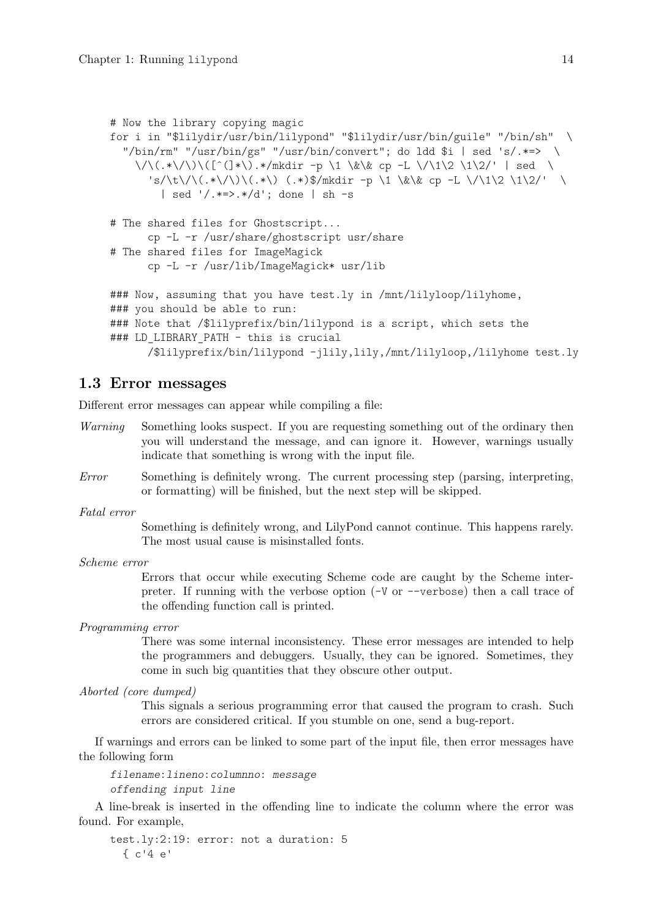```
# Now the library copying magic
for i in "$lilydir/usr/bin/lilypond" "$lilydir/usr/bin/guile" "/bin/sh" \
  "/bin/rm" "/usr/bin/gs" "/usr/bin/convert"; do ldd $i | sed 's/.*=> \
    \/\(.*\/\)\([ˆ(]*\).*/mkdir -p \1 \&\& cp -L \/\1\2 \1\2/' | sed \
      's/\t\/\(.*\/\)\(.*\) (.*)$/mkdir -p \1 \&\& cp -L \/\1\2 \1\2/' \
        | sed '/.*=>.*/d'; done | sh -s
# The shared files for Ghostscript...
      cp -L -r /usr/share/ghostscript usr/share
# The shared files for ImageMagick
      cp -L -r /usr/lib/ImageMagick* usr/lib
### Now, assuming that you have test.ly in /mnt/lilyloop/lilyhome,
### you should be able to run:
### Note that /$lilyprefix/bin/lilypond is a script, which sets the
### LD_LIBRARY_PATH - this is crucial
      /$lilyprefix/bin/lilypond -jlily,lily,/mnt/lilyloop,/lilyhome test.ly
```
## 1.3 Error messages

Different error messages can appear while compiling a file:

- Warning Something looks suspect. If you are requesting something out of the ordinary then you will understand the message, and can ignore it. However, warnings usually indicate that something is wrong with the input file.
- Error Something is definitely wrong. The current processing step (parsing, interpreting, or formatting) will be finished, but the next step will be skipped.

Fatal error

Something is definitely wrong, and LilyPond cannot continue. This happens rarely. The most usual cause is misinstalled fonts.

Scheme error

Errors that occur while executing Scheme code are caught by the Scheme interpreter. If running with the verbose option (-V or --verbose) then a call trace of the offending function call is printed.

Programming error

There was some internal inconsistency. These error messages are intended to help the programmers and debuggers. Usually, they can be ignored. Sometimes, they come in such big quantities that they obscure other output.

```
Aborted (core dumped)
```
This signals a serious programming error that caused the program to crash. Such errors are considered critical. If you stumble on one, send a bug-report.

If warnings and errors can be linked to some part of the input file, then error messages have the following form

filename:lineno:columnno: message offending input line

A line-break is inserted in the offending line to indicate the column where the error was found. For example,

test.ly:2:19: error: not a duration: 5 { c'4 e'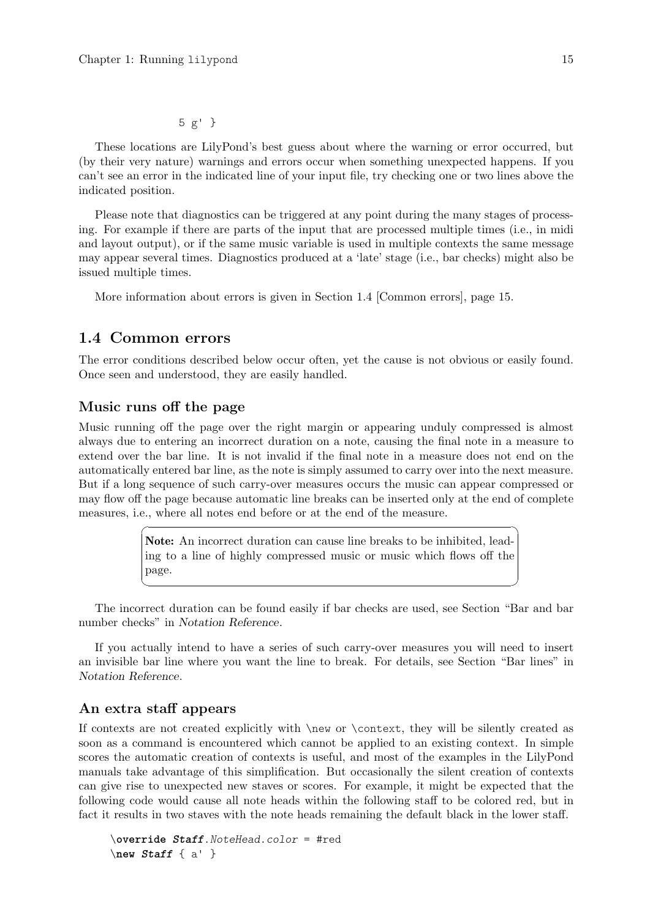## 5 g' }

<span id="page-17-0"></span>These locations are LilyPond's best guess about where the warning or error occurred, but (by their very nature) warnings and errors occur when something unexpected happens. If you can't see an error in the indicated line of your input file, try checking one or two lines above the indicated position.

Please note that diagnostics can be triggered at any point during the many stages of processing. For example if there are parts of the input that are processed multiple times (i.e., in midi and layout output), or if the same music variable is used in multiple contexts the same message may appear several times. Diagnostics produced at a 'late' stage (i.e., bar checks) might also be issued multiple times.

More information about errors is given in [Section 1.4 \[Common errors\], page 15.](#page-17-1)

## <span id="page-17-1"></span>1.4 Common errors

The error conditions described below occur often, yet the cause is not obvious or easily found. Once seen and understood, they are easily handled.

## Music runs off the page

Music running off the page over the right margin or appearing unduly compressed is almost always due to entering an incorrect duration on a note, causing the final note in a measure to extend over the bar line. It is not invalid if the final note in a measure does not end on the automatically entered bar line, as the note is simply assumed to carry over into the next measure. But if a long sequence of such carry-over measures occurs the music can appear compressed or may flow off the page because automatic line breaks can be inserted only at the end of complete measures, i.e., where all notes end before or at the end of the measure.

> Note: An incorrect duration can cause line breaks to be inhibited, leading to a line of highly compressed music or music which flows off the page.

 $\sqrt{2\pi}$ 

 $\overline{\phantom{a}}$   $\overline{\phantom{a}}$   $\overline{\phantom{a}}$   $\overline{\phantom{a}}$   $\overline{\phantom{a}}$   $\overline{\phantom{a}}$   $\overline{\phantom{a}}$   $\overline{\phantom{a}}$   $\overline{\phantom{a}}$   $\overline{\phantom{a}}$   $\overline{\phantom{a}}$   $\overline{\phantom{a}}$   $\overline{\phantom{a}}$   $\overline{\phantom{a}}$   $\overline{\phantom{a}}$   $\overline{\phantom{a}}$   $\overline{\phantom{a}}$   $\overline{\phantom{a}}$   $\overline{\$ 

The incorrect duration can be found easily if bar checks are used, see Section "Bar and bar number checks" in Notation Reference.

If you actually intend to have a series of such carry-over measures you will need to insert an invisible bar line where you want the line to break. For details, see Section "Bar lines" in Notation Reference.

## An extra staff appears

If contexts are not created explicitly with \new or \context, they will be silently created as soon as a command is encountered which cannot be applied to an existing context. In simple scores the automatic creation of contexts is useful, and most of the examples in the LilyPond manuals take advantage of this simplification. But occasionally the silent creation of contexts can give rise to unexpected new staves or scores. For example, it might be expected that the following code would cause all note heads within the following staff to be colored red, but in fact it results in two staves with the note heads remaining the default black in the lower staff.

```
\override Staff.NoteHead.color = #red
\new Staff { a' }
```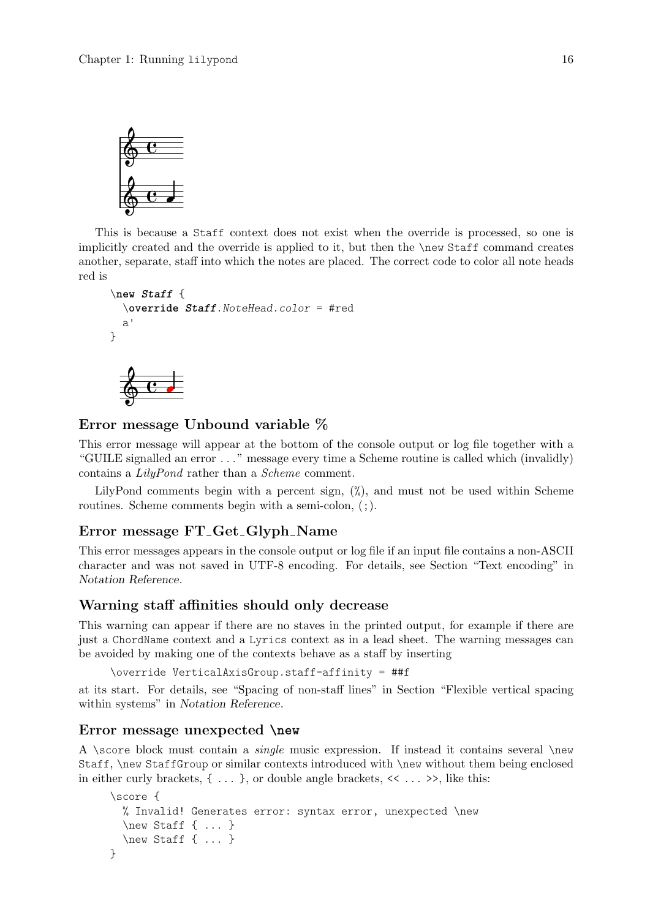<span id="page-18-0"></span>

This is because a Staff context does not exist when the override is processed, so one is implicitly created and the override is applied to it, but then the \new Staff command creates another, separate, staff into which the notes are placed. The correct code to color all note heads red is

```
\new Staff {
  \override Staff.NoteHead.color = #red
 a'
}
```


## Error message Unbound variable %

This error message will appear at the bottom of the console output or log file together with a "GUILE signalled an error . . . " message every time a Scheme routine is called which (invalidly) contains a LilyPond rather than a Scheme comment.

LilyPond comments begin with a percent sign,  $\binom{v}{k}$ , and must not be used within Scheme routines. Scheme comments begin with a semi-colon,  $($ ;  $).$ 

## Error message FT Get Glyph Name

This error messages appears in the console output or log file if an input file contains a non-ASCII character and was not saved in UTF-8 encoding. For details, see Section "Text encoding" in Notation Reference.

## Warning staff affinities should only decrease

This warning can appear if there are no staves in the printed output, for example if there are just a ChordName context and a Lyrics context as in a lead sheet. The warning messages can be avoided by making one of the contexts behave as a staff by inserting

```
\override VerticalAxisGroup.staff-affinity = ##f
```
at its start. For details, see "Spacing of non-staff lines" in Section "Flexible vertical spacing within systems" in Notation Reference.

## Error message unexpected **\new**

A \score block must contain a *single* music expression. If instead it contains several \new Staff, \new StaffGroup or similar contexts introduced with \new without them being enclosed in either curly brackets,  $\{ \ldots \}$ , or double angle brackets,  $\langle \cdot \ldots \rangle$ , like this:

```
\score {
  % Invalid! Generates error: syntax error, unexpected \new
  \new Staff { ... }
  \new Staff { ... }
}
```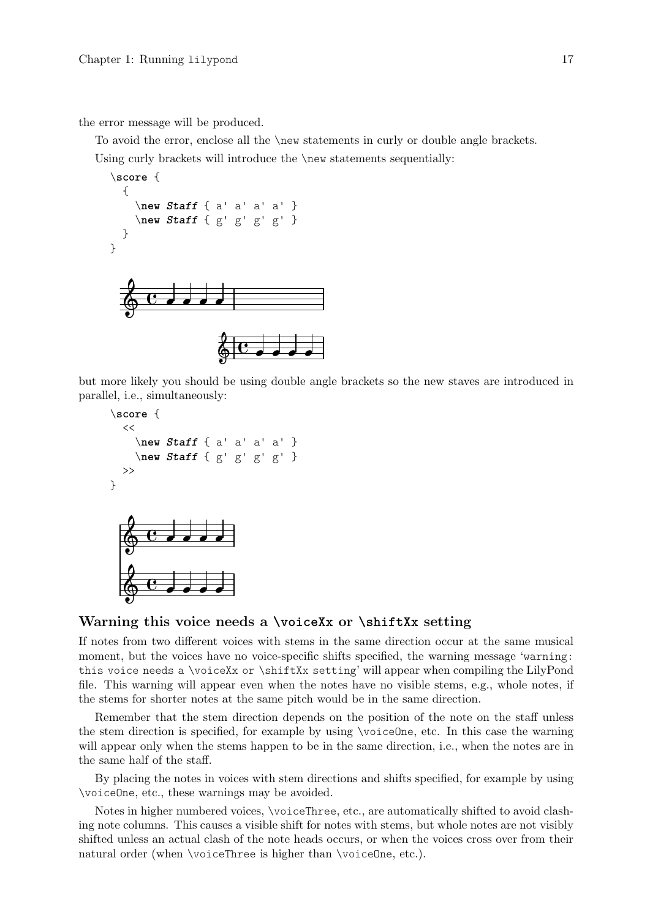<span id="page-19-0"></span>the error message will be produced.

To avoid the error, enclose all the \new statements in curly or double angle brackets. Using curly brackets will introduce the \new statements sequentially:



but more likely you should be using double angle brackets so the new staves are introduced in parallel, i.e., simultaneously:

```
\score {
    <<\new Staff { a' a' a' a' }
        \new Staff { g' g' g' g' }
   >>
}
                                   d
                                   \overline{\phantom{a}}\blacksquare\overline{\phantom{a}}\oint_C \mathbf{e}\oint_C\blacksquare\overline{\phantom{a}}
```
## Warning this voice needs a **\voiceXx** or **\shiftXx** setting

If notes from two different voices with stems in the same direction occur at the same musical moment, but the voices have no voice-specific shifts specified, the warning message 'warning: this voice needs a \voiceXx or \shiftXx setting' will appear when compiling the LilyPond file. This warning will appear even when the notes have no visible stems, e.g., whole notes, if the stems for shorter notes at the same pitch would be in the same direction.

Remember that the stem direction depends on the position of the note on the staff unless the stem direction is specified, for example by using \voiceOne, etc. In this case the warning will appear only when the stems happen to be in the same direction, i.e., when the notes are in the same half of the staff.

By placing the notes in voices with stem directions and shifts specified, for example by using \voiceOne, etc., these warnings may be avoided.

Notes in higher numbered voices, \voiceThree, etc., are automatically shifted to avoid clashing note columns. This causes a visible shift for notes with stems, but whole notes are not visibly shifted unless an actual clash of the note heads occurs, or when the voices cross over from their natural order (when \voiceThree is higher than \voiceOne, etc.).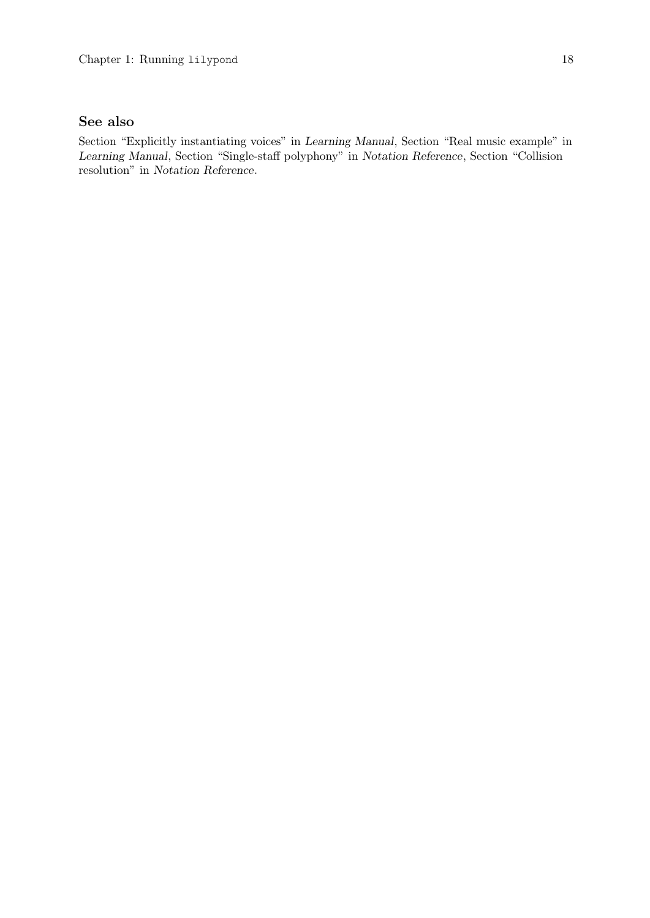# See also

Section "Explicitly instantiating voices" in Learning Manual, Section "Real music example" in Learning Manual, Section "Single-staff polyphony" in Notation Reference, Section "Collision resolution" in Notation Reference.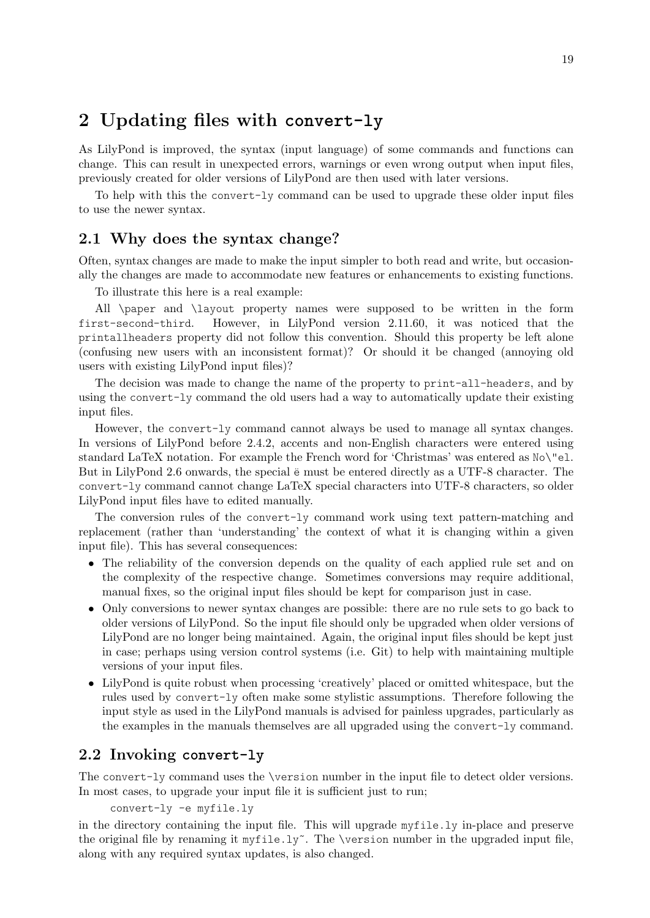# <span id="page-21-0"></span>2 Updating files with **convert-ly**

As LilyPond is improved, the syntax (input language) of some commands and functions can change. This can result in unexpected errors, warnings or even wrong output when input files, previously created for older versions of LilyPond are then used with later versions.

To help with this the convert-ly command can be used to upgrade these older input files to use the newer syntax.

# 2.1 Why does the syntax change?

Often, syntax changes are made to make the input simpler to both read and write, but occasionally the changes are made to accommodate new features or enhancements to existing functions.

To illustrate this here is a real example:

All \paper and \layout property names were supposed to be written in the form first-second-third. However, in LilyPond version 2.11.60, it was noticed that the printallheaders property did not follow this convention. Should this property be left alone (confusing new users with an inconsistent format)? Or should it be changed (annoying old users with existing LilyPond input files)?

The decision was made to change the name of the property to print-all-headers, and by using the convert-ly command the old users had a way to automatically update their existing input files.

However, the convert-ly command cannot always be used to manage all syntax changes. In versions of LilyPond before 2.4.2, accents and non-English characters were entered using standard LaTeX notation. For example the French word for 'Christmas' was entered as No\"el. But in LilyPond 2.6 onwards, the special  $\ddot{\text{e}}$  must be entered directly as a UTF-8 character. The convert-ly command cannot change LaTeX special characters into UTF-8 characters, so older LilyPond input files have to edited manually.

The conversion rules of the convert-ly command work using text pattern-matching and replacement (rather than 'understanding' the context of what it is changing within a given input file). This has several consequences:

- The reliability of the conversion depends on the quality of each applied rule set and on the complexity of the respective change. Sometimes conversions may require additional, manual fixes, so the original input files should be kept for comparison just in case.
- Only conversions to newer syntax changes are possible: there are no rule sets to go back to older versions of LilyPond. So the input file should only be upgraded when older versions of LilyPond are no longer being maintained. Again, the original input files should be kept just in case; perhaps using version control systems (i.e. Git) to help with maintaining multiple versions of your input files.
- LilyPond is quite robust when processing 'creatively' placed or omitted whitespace, but the rules used by convert-ly often make some stylistic assumptions. Therefore following the input style as used in the LilyPond manuals is advised for painless upgrades, particularly as the examples in the manuals themselves are all upgraded using the convert-ly command.

# 2.2 Invoking **convert-ly**

The convert-ly command uses the \version number in the input file to detect older versions. In most cases, to upgrade your input file it is sufficient just to run;

convert-ly -e myfile.ly

in the directory containing the input file. This will upgrade myfile.ly in-place and preserve the original file by renaming it myfile.ly<sup>*\**</sup>. The \version number in the upgraded input file, along with any required syntax updates, is also changed.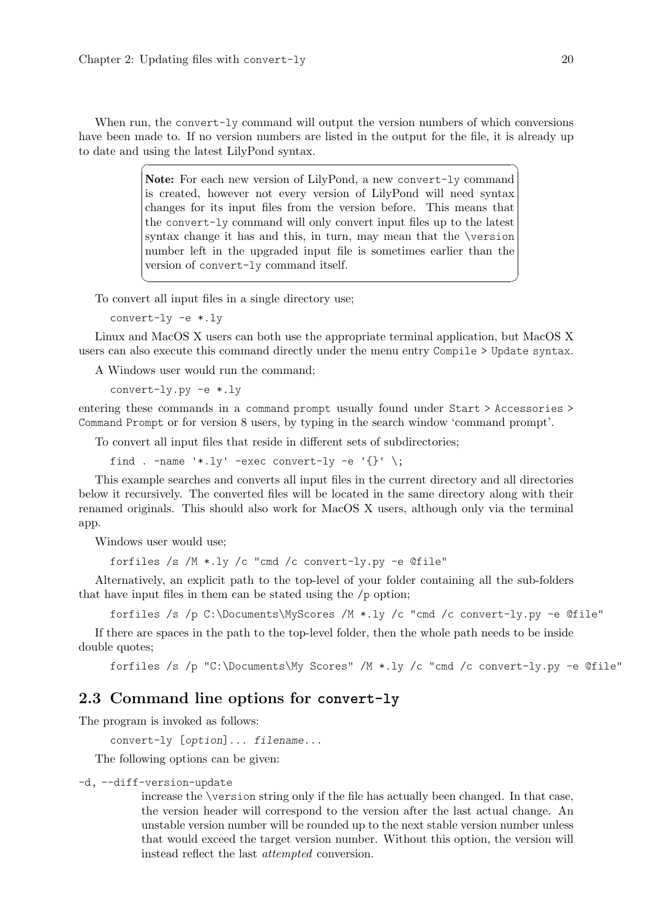<span id="page-22-0"></span>When run, the convert-ly command will output the version numbers of which conversions have been made to. If no version numbers are listed in the output for the file, it is already up to date and using the latest LilyPond syntax.

 $\sqrt{a^2 + b^2 + c^2}$ 

Note: For each new version of LilyPond, a new convert-ly command is created, however not every version of LilyPond will need syntax changes for its input files from the version before. This means that the convert-ly command will only convert input files up to the latest syntax change it has and this, in turn, may mean that the \version number left in the upgraded input file is sometimes earlier than the version of convert-ly command itself.

 $\overline{\phantom{a}}$   $\overline{\phantom{a}}$   $\overline{\phantom{a}}$   $\overline{\phantom{a}}$   $\overline{\phantom{a}}$   $\overline{\phantom{a}}$   $\overline{\phantom{a}}$   $\overline{\phantom{a}}$   $\overline{\phantom{a}}$   $\overline{\phantom{a}}$   $\overline{\phantom{a}}$   $\overline{\phantom{a}}$   $\overline{\phantom{a}}$   $\overline{\phantom{a}}$   $\overline{\phantom{a}}$   $\overline{\phantom{a}}$   $\overline{\phantom{a}}$   $\overline{\phantom{a}}$   $\overline{\$ 

To convert all input files in a single directory use;

convert-ly -e \*.ly

Linux and MacOS X users can both use the appropriate terminal application, but MacOS X users can also execute this command directly under the menu entry Compile > Update syntax.

A Windows user would run the command;

convert-ly.py -e \*.ly

entering these commands in a command prompt usually found under Start > Accessories > Command Prompt or for version 8 users, by typing in the search window 'command prompt'.

To convert all input files that reside in different sets of subdirectories;

find . -name '\*.ly' -exec convert-ly -e '{}' \;

This example searches and converts all input files in the current directory and all directories below it recursively. The converted files will be located in the same directory along with their renamed originals. This should also work for MacOS X users, although only via the terminal app.

Windows user would use;

forfiles /s /M \*.ly /c "cmd /c convert-ly.py -e @file"

Alternatively, an explicit path to the top-level of your folder containing all the sub-folders that have input files in them can be stated using the /p option;

forfiles /s /p C:\Documents\MyScores /M \*.ly /c "cmd /c convert-ly.py -e @file"

If there are spaces in the path to the top-level folder, then the whole path needs to be inside double quotes;

forfiles /s /p "C:\Documents\My Scores" /M \*.ly /c "cmd /c convert-ly.py -e @file"

# 2.3 Command line options for **convert-ly**

The program is invoked as follows:

```
convert-ly [option]... filename...
```
The following options can be given:

```
-d, --diff-version-update
```
increase the \version string only if the file has actually been changed. In that case, the version header will correspond to the version after the last actual change. An unstable version number will be rounded up to the next stable version number unless that would exceed the target version number. Without this option, the version will instead reflect the last attempted conversion.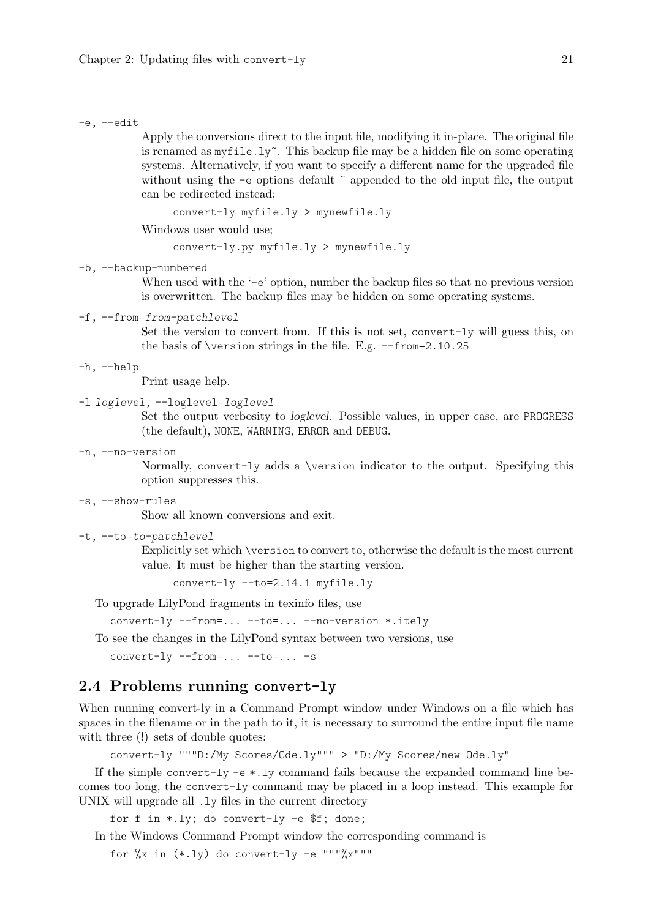#### <span id="page-23-0"></span>-e, --edit

Apply the conversions direct to the input file, modifying it in-place. The original file is renamed as  $myfile.ly^{\sim}$ . This backup file may be a hidden file on some operating systems. Alternatively, if you want to specify a different name for the upgraded file without using the  $-e$  options default  $\tilde{ }$  appended to the old input file, the output can be redirected instead;

```
convert-ly myfile.ly > mynewfile.ly
```
Windows user would use;

convert-ly.py myfile.ly > mynewfile.ly

## -b, --backup-numbered

When used with the '-e' option, number the backup files so that no previous version is overwritten. The backup files may be hidden on some operating systems.

#### -f, --from=from-patchlevel

Set the version to convert from. If this is not set, convert-ly will guess this, on the basis of \version strings in the file. E.g. --from=2.10.25

#### -h, --help

Print usage help.

## -l loglevel, --loglevel=loglevel

Set the output verbosity to loglevel. Possible values, in upper case, are PROGRESS (the default), NONE, WARNING, ERROR and DEBUG.

#### -n, --no-version

Normally, convert-ly adds a \version indicator to the output. Specifying this option suppresses this.

#### -s, --show-rules

Show all known conversions and exit.

#### -t, --to=to-patchlevel

Explicitly set which \version to convert to, otherwise the default is the most current value. It must be higher than the starting version.

convert-ly --to=2.14.1 myfile.ly

To upgrade LilyPond fragments in texinfo files, use

convert-ly --from=... --to=... --no-version \*.itely

To see the changes in the LilyPond syntax between two versions, use

convert-ly --from=... --to=... -s

## 2.4 Problems running **convert-ly**

When running convert-ly in a Command Prompt window under Windows on a file which has spaces in the filename or in the path to it, it is necessary to surround the entire input file name with three  $(!)$  sets of double quotes:

convert-ly """D:/My Scores/Ode.ly""" > "D:/My Scores/new Ode.ly"

If the simple convert-ly -e \*.ly command fails because the expanded command line becomes too long, the convert-ly command may be placed in a loop instead. This example for UNIX will upgrade all .ly files in the current directory

for f in \*.ly; do convert-ly -e \$f; done;

In the Windows Command Prompt window the corresponding command is

for  $\frac{6}{x}$  in  $(*.1y)$  do convert-ly -e """"x"""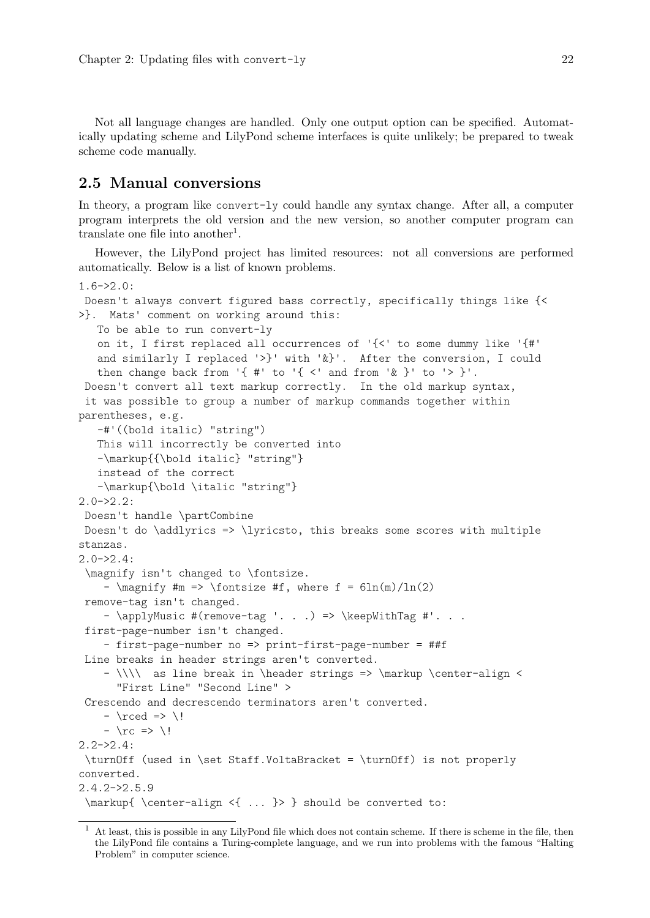<span id="page-24-0"></span>Not all language changes are handled. Only one output option can be specified. Automatically updating scheme and LilyPond scheme interfaces is quite unlikely; be prepared to tweak scheme code manually.

## 2.5 Manual conversions

In theory, a program like convert-ly could handle any syntax change. After all, a computer program interprets the old version and the new version, so another computer program can translate one file into another<sup>1</sup>.

However, the LilyPond project has limited resources: not all conversions are performed automatically. Below is a list of known problems.

```
1.6 - 2.0:
Doesn't always convert figured bass correctly, specifically things like {<
>}. Mats' comment on working around this:
   To be able to run convert-ly
   on it, I first replaced all occurrences of \{<\} to some dummy like \{#'
   and similarly I replaced '>}' with '\&}'. After the conversion, I could
   then change back from \{ #' to \{ < ' \text{ and from } '> '\} to \geq \}'.
Doesn't convert all text markup correctly. In the old markup syntax,
 it was possible to group a number of markup commands together within
parentheses, e.g.
   -#'((bold italic) "string")
   This will incorrectly be converted into
   -\markup{{\bold italic} "string"}
   instead of the correct
   -\markup{\bold \italic "string"}
2.0->2.2:
Doesn't handle \partCombine
Doesn't do \addlyrics => \lyricsto, this breaks some scores with multiple
stanzas.
2.0 - 2.4:
 \magnify isn't changed to \fontsize.
    - \max_{m \neq m \neq 0} \cdot \frac{m}{m} => \frac{m}{m} = \frac{m}{m}remove-tag isn't changed.
    - \applyMusic #(remove-tag '...) => \keepWithTag #'...
 first-page-number isn't changed.
    - first-page-number no => print-first-page-number = ##f
 Line breaks in header strings aren't converted.
    - \|\cdot\| as line break in \header strings => \markup \center-align <
      "First Line" "Second Line" >
 Crescendo and decrescendo terminators aren't converted.
    - \rceil- \rcorner => \backslash!
2.2 - 2.4:
 \turnOff (used in \set Staff.VoltaBracket = \turnOff) is not properly
converted.
2.4.2->2.5.9
 \markup{ \center-align <{ ... }> } should be converted to:
```
<sup>1</sup> At least, this is possible in any LilyPond file which does not contain scheme. If there is scheme in the file, then the LilyPond file contains a Turing-complete language, and we run into problems with the famous "Halting Problem" in computer science.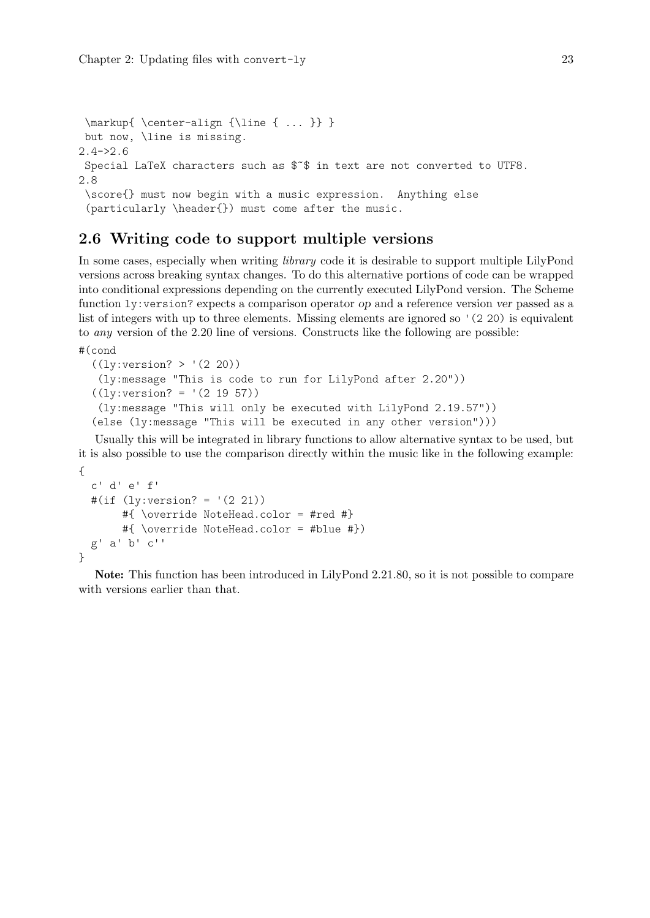```
\markup{ \center-align {\line { ... }} }
 but now, \line is missing.
2.4 - 2.6Special LaTeX characters such as $˜$ in text are not converted to UTF8.
2.8
 \score{} must now begin with a music expression. Anything else
 (particularly \header{}) must come after the music.
```
# 2.6 Writing code to support multiple versions

In some cases, especially when writing *library* code it is desirable to support multiple LilyPond versions across breaking syntax changes. To do this alternative portions of code can be wrapped into conditional expressions depending on the currently executed LilyPond version. The Scheme function ly:version? expects a comparison operator op and a reference version ver passed as a list of integers with up to three elements. Missing elements are ignored so '(2 20) is equivalent to any version of the 2.20 line of versions. Constructs like the following are possible:

```
#(cond
```

```
((ly:version? > '(2 20))(ly:message "This is code to run for LilyPond after 2.20"))
((ly:version? = '(2 19 57))
 (ly:message "This will only be executed with LilyPond 2.19.57"))
(else (ly:message "This will be executed in any other version")))
```
Usually this will be integrated in library functions to allow alternative syntax to be used, but it is also possible to use the comparison directly within the music like in the following example: {

```
c' d' e' f'
  #(if (ly:version? = '(2 21))#{ \override NoteHead.color = #red #}
       #{ \override NoteHead.color = #blue #})
  g' a' b' c''
}
```
Note: This function has been introduced in LilyPond 2.21.80, so it is not possible to compare with versions earlier than that.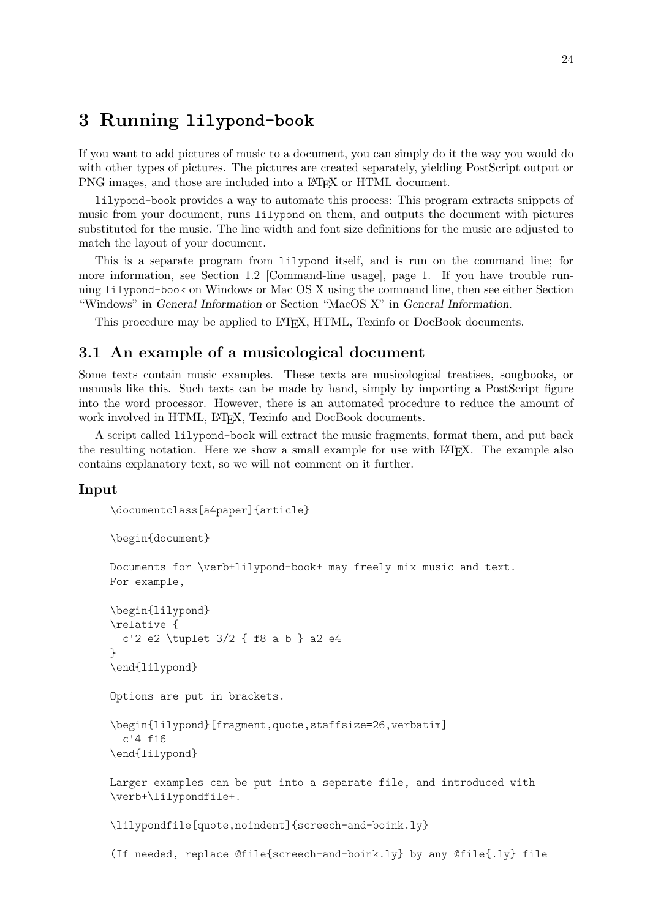# <span id="page-26-0"></span>3 Running **lilypond-book**

If you want to add pictures of music to a document, you can simply do it the way you would do with other types of pictures. The pictures are created separately, yielding PostScript output or PNG images, and those are included into a LAT<sub>EX</sub> or HTML document.

lilypond-book provides a way to automate this process: This program extracts snippets of music from your document, runs lilypond on them, and outputs the document with pictures substituted for the music. The line width and font size definitions for the music are adjusted to match the layout of your document.

This is a separate program from lilypond itself, and is run on the command line; for more information, see [Section 1.2 \[Command-line usage\], page 1.](#page-3-1) If you have trouble running lilypond-book on Windows or Mac OS X using the command line, then see either Section "Windows" in General Information or Section "MacOS X" in General Information.

This procedure may be applied to LAT<sub>EX</sub>, HTML, Texinfo or DocBook documents.

# 3.1 An example of a musicological document

Some texts contain music examples. These texts are musicological treatises, songbooks, or manuals like this. Such texts can be made by hand, simply by importing a PostScript figure into the word processor. However, there is an automated procedure to reduce the amount of work involved in HTML, LATEX, Texinfo and DocBook documents.

A script called lilypond-book will extract the music fragments, format them, and put back the resulting notation. Here we show a small example for use with LATEX. The example also contains explanatory text, so we will not comment on it further.

## Input

```
\documentclass[a4paper]{article}
```

```
\begin{document}
```

```
Documents for \verb+lilypond-book+ may freely mix music and text.
For example,
```

```
\begin{lilypond}
\relative {
  c'2 e2 \tuplet 3/2 { f8 a b } a2 e4
}
\end{lilypond}
```
Options are put in brackets.

```
\begin{lilypond}[fragment,quote,staffsize=26,verbatim]
  c'4 f16
\end{lilypond}
```

```
Larger examples can be put into a separate file, and introduced with
\verb+\lilypondfile+.
```
\lilypondfile[quote,noindent]{screech-and-boink.ly}

(If needed, replace @file{screech-and-boink.ly} by any @file{.ly} file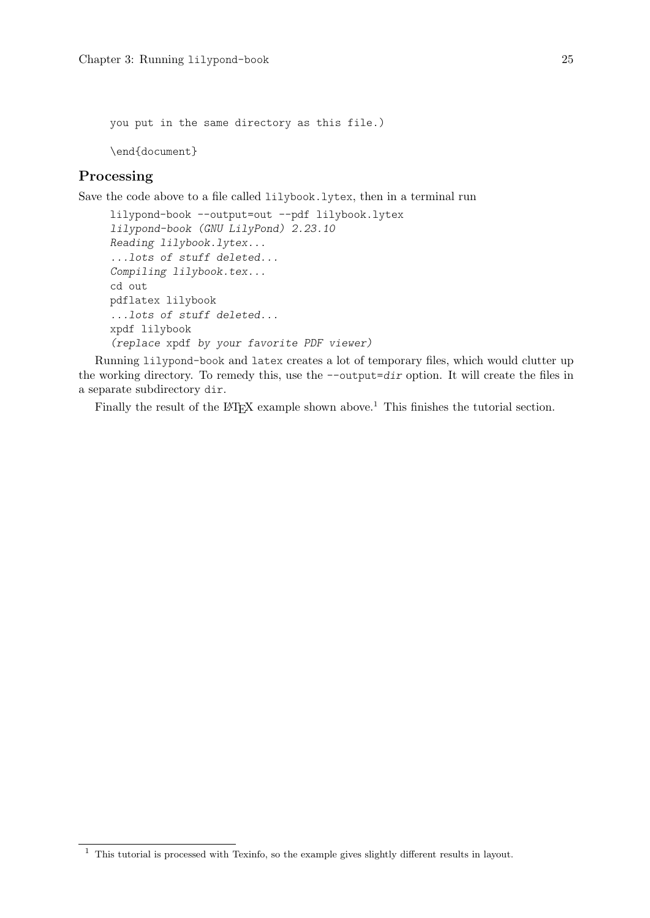you put in the same directory as this file.) \end{document}

## Processing

Save the code above to a file called lilybook.lytex, then in a terminal run

```
lilypond-book --output=out --pdf lilybook.lytex
lilypond-book (GNU LilyPond) 2.23.10
Reading lilybook.lytex...
...lots of stuff deleted...
Compiling lilybook.tex...
cd out
pdflatex lilybook
...lots of stuff deleted...
xpdf lilybook
(replace xpdf by your favorite PDF viewer)
```
Running lilypond-book and latex creates a lot of temporary files, which would clutter up the working directory. To remedy this, use the  $--$ output=dir option. It will create the files in a separate subdirectory dir.

Finally the result of the  $\text{MTEX}$  example shown above.<sup>1</sup> This finishes the tutorial section.

 $^{\rm 1}$  This tutorial is processed with Texinfo, so the example gives slightly different results in layout.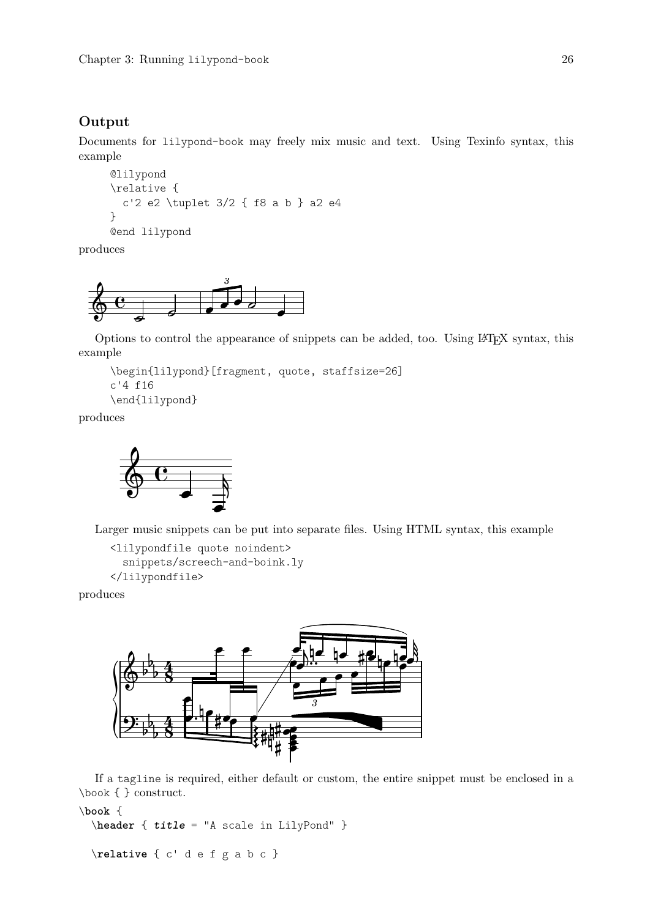## Output

Documents for lilypond-book may freely mix music and text. Using Texinfo syntax, this example

```
@lilypond
\relative {
  c'2 e2 \tuplet 3/2 { f8 a b } a2 e4
}
@end lilypond
```
produces



Options to control the appearance of snippets can be added, too. Using L<sup>A</sup>TEX syntax, this example

```
\begin{lilypond}[fragment, quote, staffsize=26]
c'4 f16
\end{lilypond}
```
produces



Larger music snippets can be put into separate files. Using HTML syntax, this example

```
<lilypondfile quote noindent>
  snippets/screech-and-boink.ly
</lilypondfile>
```
produces



If a tagline is required, either default or custom, the entire snippet must be enclosed in a \book { } construct.

```
\book {
  \header { title = "A scale in LilyPond" }
```
\**relative** { c' d e f g a b c }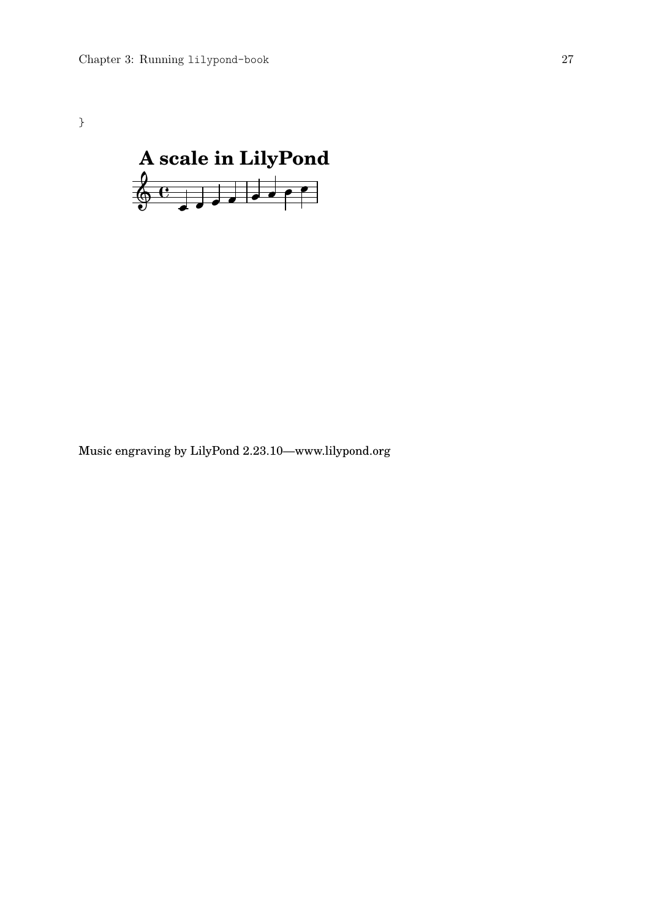}



Music engraving by LilyPond 2.23.10—www.lilypond.org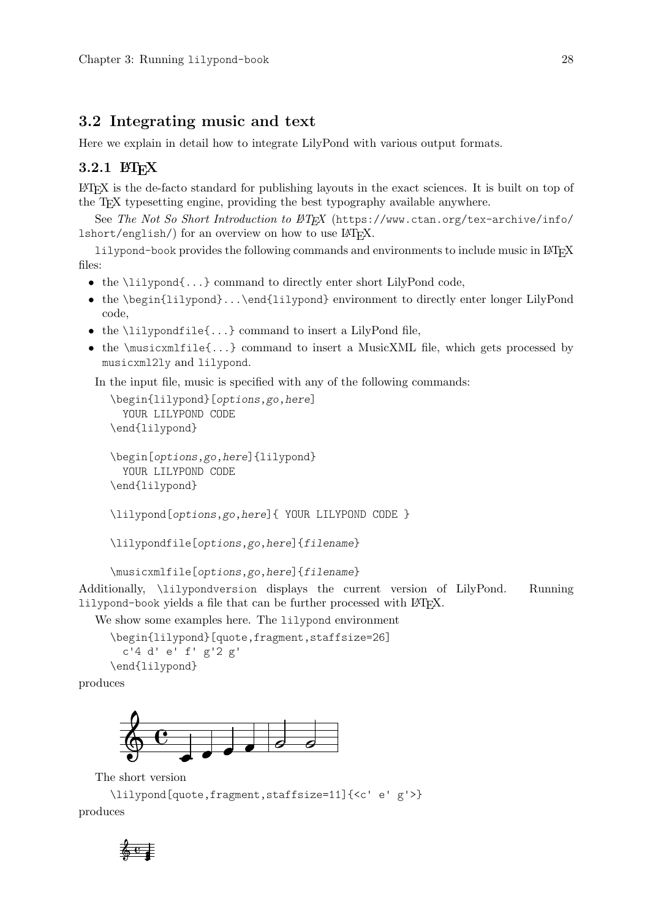## <span id="page-30-0"></span>3.2 Integrating music and text

Here we explain in detail how to integrate LilyPond with various output formats.

## $3.2.1$   $\text{MTF}X$

L<sup>A</sup>TEX is the de-facto standard for publishing layouts in the exact sciences. It is built on top of the TEX typesetting engine, providing the best typography available anywhere.

See The Not So Short Introduction to  $\cancel{B}T_F X$  ([https://www.ctan.org/tex-archive/info/](https://www.ctan.org/tex-archive/info/lshort/english/)  $\text{lshort/english/}}$  $\text{lshort/english/}}$  $\text{lshort/english/}}$  for an overview on how to use  $\text{LFTFX}.$ 

lilypond-book provides the following commands and environments to include music in LATEX files:

- the \lilypond{...} command to directly enter short LilyPond code,
- the \begin{lilypond}...\end{lilypond} environment to directly enter longer LilyPond code,
- $\bullet$  the \lilypondfile{...} command to insert a LilyPond file,
- the  $\text{invariantile}\{... \}$  command to insert a MusicXML file, which gets processed by musicxml2ly and lilypond.

In the input file, music is specified with any of the following commands:

```
\begin{lilypond}[options,go,here]
  YOUR LILYPOND CODE
\end{lilypond}
```

```
\begin[options,go,here]{lilypond}
  YOUR LILYPOND CODE
\end{lilypond}
```
\lilypond[options,go,here]{ YOUR LILYPOND CODE }

```
\lilypondfile[options,go,here]{filename}
```
\musicxmlfile[options,go,here]{filename}

Additionally, \lilypondversion displays the current version of LilyPond. Running lilypond-book yields a file that can be further processed with  $\text{MTFX}$ .

We show some examples here. The lilypond environment

\begin{lilypond}[quote,fragment,staffsize=26] c'4 d' e' f' g'2 g' \end{lilypond}

produces



The short version

```
\lilypond[quote,fragment,staffsize=11]{<c' e' g'>}
produces
```
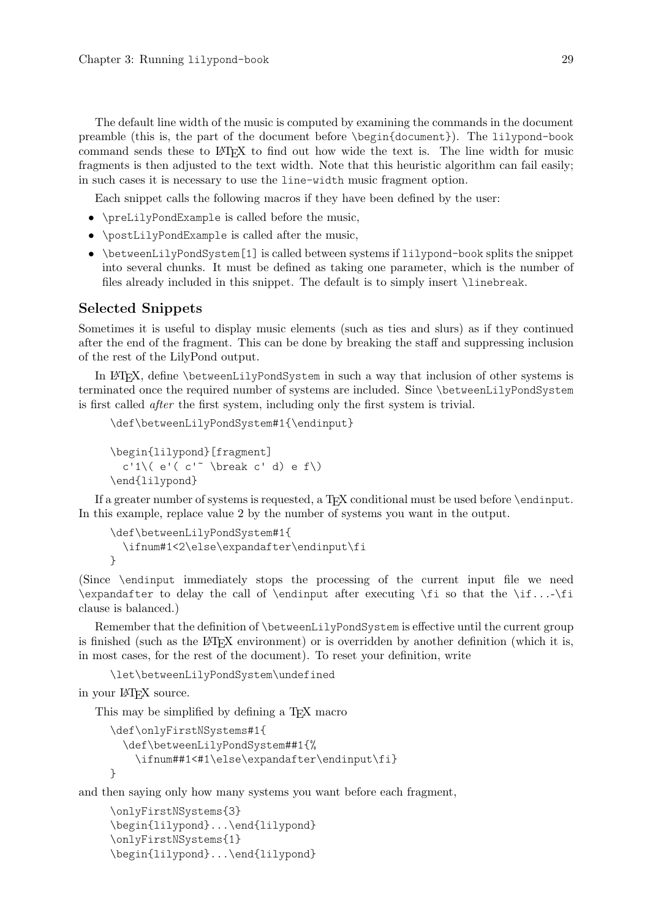The default line width of the music is computed by examining the commands in the document preamble (this is, the part of the document before \begin{document}). The lilypond-book command sends these to LAT<sub>EX</sub> to find out how wide the text is. The line width for music fragments is then adjusted to the text width. Note that this heuristic algorithm can fail easily; in such cases it is necessary to use the line-width music fragment option.

Each snippet calls the following macros if they have been defined by the user:

- \preLilyPondExample is called before the music,
- \postLilyPondExample is called after the music,
- \betweenLilyPondSystem[1] is called between systems if lilypond-book splits the snippet into several chunks. It must be defined as taking one parameter, which is the number of files already included in this snippet. The default is to simply insert \linebreak.

## Selected Snippets

Sometimes it is useful to display music elements (such as ties and slurs) as if they continued after the end of the fragment. This can be done by breaking the staff and suppressing inclusion of the rest of the LilyPond output.

In L<sup>A</sup>TEX, define \betweenLilyPondSystem in such a way that inclusion of other systems is terminated once the required number of systems are included. Since \betweenLilyPondSystem is first called after the first system, including only the first system is trivial.

```
\def\betweenLilyPondSystem#1{\endinput}
```

```
\begin{lilypond}[fragment]
  c'1\( e'( c'<sup>~</sup> \break c' d) e f\)
\end{lilypond}
```
If a greater number of systems is requested, a T<sub>E</sub>X conditional must be used before \endinput. In this example, replace value 2 by the number of systems you want in the output.

```
\def\betweenLilyPondSystem#1{
  \ifnum#1<2\else\expandafter\endinput\fi
}
```
(Since \endinput immediately stops the processing of the current input file we need  $\exp\left\{ \exp\left( \frac{1}{\pi} \cdot \frac{1}{\pi} \cdot \frac{1}{\pi} \right) \right\}$ clause is balanced.)

Remember that the definition of \betweenLilyPondSystem is effective until the current group is finished (such as the LAT<sub>EX</sub> environment) or is overridden by another definition (which it is, in most cases, for the rest of the document). To reset your definition, write

\let\betweenLilyPondSystem\undefined

in your L<sup>A</sup>TEX source.

This may be simplified by defining a T<sub>E</sub>X macro

```
\def\onlyFirstNSystems#1{
  \def\betweenLilyPondSystem##1{%
    \ifnum##1<#1\else\expandafter\endinput\fi}
}
```
and then saying only how many systems you want before each fragment,

```
\onlyFirstNSystems{3}
\begin{lilypond}...\end{lilypond}
\onlyFirstNSystems{1}
\begin{lilypond}...\end{lilypond}
```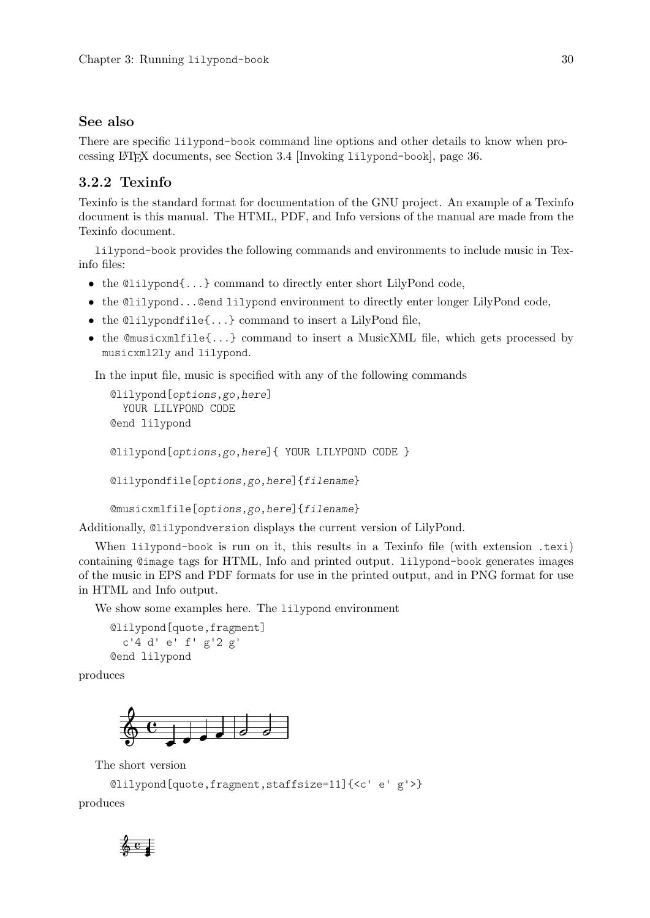## <span id="page-32-0"></span>See also

There are specific lilypond-book command line options and other details to know when processing L<sup>A</sup>TEX documents, see [Section 3.4 \[Invoking](#page-38-1) lilypond-book], page 36.

## 3.2.2 Texinfo

Texinfo is the standard format for documentation of the GNU project. An example of a Texinfo document is this manual. The HTML, PDF, and Info versions of the manual are made from the Texinfo document.

lilypond-book provides the following commands and environments to include music in Texinfo files:

- the @lilypond{...} command to directly enter short LilyPond code,
- the @lilypond...@end lilypond environment to directly enter longer LilyPond code,
- $\bullet$  the @lilypondfile{...} command to insert a LilyPond file,
- the  $\mathbb{C}$ musicxmlfile $\{\ldots\}$  command to insert a MusicXML file, which gets processed by musicxml2ly and lilypond.

In the input file, music is specified with any of the following commands

```
@lilypond[options,go,here]
  YOUR LILYPOND CODE
@end lilypond
@lilypond[options,go,here]{ YOUR LILYPOND CODE }
@lilypondfile[options,go,here]{filename}
```
@musicxmlfile[options,go,here]{filename}

Additionally, @lilypondversion displays the current version of LilyPond.

When lilypond-book is run on it, this results in a Texinfo file (with extension .texi) containing @image tags for HTML, Info and printed output. lilypond-book generates images of the music in EPS and PDF formats for use in the printed output, and in PNG format for use in HTML and Info output.

We show some examples here. The lilypond environment

```
@lilypond[quote,fragment]
  c'4 d' e' f' g'2 g'
@end lilypond
```
produces



The short version

```
@lilypond[quote,fragment,staffsize=11]{<c' e' g'>}
```
produces

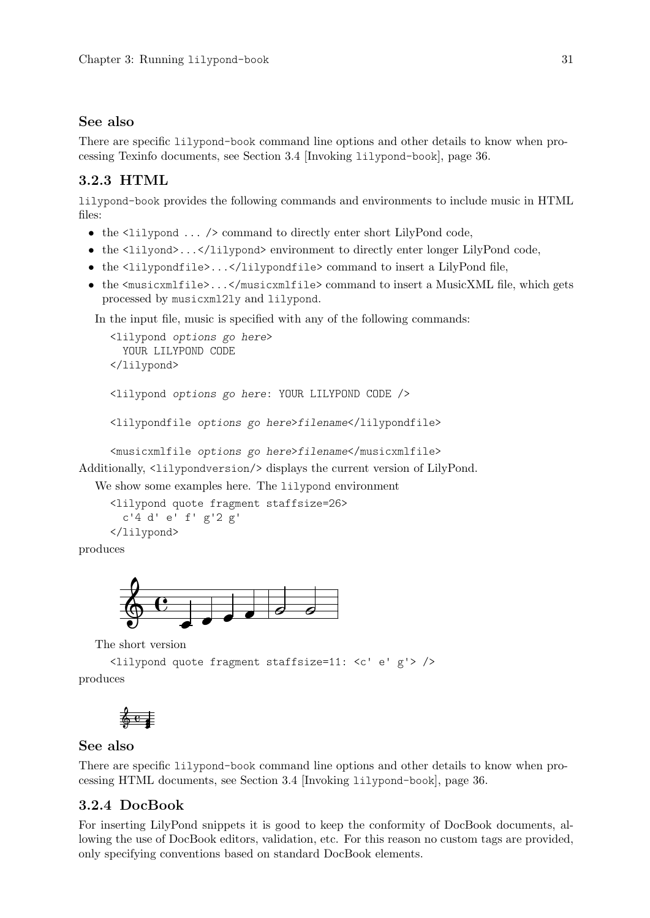## <span id="page-33-0"></span>See also

There are specific lilypond-book command line options and other details to know when processing Texinfo documents, see [Section 3.4 \[Invoking](#page-38-1) lilypond-book], page 36.

# 3.2.3 HTML

lilypond-book provides the following commands and environments to include music in HTML files:

- the  $\langle \text{lilypond} \dots \rangle$  command to directly enter short LilyPond code,
- the <lilyond>...</lilypond> environment to directly enter longer LilyPond code,
- the <lilypondfile>...</lilypondfile> command to insert a LilyPond file,
- the  $\{musicxmlfile\}$ ... $\{\mbox{musicxmlfile}\}$  command to insert a MusicXML file, which gets processed by musicxml2ly and lilypond.

In the input file, music is specified with any of the following commands:

```
<lilypond options go here>
       YOUR LILYPOND CODE
     </lilypond>
     <lilypond options go here: YOUR LILYPOND CODE />
     <lilypondfile options go here>filename</lilypondfile>
     <musicxmlfile options go here>filename</musicxmlfile>
Additionally, <lilypondversion/> displays the current version of LilyPond.
```
We show some examples here. The lilypond environment

```
<lilypond quote fragment staffsize=26>
  c'4 d' e' f' g'2 g'
</lilypond>
```
produces



The short version

<lilypond quote fragment staffsize=11: <c' e' g'> /> produces

$$
\frac{2}{9}e
$$

## See also

There are specific lilypond-book command line options and other details to know when processing HTML documents, see [Section 3.4 \[Invoking](#page-38-1) lilypond-book], page 36.

# 3.2.4 DocBook

For inserting LilyPond snippets it is good to keep the conformity of DocBook documents, allowing the use of DocBook editors, validation, etc. For this reason no custom tags are provided, only specifying conventions based on standard DocBook elements.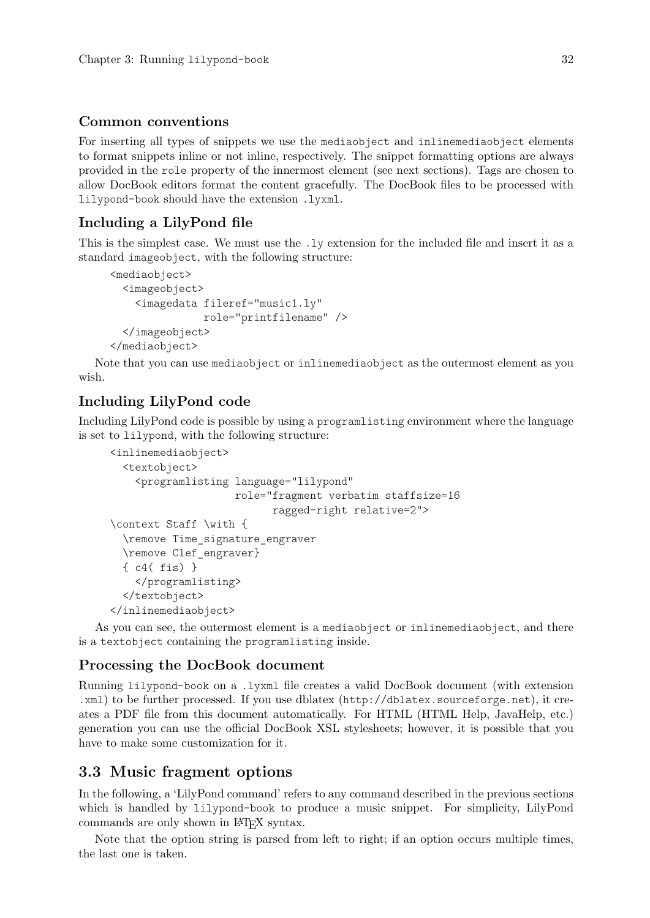## <span id="page-34-0"></span>Common conventions

For inserting all types of snippets we use the mediaobject and inlinemediaobject elements to format snippets inline or not inline, respectively. The snippet formatting options are always provided in the role property of the innermost element (see next sections). Tags are chosen to allow DocBook editors format the content gracefully. The DocBook files to be processed with lilypond-book should have the extension .lyxml.

## Including a LilyPond file

This is the simplest case. We must use the .ly extension for the included file and insert it as a standard imageobject, with the following structure:

```
<mediaobject>
  <imageobject>
    <imagedata fileref="music1.ly"
               role="printfilename" />
  </imageobject>
</mediaobject>
```
Note that you can use mediaobject or inlinemediaobject as the outermost element as you wish.

# Including LilyPond code

Including LilyPond code is possible by using a programlisting environment where the language is set to lilypond, with the following structure:

```
<inlinemediaobject>
  <textobject>
    <programlisting language="lilypond"
                    role="fragment verbatim staffsize=16
                          ragged-right relative=2">
\context Staff \with {
  \remove Time_signature_engraver
  \remove Clef_engraver}
  { c4( fis) }
    </programlisting>
  </textobject>
</inlinemediaobject>
```
As you can see, the outermost element is a mediaobject or inlinemediaobject, and there is a textobject containing the programlisting inside.

## Processing the DocBook document

Running lilypond-book on a .lyxml file creates a valid DocBook document (with extension .xml) to be further processed. If you use dblatex (<http://dblatex.sourceforge.net>), it creates a PDF file from this document automatically. For HTML (HTML Help, JavaHelp, etc.) generation you can use the official DocBook XSL stylesheets; however, it is possible that you have to make some customization for it.

# 3.3 Music fragment options

In the following, a 'LilyPond command' refers to any command described in the previous sections which is handled by lilypond-book to produce a music snippet. For simplicity, LilyPond commands are only shown in L<sup>A</sup>TEX syntax.

Note that the option string is parsed from left to right; if an option occurs multiple times, the last one is taken.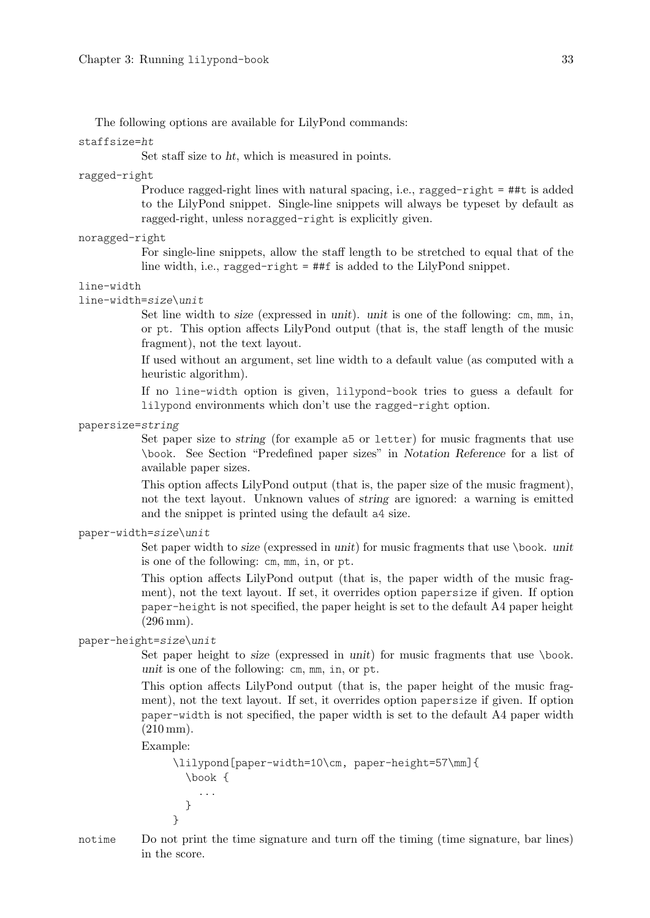The following options are available for LilyPond commands:

## staffsize=ht

Set staff size to ht, which is measured in points.

## ragged-right

Produce ragged-right lines with natural spacing, i.e., ragged-right  $=$  ##t is added to the LilyPond snippet. Single-line snippets will always be typeset by default as ragged-right, unless noragged-right is explicitly given.

#### noragged-right

For single-line snippets, allow the staff length to be stretched to equal that of the line width, i.e., ragged-right = ##f is added to the LilyPond snippet.

## line-width

line-width=size\unit

Set line width to size (expressed in unit). unit is one of the following: cm, mm, in, or pt. This option affects LilyPond output (that is, the staff length of the music fragment), not the text layout.

If used without an argument, set line width to a default value (as computed with a heuristic algorithm).

If no line-width option is given, lilypond-book tries to guess a default for lilypond environments which don't use the ragged-right option.

papersize=string

Set paper size to string (for example a5 or letter) for music fragments that use \book. See Section "Predefined paper sizes" in Notation Reference for a list of available paper sizes.

This option affects LilyPond output (that is, the paper size of the music fragment), not the text layout. Unknown values of string are ignored: a warning is emitted and the snippet is printed using the default a4 size.

```
paper-width=size\unit
```
Set paper width to *size* (expressed in unit) for music fragments that use \book. unit is one of the following: cm, mm, in, or pt.

This option affects LilyPond output (that is, the paper width of the music fragment), not the text layout. If set, it overrides option papersize if given. If option paper-height is not specified, the paper height is set to the default A4 paper height (296 mm).

paper-height=size\unit

Set paper height to size (expressed in unit) for music fragments that use \book. unit is one of the following: cm, mm, in, or pt.

This option affects LilyPond output (that is, the paper height of the music fragment), not the text layout. If set, it overrides option papersize if given. If option paper-width is not specified, the paper width is set to the default A4 paper width (210 mm).

Example:

```
\lilypond[paper-width=10\cm, paper-height=57\mm]{
 \book {
    ...
 }
}
```
notime Do not print the time signature and turn off the timing (time signature, bar lines) in the score.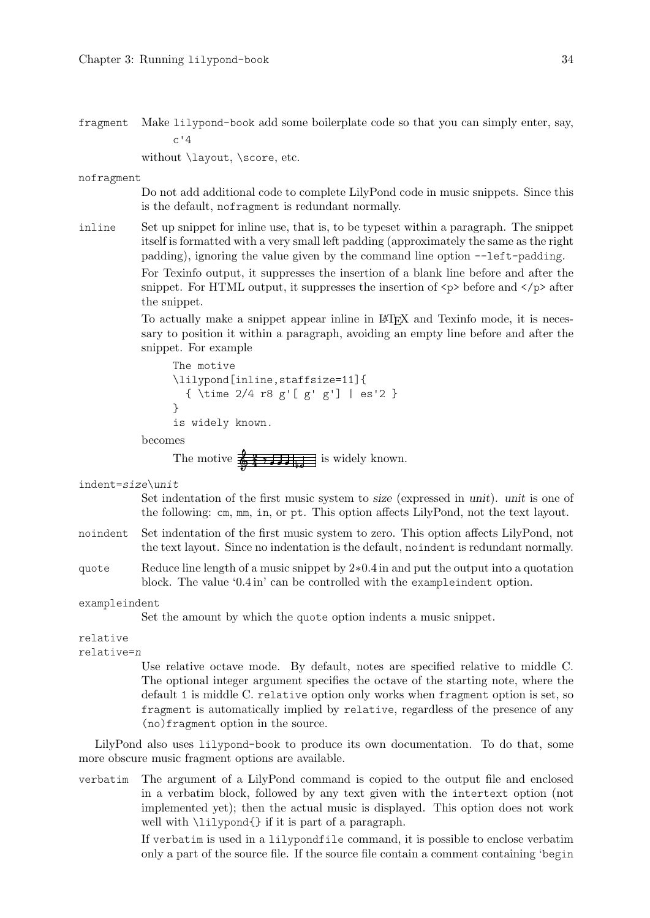fragment Make lilypond-book add some boilerplate code so that you can simply enter, say,  $c'4$ 

without *\layout*, *\score*, etc.

nofragment

Do not add additional code to complete LilyPond code in music snippets. Since this is the default, nofragment is redundant normally.

inline Set up snippet for inline use, that is, to be typeset within a paragraph. The snippet itself is formatted with a very small left padding (approximately the same as the right padding), ignoring the value given by the command line option --left-padding.

> For Texinfo output, it suppresses the insertion of a blank line before and after the snippet. For HTML output, it suppresses the insertion of  $\langle p \rangle$  before and  $\langle p \rangle$  after the snippet.

> To actually make a snippet appear inline in L<sup>A</sup>TEX and Texinfo mode, it is necessary to position it within a paragraph, avoiding an empty line before and after the snippet. For example

```
The motive
\lilypond[inline,staffsize=11]{
  { \time 2/4 r8 g'[ g' g'] | es'2 }
}
is widely known.
```
becomes

The motive  $\frac{2}{9}$   $\frac{2}{10}$   $\frac{1}{10}$  is widely known.

indent=size\unit

Set indentation of the first music system to size (expressed in unit). unit is one of the following: cm, mm, in, or pt. This option affects LilyPond, not the text layout.

- noindent Set indentation of the first music system to zero. This option affects LilyPond, not the text layout. Since no indentation is the default, noindent is redundant normally.
- quote Reduce line length of a music snippet by 2∗0.4 in and put the output into a quotation block. The value '0.4 in' can be controlled with the exampleindent option.

exampleindent

Set the amount by which the quote option indents a music snippet.

#### relative

relative=n

Use relative octave mode. By default, notes are specified relative to middle C. The optional integer argument specifies the octave of the starting note, where the default 1 is middle C. relative option only works when fragment option is set, so fragment is automatically implied by relative, regardless of the presence of any (no)fragment option in the source.

LilyPond also uses lilypond-book to produce its own documentation. To do that, some more obscure music fragment options are available.

verbatim The argument of a LilyPond command is copied to the output file and enclosed in a verbatim block, followed by any text given with the intertext option (not implemented yet); then the actual music is displayed. This option does not work well with \lilypond{} if it is part of a paragraph.

> If verbatim is used in a lilypondfile command, it is possible to enclose verbatim only a part of the source file. If the source file contain a comment containing 'begin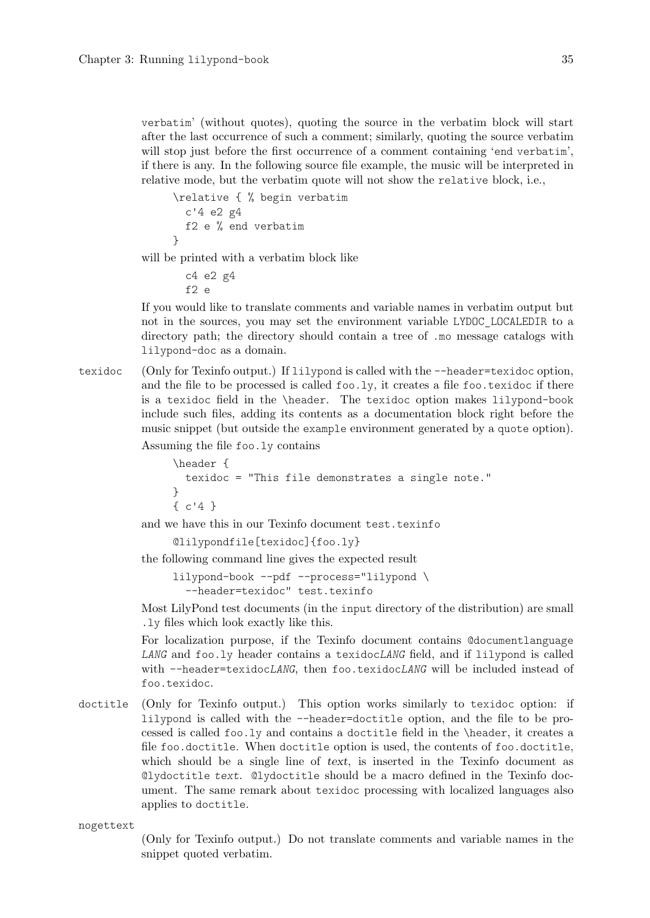verbatim' (without quotes), quoting the source in the verbatim block will start after the last occurrence of such a comment; similarly, quoting the source verbatim will stop just before the first occurrence of a comment containing 'end verbatim', if there is any. In the following source file example, the music will be interpreted in relative mode, but the verbatim quote will not show the relative block, i.e.,

```
\relative { % begin verbatim
 c'4 e2 g4
 f2 e % end verbatim
}
```
will be printed with a verbatim block like

```
c4 e2 g4
f2 e
```
If you would like to translate comments and variable names in verbatim output but not in the sources, you may set the environment variable LYDOC\_LOCALEDIR to a directory path; the directory should contain a tree of .mo message catalogs with lilypond-doc as a domain.

texidoc (Only for Texinfo output.) If lilypond is called with the --header=texidoc option, and the file to be processed is called  $f \circ \varphi$ . It creates a file  $f \circ \varphi$ . text doe if there is a texidoc field in the \header. The texidoc option makes lilypond-book include such files, adding its contents as a documentation block right before the music snippet (but outside the example environment generated by a quote option).

Assuming the file foo.ly contains

```
\header {
 texidoc = "This file demonstrates a single note."
}
{ c'4 }
```
and we have this in our Texinfo document test.texinfo

```
@lilypondfile[texidoc]{foo.ly}
```
the following command line gives the expected result

lilypond-book --pdf --process="lilypond \ --header=texidoc" test.texinfo

Most LilyPond test documents (in the input directory of the distribution) are small .ly files which look exactly like this.

For localization purpose, if the Texinfo document contains @documentlanguage LANG and foo.ly header contains a texidocLANG field, and if lilypond is called with --header=texidocLANG, then foo.texidocLANG will be included instead of foo.texidoc.

```
doctitle (Only for Texinfo output.) This option works similarly to texidoc option: if
           lilypond is called with the --header=doctitle option, and the file to be pro-
           cessed is called foo.ly and contains a doctitle field in the \header, it creates a
           file foo.doctitle. When doctitle option is used, the contents of foo.doctitle,
           which should be a single line of text, is inserted in the Texinfo document as
           @lydoctitle text. @lydoctitle should be a macro defined in the Texinfo doc-
           ument. The same remark about texidoc processing with localized languages also
           applies to doctitle.
```
nogettext

(Only for Texinfo output.) Do not translate comments and variable names in the snippet quoted verbatim.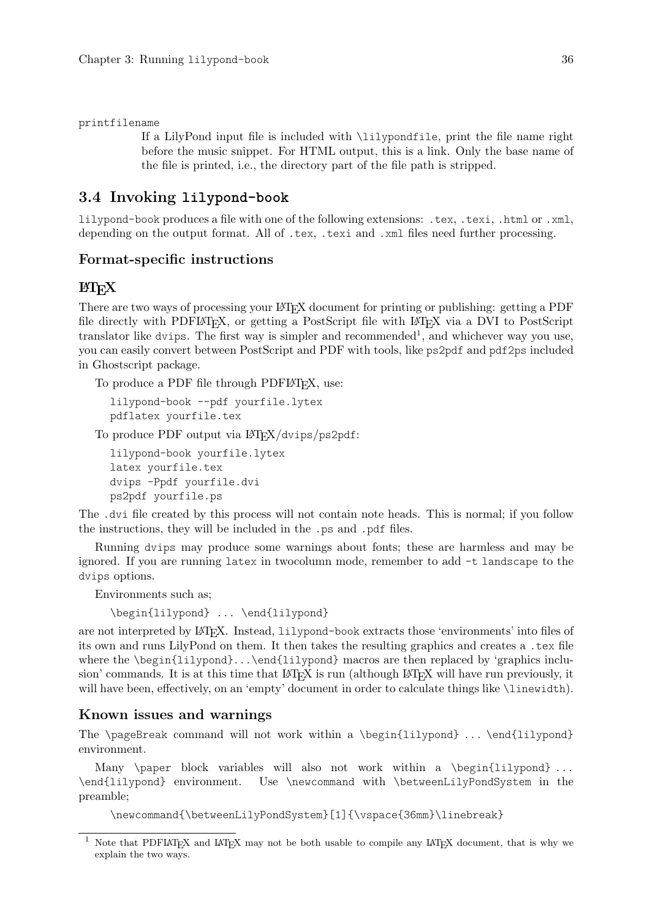#### printfilename

If a LilyPond input file is included with \lilypondfile, print the file name right before the music snippet. For HTML output, this is a link. Only the base name of the file is printed, i.e., the directory part of the file path is stripped.

## <span id="page-38-0"></span>3.4 Invoking **lilypond-book**

lilypond-book produces a file with one of the following extensions: .tex, .texi, .html or .xml, depending on the output format. All of .tex, .texi and .xml files need further processing.

#### Format-specific instructions

### $BTrX$

There are two ways of processing your LAT<sub>EX</sub> document for printing or publishing: getting a PDF file directly with PDFLAT<sub>EX</sub>, or getting a PostScript file with LAT<sub>EX</sub> via a DVI to PostScript translator like dvips. The first way is simpler and recommended<sup>1</sup>, and whichever way you use, you can easily convert between PostScript and PDF with tools, like ps2pdf and pdf2ps included in Ghostscript package.

To produce a PDF file through PDFLATEX, use:

lilypond-book --pdf yourfile.lytex pdflatex yourfile.tex

To produce PDF output via LAT<sub>EX</sub>/dvips/ps2pdf:

lilypond-book yourfile.lytex latex yourfile.tex dvips -Ppdf yourfile.dvi ps2pdf yourfile.ps

The .dvi file created by this process will not contain note heads. This is normal; if you follow the instructions, they will be included in the .ps and .pdf files.

Running dvips may produce some warnings about fonts; these are harmless and may be ignored. If you are running latex in twocolumn mode, remember to add -t landscape to the dvips options.

Environments such as;

\begin{lilypond} ... \end{lilypond}

are not interpreted by L<sup>A</sup>TEX. Instead, lilypond-book extracts those 'environments' into files of its own and runs LilyPond on them. It then takes the resulting graphics and creates a .tex file where the \begin{lilypond}...\end{lilypond} macros are then replaced by 'graphics inclusion' commands. It is at this time that LATEX is run (although LATEX will have run previously, it will have been, effectively, on an 'empty' document in order to calculate things like \linewidth).

### Known issues and warnings

The \pageBreak command will not work within a \begin{lilypond} ... \end{lilypond} environment.

Many  $\text{block variables}$  will also not work within a  $\begin{array}{ll} \text{length} < \text{length} \end{array}$ \end{lilypond} environment. Use \newcommand with \betweenLilyPondSystem in the preamble;

\newcommand{\betweenLilyPondSystem}[1]{\vspace{36mm}\linebreak}

<sup>&</sup>lt;sup>1</sup> Note that PDFIAT<sub>E</sub>X and IAT<sub>E</sub>X may not be both usable to compile any IAT<sub>E</sub>X document, that is why we explain the two ways.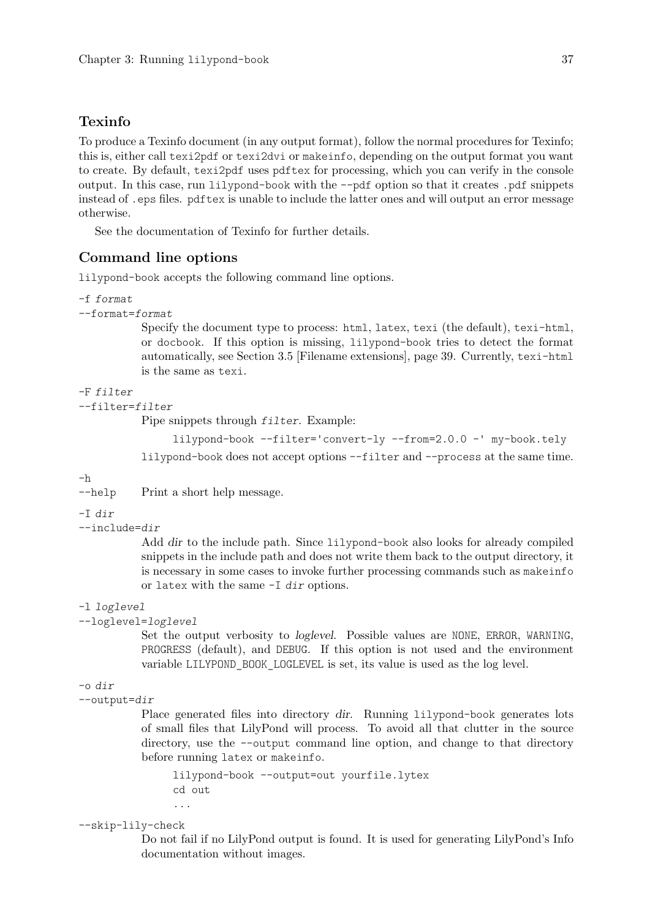## Texinfo

To produce a Texinfo document (in any output format), follow the normal procedures for Texinfo; this is, either call texi2pdf or texi2dvi or makeinfo, depending on the output format you want to create. By default, texi2pdf uses pdftex for processing, which you can verify in the console output. In this case, run lilypond-book with the --pdf option so that it creates .pdf snippets instead of .eps files. pdftex is unable to include the latter ones and will output an error message otherwise.

See the documentation of Texinfo for further details.

### Command line options

lilypond-book accepts the following command line options.

```
-f format
```

```
--format=format
```
Specify the document type to process: html, latex, texi (the default), texi-html, or docbook. If this option is missing, lilypond-book tries to detect the format automatically, see [Section 3.5 \[Filename extensions\], page 39.](#page-41-0) Currently, texi-html is the same as texi.

## -F filter

--filter=filter

Pipe snippets through filter. Example:

lilypond-book --filter='convert-ly --from=2.0.0 -' my-book.tely

lilypond-book does not accept options --filter and --process at the same time.

 $-h$ 

```
--help Print a short help message.
```
-I dir

--include=dir

Add dir to the include path. Since lilypond-book also looks for already compiled snippets in the include path and does not write them back to the output directory, it is necessary in some cases to invoke further processing commands such as makeinfo or latex with the same -I dir options.

#### -l loglevel

--loglevel=loglevel

Set the output verbosity to loglevel. Possible values are NONE, ERROR, WARNING, PROGRESS (default), and DEBUG. If this option is not used and the environment variable LILYPOND\_BOOK\_LOGLEVEL is set, its value is used as the log level.

```
-o dir
```

```
--output=dir
```
Place generated files into directory dir. Running lilypond-book generates lots of small files that LilyPond will process. To avoid all that clutter in the source directory, use the --output command line option, and change to that directory before running latex or makeinfo.

lilypond-book --output=out yourfile.lytex cd out ...

### --skip-lily-check

Do not fail if no LilyPond output is found. It is used for generating LilyPond's Info documentation without images.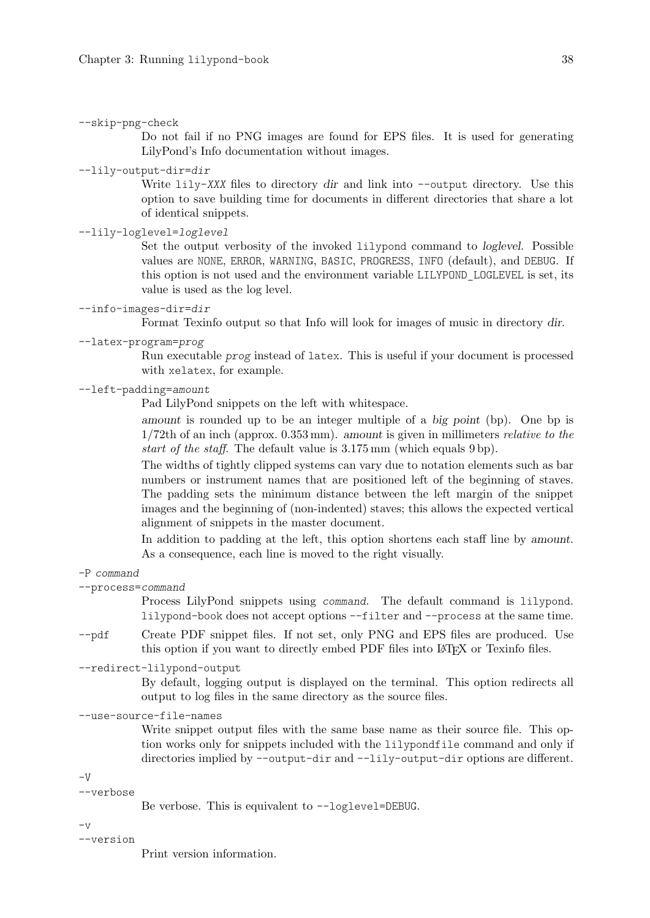#### --skip-png-check

Do not fail if no PNG images are found for EPS files. It is used for generating LilyPond's Info documentation without images.

#### --lily-output-dir=dir

Write lily-XXX files to directory dir and link into --output directory. Use this option to save building time for documents in different directories that share a lot of identical snippets.

#### --lily-loglevel=loglevel

Set the output verbosity of the invoked lilypond command to loglevel. Possible values are NONE, ERROR, WARNING, BASIC, PROGRESS, INFO (default), and DEBUG. If this option is not used and the environment variable LILYPOND\_LOGLEVEL is set, its value is used as the log level.

#### --info-images-dir=dir

Format Texinfo output so that Info will look for images of music in directory dir.

--latex-program=prog

Run executable prog instead of latex. This is useful if your document is processed with xelatex, for example.

#### --left-padding=amount

Pad LilyPond snippets on the left with whitespace.

amount is rounded up to be an integer multiple of a big point (bp). One bp is 1/72th of an inch (approx. 0.353 mm). amount is given in millimeters relative to the start of the staff. The default value is 3.175 mm (which equals 9 bp).

The widths of tightly clipped systems can vary due to notation elements such as bar numbers or instrument names that are positioned left of the beginning of staves. The padding sets the minimum distance between the left margin of the snippet images and the beginning of (non-indented) staves; this allows the expected vertical alignment of snippets in the master document.

In addition to padding at the left, this option shortens each staff line by amount. As a consequence, each line is moved to the right visually.

#### -P command

--process=command

Process LilyPond snippets using command. The default command is lilypond. lilypond-book does not accept options --filter and --process at the same time.

- --pdf Create PDF snippet files. If not set, only PNG and EPS files are produced. Use this option if you want to directly embed PDF files into LAT<sub>E</sub>X or Texinfo files.
- --redirect-lilypond-output

By default, logging output is displayed on the terminal. This option redirects all output to log files in the same directory as the source files.

#### --use-source-file-names

Write snippet output files with the same base name as their source file. This option works only for snippets included with the lilypondfile command and only if directories implied by --output-dir and --lily-output-dir options are different.

 $-V$ 

```
--verbose
```

```
Be verbose. This is equivalent to --loglevel=DEBUG.
```
 $-\tau$ 

--version

Print version information.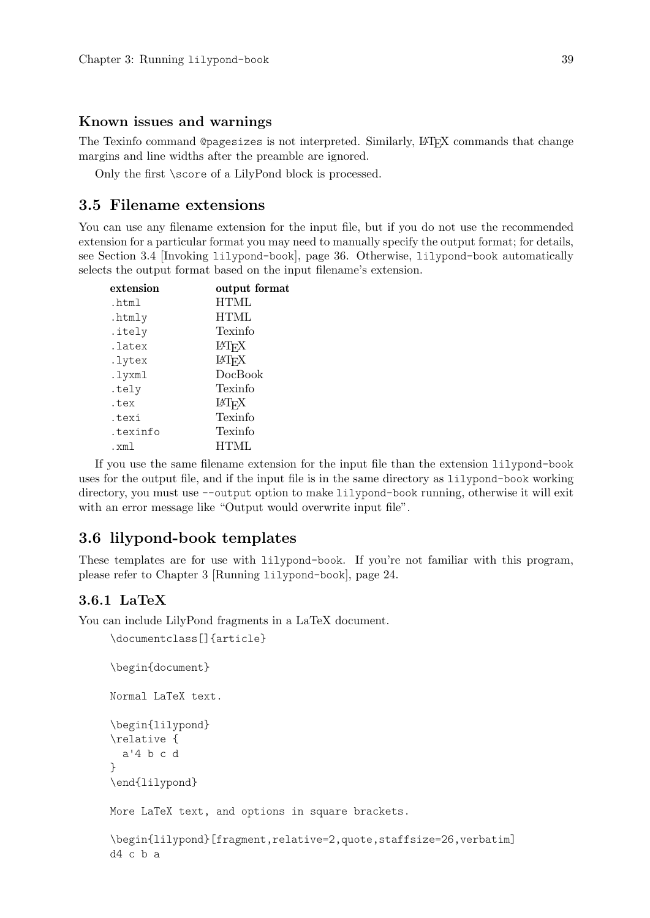### Known issues and warnings

The Texinfo command @pagesizes is not interpreted. Similarly, LAT<sub>EX</sub> commands that change margins and line widths after the preamble are ignored.

Only the first \score of a LilyPond block is processed.

## <span id="page-41-0"></span>3.5 Filename extensions

You can use any filename extension for the input file, but if you do not use the recommended extension for a particular format you may need to manually specify the output format; for details, see [Section 3.4 \[Invoking](#page-38-0) lilypond-book], page 36. Otherwise, lilypond-book automatically selects the output format based on the input filename's extension.

| extension | output format           |
|-----------|-------------------------|
| .html     | <b>HTML</b>             |
| .htmly    | <b>HTML</b>             |
| .itely    | Texinfo                 |
| .latex    | <b>IAT<sub>F</sub>X</b> |
| .lytex    | LAT <sub>F</sub> X      |
| .lyxml    | DocBook                 |
| .tely     | Texinfo                 |
| .tex      | LAT <sub>F</sub> X      |
| .texi     | Texinfo                 |
| .texinfo  | Texinfo                 |
| .xml      | <b>HTML</b>             |

If you use the same filename extension for the input file than the extension lilypond-book uses for the output file, and if the input file is in the same directory as lilypond-book working directory, you must use --output option to make lilypond-book running, otherwise it will exit with an error message like "Output would overwrite input file".

## 3.6 lilypond-book templates

\documentclass[]{article}

These templates are for use with lilypond-book. If you're not familiar with this program, please refer to [Chapter 3 \[Running](#page-26-0) lilypond-book], page 24.

### 3.6.1 LaTeX

You can include LilyPond fragments in a LaTeX document.

```
\begin{document}
Normal LaTeX text.
\begin{lilypond}
\relative {
  a'4 b c d
}
\end{lilypond}
More LaTeX text, and options in square brackets.
\begin{lilypond}[fragment,relative=2,quote,staffsize=26,verbatim]
d4 c b a
```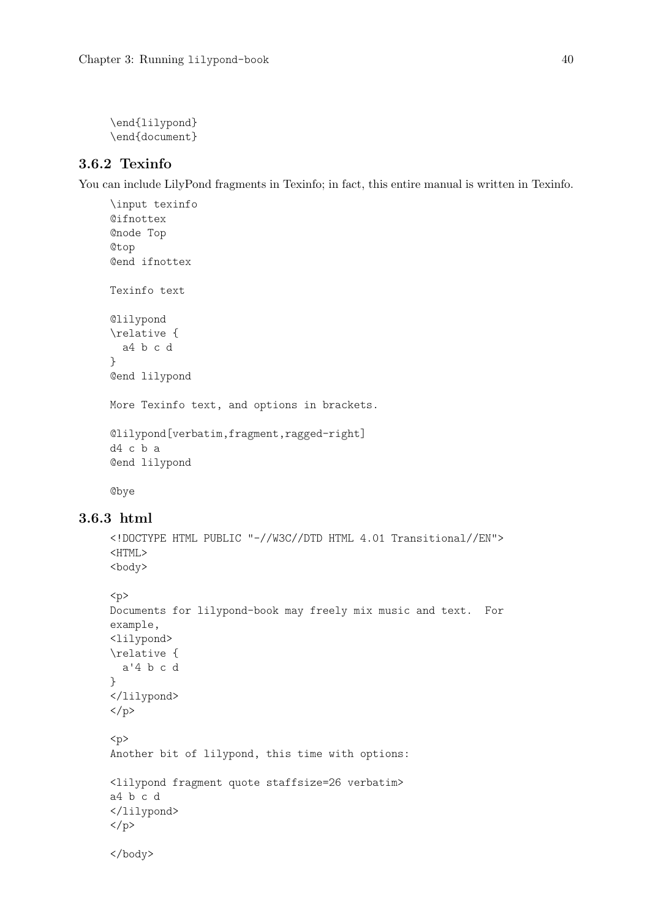\end{lilypond} \end{document}

## 3.6.2 Texinfo

You can include LilyPond fragments in Texinfo; in fact, this entire manual is written in Texinfo.

```
\input texinfo
@ifnottex
@node Top
@top
@end ifnottex
Texinfo text
@lilypond
\relative {
  a4 b c d
}
@end lilypond
More Texinfo text, and options in brackets.
@lilypond[verbatim,fragment,ragged-right]
d4 c b a
@end lilypond
@bye
```
### 3.6.3 html

```
<!DOCTYPE HTML PUBLIC "-//W3C//DTD HTML 4.01 Transitional//EN">
<HTML>
<body>
```

```
< p >Documents for lilypond-book may freely mix music and text. For
example,
<lilypond>
\relative {
 a'4 b c d
}
</lilypond>
\langle/p>
<p>
Another bit of lilypond, this time with options:
<lilypond fragment quote staffsize=26 verbatim>
a4 b c d
</lilypond>
</p>
</body>
```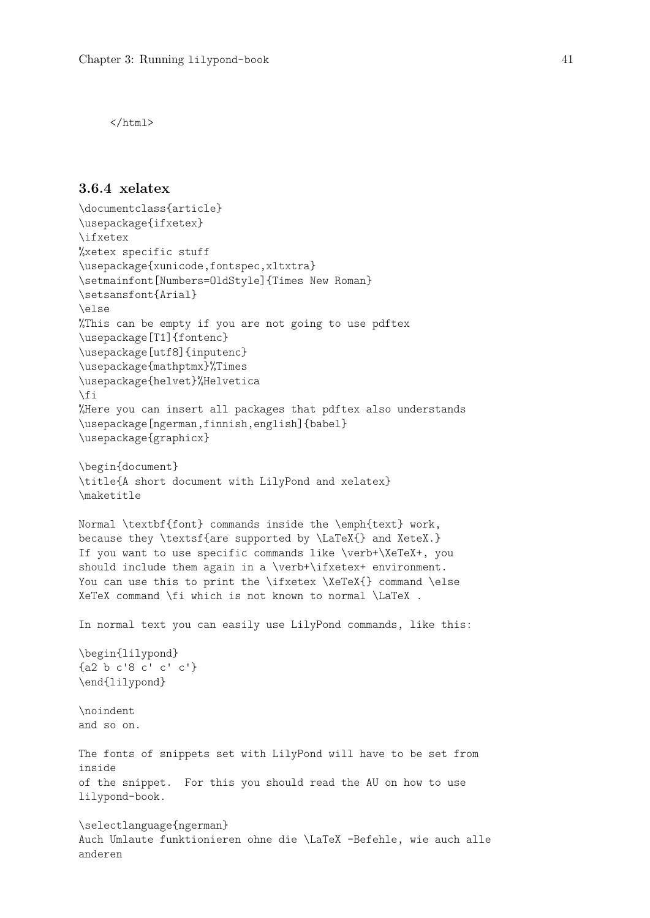</html>

## 3.6.4 xelatex

```
\documentclass{article}
\usepackage{ifxetex}
\ifxetex
%xetex specific stuff
\usepackage{xunicode,fontspec,xltxtra}
\setmainfont[Numbers=OldStyle]{Times New Roman}
\setsansfont{Arial}
\else
%This can be empty if you are not going to use pdftex
\usepackage[T1]{fontenc}
\usepackage[utf8]{inputenc}
\usepackage{mathptmx}%Times
\usepackage{helvet}%Helvetica
\fi
%Here you can insert all packages that pdftex also understands
\usepackage[ngerman,finnish,english]{babel}
\usepackage{graphicx}
\begin{document}
\title{A short document with LilyPond and xelatex}
\maketitle
Normal \textbf{font} commands inside the \emph{text} work,
because they \textsf{are supported by \LaTeX{} and XeteX.}
If you want to use specific commands like \verb+\XeTeX+, you
should include them again in a \verb+\ifxetex+ environment.
You can use this to print the \ifxetex \XeTeX{} command \else
XeTeX command \fi which is not known to normal \LaTeX .
In normal text you can easily use LilyPond commands, like this:
\begin{lilypond}
{a2 b c'8 c' c' c'}
\end{lilypond}
\noindent
and so on.
The fonts of snippets set with LilyPond will have to be set from
inside
of the snippet. For this you should read the AU on how to use
lilypond-book.
\selectlanguage{ngerman}
Auch Umlaute funktionieren ohne die \LaTeX -Befehle, wie auch alle
anderen
```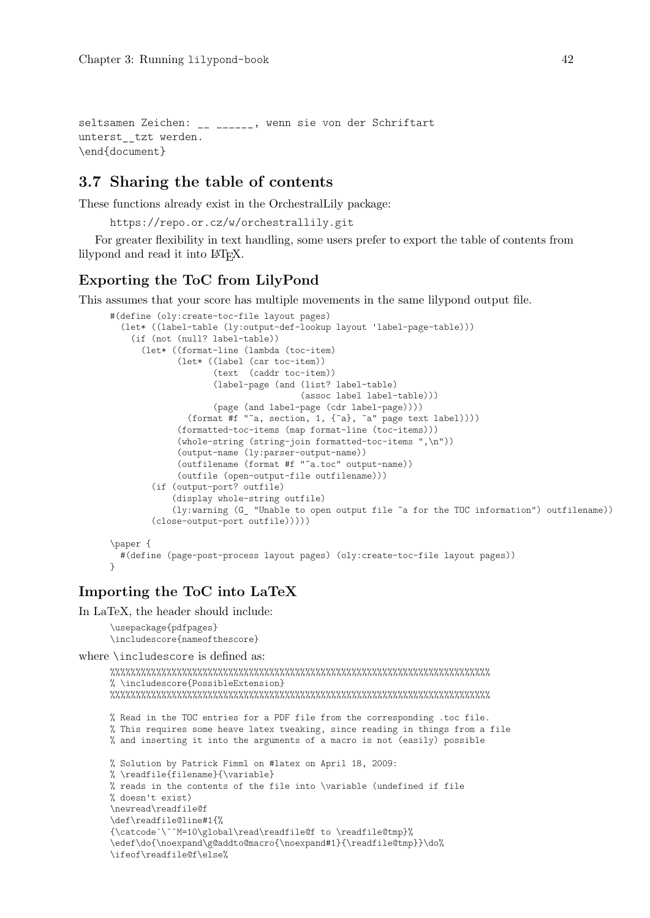seltsamen Zeichen: \_\_ \_\_\_\_\_\_, wenn sie von der Schriftart unterst\_\_tzt werden. \end{document}

## 3.7 Sharing the table of contents

These functions already exist in the OrchestralLily package:

```
https://repo.or.cz/w/orchestrallily.git
```
For greater flexibility in text handling, some users prefer to export the table of contents from lilypond and read it into L<sup>A</sup>TEX.

## Exporting the ToC from LilyPond

This assumes that your score has multiple movements in the same lilypond output file.

```
#(define (oly:create-toc-file layout pages)
  (let* ((label-table (ly:output-def-lookup layout 'label-page-table)))
    (if (not (null? label-table))
      (let* ((format-line (lambda (toc-item)
             (let* ((label (car toc-item))
                    (text (caddr toc-item))
                    (label-page (and (list? label-table)
                                     (assoc label label-table)))
                    (page (and label-page (cdr label-page))))
               (format #f "˜a, section, 1, {˜a}, ˜a" page text label))))
             (formatted-toc-items (map format-line (toc-items)))
             (whole-string (string-join formatted-toc-items ",\n"))
             (output-name (ly:parser-output-name))
             (outfilename (format #f "˜a.toc" output-name))
             (outfile (open-output-file outfilename)))
        (if (output-port? outfile)
            (display whole-string outfile)
            (ly:warning (G_ "Unable to open output file ˜a for the TOC information") outfilename))
        (close-output-port outfile)))))
\paper {
  #(define (page-post-process layout pages) (oly:create-toc-file layout pages))
```

```
}
```
## Importing the ToC into LaTeX

In LaTeX, the header should include:

```
\usepackage{pdfpages}
\includescore{nameofthescore}
```
where \includescore is defined as:

```
%%%%%%%%%%%%%%%%%%%%%%%%%%%%%%%%%%%%%%%%%%%%%%%%%%%%%%%%%%%%%%%%%%%%%%%%%%
% \includescore{PossibleExtension}
%%%%%%%%%%%%%%%%%%%%%%%%%%%%%%%%%%%%%%%%%%%%%%%%%%%%%%%%%%%%%%%%%%%%%%%%%%
% Read in the TOC entries for a PDF file from the corresponding .toc file.
% This requires some heave latex tweaking, since reading in things from a file
% and inserting it into the arguments of a macro is not (easily) possible
% Solution by Patrick Fimml on #latex on April 18, 2009:
% \readfile{filename}{\variable}
% reads in the contents of the file into \variable (undefined if file
% doesn't exist)
\newread\readfile@f
\def\readfile@line#1{%
{\catcode`\ˆˆM=10\global\read\readfile@f to \readfile@tmp}%
\edef\do{\noexpand\g@addto@macro{\noexpand#1}{\readfile@tmp}}\do%
\ifeof\readfile@f\else%
```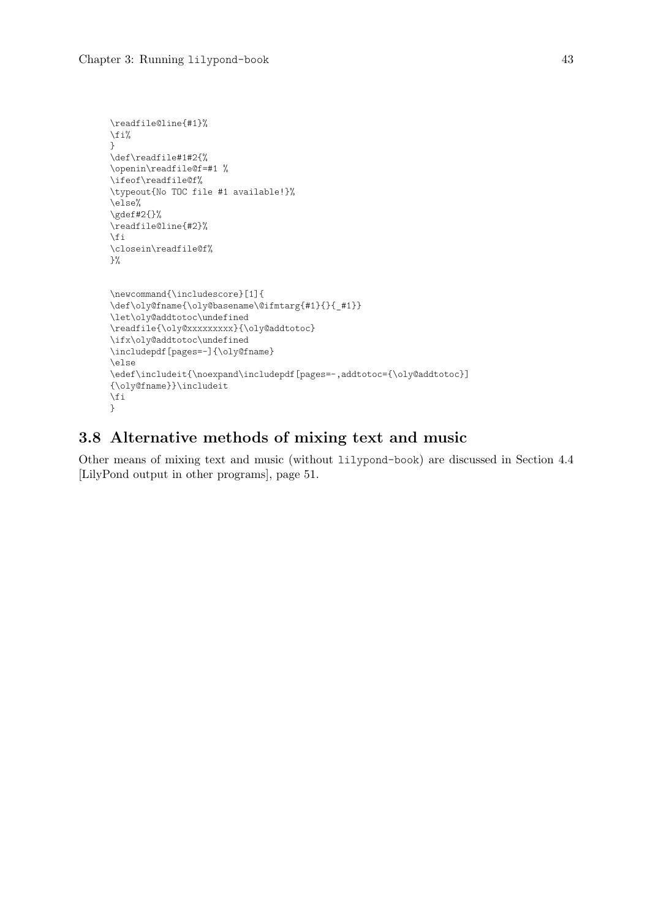```
\readfile@line{#1}%
\fi%
}
\def\readfile#1#2{%
\openin\readfile@f=#1 %
\ifeof\readfile@f%
\typeout{No TOC file #1 available!}%
\else%
\gdef#2{}%
\readfile@line{#2}%
\fi
\closein\readfile@f%
\}%
\newcommand{\includescore}[1]{
\def\oly@fname{\oly@basename\@ifmtarg{#1}{}{_#1}}
\let\oly@addtotoc\undefined
\readfile{\oly@xxxxxxxxx}{\oly@addtotoc}
\ifx\oly@addtotoc\undefined
\includepdf[pages = -] {\oly@fname}
\else
\edef\includeit{\noexpand\includepdf[pages=-,addtotoc={\oly@addtotoc}]
{\oly@fname}}\includeit
\fi
}
```
## 3.8 Alternative methods of mixing text and music

Other means of mixing text and music (without lilypond-book) are discussed in [Section 4.4](#page-53-0) [\[LilyPond output in other programs\], page 51](#page-53-0).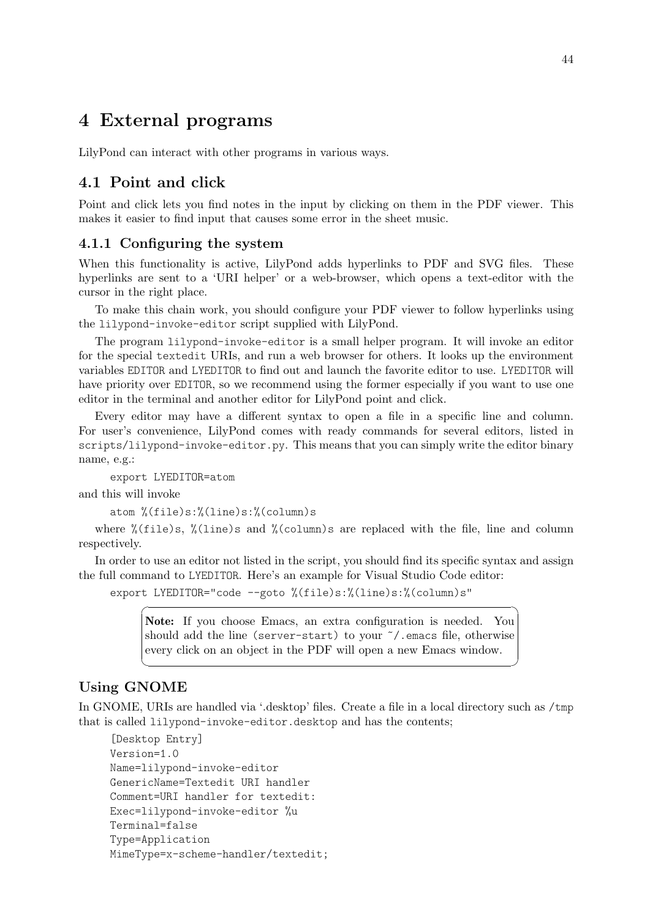# 4 External programs

LilyPond can interact with other programs in various ways.

## 4.1 Point and click

Point and click lets you find notes in the input by clicking on them in the PDF viewer. This makes it easier to find input that causes some error in the sheet music.

## 4.1.1 Configuring the system

When this functionality is active, LilyPond adds hyperlinks to PDF and SVG files. These hyperlinks are sent to a 'URI helper' or a web-browser, which opens a text-editor with the cursor in the right place.

To make this chain work, you should configure your PDF viewer to follow hyperlinks using the lilypond-invoke-editor script supplied with LilyPond.

The program lilypond-invoke-editor is a small helper program. It will invoke an editor for the special textedit URIs, and run a web browser for others. It looks up the environment variables EDITOR and LYEDITOR to find out and launch the favorite editor to use. LYEDITOR will have priority over EDITOR, so we recommend using the former especially if you want to use one editor in the terminal and another editor for LilyPond point and click.

Every editor may have a different syntax to open a file in a specific line and column. For user's convenience, LilyPond comes with ready commands for several editors, listed in scripts/lilypond-invoke-editor.py. This means that you can simply write the editor binary name, e.g.:

export LYEDITOR=atom

and this will invoke

atom %(file)s:%(line)s:%(column)s

where  $\frac{0}{2}$ (file)s,  $\frac{0}{2}$ (line)s and  $\frac{0}{2}$ (column)s are replaced with the file, line and column respectively.

In order to use an editor not listed in the script, you should find its specific syntax and assign the full command to LYEDITOR. Here's an example for Visual Studio Code editor:

export LYEDITOR="code --goto %(file)s:%(line)s:%(column)s"

Note: If you choose Emacs, an extra configuration is needed. You should add the line (server-start) to your ˜/.emacs file, otherwise every click on an object in the PDF will open a new Emacs window.

 $\sqrt{2\pi}$ 

 $\overline{\phantom{a}}$   $\overline{\phantom{a}}$   $\overline{\phantom{a}}$   $\overline{\phantom{a}}$   $\overline{\phantom{a}}$   $\overline{\phantom{a}}$   $\overline{\phantom{a}}$   $\overline{\phantom{a}}$   $\overline{\phantom{a}}$   $\overline{\phantom{a}}$   $\overline{\phantom{a}}$   $\overline{\phantom{a}}$   $\overline{\phantom{a}}$   $\overline{\phantom{a}}$   $\overline{\phantom{a}}$   $\overline{\phantom{a}}$   $\overline{\phantom{a}}$   $\overline{\phantom{a}}$   $\overline{\$ 

## Using GNOME

In GNOME, URIs are handled via '.desktop' files. Create a file in a local directory such as /tmp that is called lilypond-invoke-editor.desktop and has the contents;

```
[Desktop Entry]
Version=1.0
Name=lilypond-invoke-editor
GenericName=Textedit URI handler
Comment=URI handler for textedit:
Exec=lilypond-invoke-editor %u
Terminal=false
Type=Application
MimeType=x-scheme-handler/textedit;
```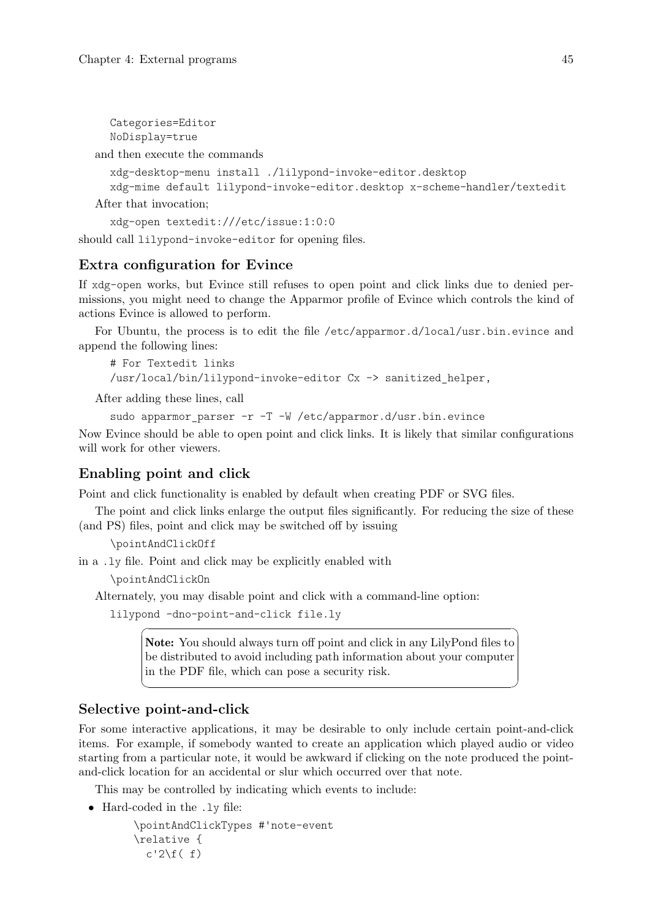```
Categories=Editor
NoDisplay=true
```
and then execute the commands

```
xdg-desktop-menu install ./lilypond-invoke-editor.desktop
  xdg-mime default lilypond-invoke-editor.desktop x-scheme-handler/textedit
After that invocation;
```
xdg-open textedit:///etc/issue:1:0:0

should call lilypond-invoke-editor for opening files.

## Extra configuration for Evince

If xdg-open works, but Evince still refuses to open point and click links due to denied permissions, you might need to change the Apparmor profile of Evince which controls the kind of actions Evince is allowed to perform.

For Ubuntu, the process is to edit the file /etc/apparmor.d/local/usr.bin.evince and append the following lines:

```
# For Textedit links
/usr/local/bin/lilypond-invoke-editor Cx -> sanitized_helper,
```
After adding these lines, call

```
sudo apparmor_parser -r -T -W /etc/apparmor.d/usr.bin.evince
```
Now Evince should be able to open point and click links. It is likely that similar configurations will work for other viewers.

## Enabling point and click

Point and click functionality is enabled by default when creating PDF or SVG files.

The point and click links enlarge the output files significantly. For reducing the size of these (and PS) files, point and click may be switched off by issuing

\pointAndClickOff

```
in a .ly file. Point and click may be explicitly enabled with
```
\pointAndClickOn

Alternately, you may disable point and click with a command-line option:

```
lilypond -dno-point-and-click file.ly
```
Note: You should always turn off point and click in any LilyPond files to be distributed to avoid including path information about your computer in the PDF file, which can pose a security risk.

 $\sqrt{a^2 + a^2 + a^2 + a^2 + a^2}$ 

 $\overline{\phantom{a}}$ 

## Selective point-and-click

For some interactive applications, it may be desirable to only include certain point-and-click items. For example, if somebody wanted to create an application which played audio or video starting from a particular note, it would be awkward if clicking on the note produced the pointand-click location for an accidental or slur which occurred over that note.

This may be controlled by indicating which events to include:

• Hard-coded in the .ly file:

```
\pointAndClickTypes #'note-event
\relative {
  c'2\if( f)
```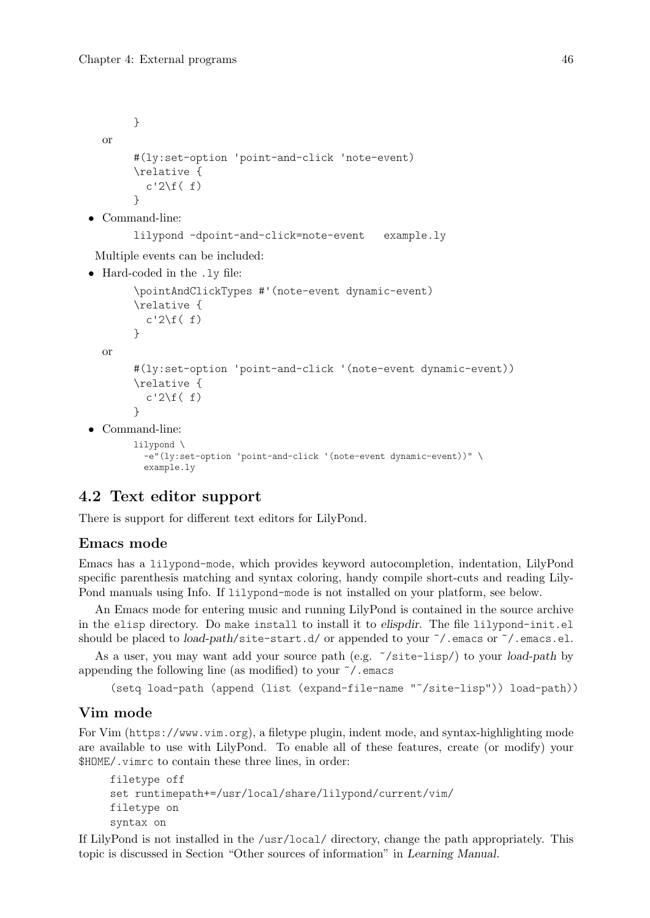```
}
  or
       #(ly:set-option 'point-and-click 'note-event)
       \relative {
         c'2\if( f)\lambda• Command-line:
       lilypond -dpoint-and-click=note-event example.ly
Multiple events can be included:
• Hard-coded in the .ly file:
       \pointAndClickTypes #'(note-event dynamic-event)
       \relative {
         c'2\if( f)}
  or
       #(ly:set-option 'point-and-click '(note-event dynamic-event))
       \relative {
         c'2\if( f)}
• Command-line:
       lilypond \
```

```
-e"(ly:set-option 'point-and-click '(note-event dynamic-event))" \
example.ly
```
## 4.2 Text editor support

There is support for different text editors for LilyPond.

## Emacs mode

Emacs has a lilypond-mode, which provides keyword autocompletion, indentation, LilyPond specific parenthesis matching and syntax coloring, handy compile short-cuts and reading Lily-Pond manuals using Info. If lilypond-mode is not installed on your platform, see below.

An Emacs mode for entering music and running LilyPond is contained in the source archive in the elisp directory. Do make install to install it to elispdir. The file lilypond-init.el should be placed to *load-path*/site-start.d/ or appended to your  $\gamma$ . emacs or  $\gamma$ . emacs.el.

As a user, you may want add your source path (e.g. ˜/site-lisp/) to your load-path by appending the following line (as modified) to your  $\tilde{\ }$  / emacs

(setq load-path (append (list (expand-file-name "˜/site-lisp")) load-path))

## Vim mode

For Vim (<https://www.vim.org>), a filetype plugin, indent mode, and syntax-highlighting mode are available to use with LilyPond. To enable all of these features, create (or modify) your \$HOME/.vimrc to contain these three lines, in order:

```
filetype off
set runtimepath+=/usr/local/share/lilypond/current/vim/
filetype on
syntax on
```
If LilyPond is not installed in the /usr/local/ directory, change the path appropriately. This topic is discussed in Section "Other sources of information" in Learning Manual.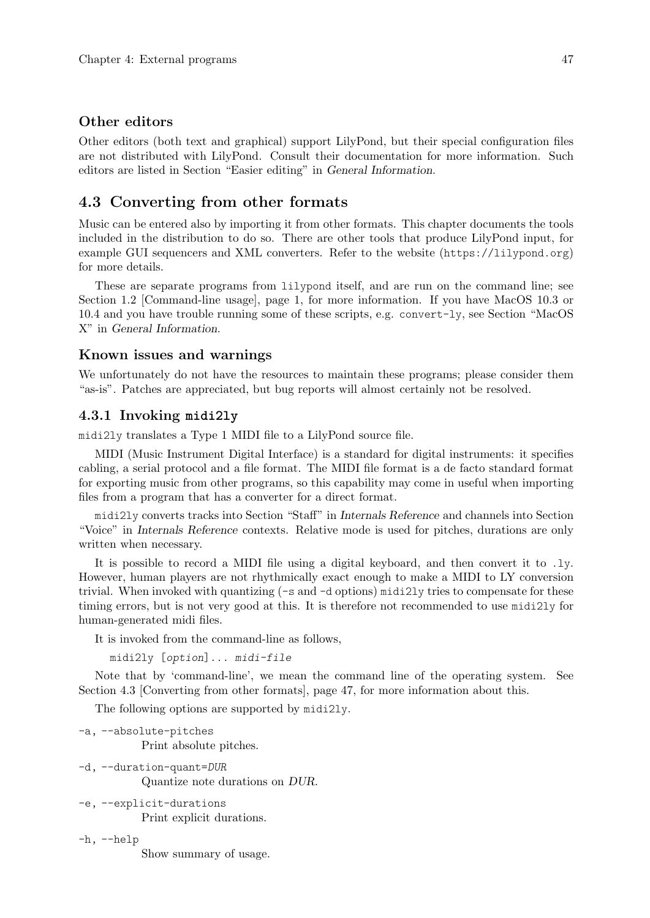#### Other editors

Other editors (both text and graphical) support LilyPond, but their special configuration files are not distributed with LilyPond. Consult their documentation for more information. Such editors are listed in Section "Easier editing" in General Information.

## <span id="page-49-0"></span>4.3 Converting from other formats

Music can be entered also by importing it from other formats. This chapter documents the tools included in the distribution to do so. There are other tools that produce LilyPond input, for example GUI sequencers and XML converters. Refer to the website (<https://lilypond.org>) for more details.

These are separate programs from lilypond itself, and are run on the command line; see [Section 1.2 \[Command-line usage\], page 1,](#page-3-0) for more information. If you have MacOS 10.3 or 10.4 and you have trouble running some of these scripts, e.g. convert-ly, see Section "MacOS X" in General Information.

## Known issues and warnings

We unfortunately do not have the resources to maintain these programs; please consider them "as-is". Patches are appreciated, but bug reports will almost certainly not be resolved.

### 4.3.1 Invoking **midi2ly**

midi2ly translates a Type 1 MIDI file to a LilyPond source file.

MIDI (Music Instrument Digital Interface) is a standard for digital instruments: it specifies cabling, a serial protocol and a file format. The MIDI file format is a de facto standard format for exporting music from other programs, so this capability may come in useful when importing files from a program that has a converter for a direct format.

midi2ly converts tracks into Section "Staff" in Internals Reference and channels into Section "Voice" in Internals Reference contexts. Relative mode is used for pitches, durations are only written when necessary.

It is possible to record a MIDI file using a digital keyboard, and then convert it to .ly. However, human players are not rhythmically exact enough to make a MIDI to LY conversion trivial. When invoked with quantizing (-s and -d options) midi2ly tries to compensate for these timing errors, but is not very good at this. It is therefore not recommended to use midi2ly for human-generated midi files.

It is invoked from the command-line as follows,

```
midi2ly [option]... midi-file
```
Note that by 'command-line', we mean the command line of the operating system. See [Section 4.3 \[Converting from other formats\], page 47](#page-49-0), for more information about this.

The following options are supported by midi2ly.

```
-a, --absolute-pitches
           Print absolute pitches.
```
- -d, --duration-quant=DUR Quantize note durations on DUR.
- -e, --explicit-durations Print explicit durations.
- -h, --help Show summary of usage.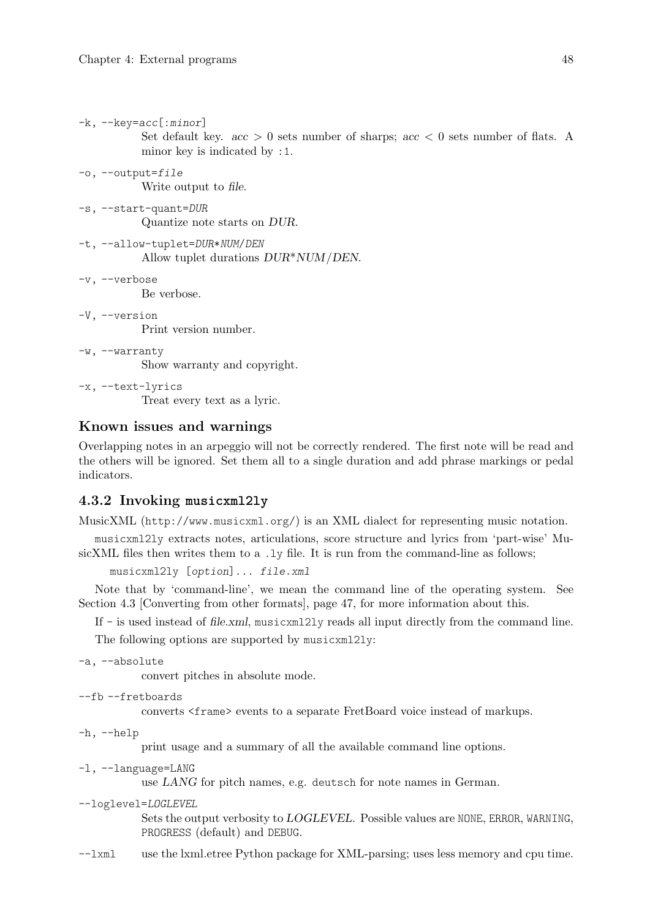-k, --key=acc[:minor]

minor key is indicated by :1. -o, --output=file Write output to file. -s, --start-quant=DUR Quantize note starts on DUR. -t, --allow-tuplet=DUR\*NUM/DEN Allow tuplet durations DUR\*NUM/DEN. -v, --verbose Be verbose. -V, --version Print version number. -w, --warranty Show warranty and copyright. -x, --text-lyrics Treat every text as a lyric.

## Known issues and warnings

Overlapping notes in an arpeggio will not be correctly rendered. The first note will be read and the others will be ignored. Set them all to a single duration and add phrase markings or pedal indicators.

Set default key.  $acc > 0$  sets number of sharps;  $acc < 0$  sets number of flats. A

## 4.3.2 Invoking **musicxml2ly**

MusicXML (<http://www.musicxml.org/>) is an XML dialect for representing music notation.

musicxml2ly extracts notes, articulations, score structure and lyrics from 'part-wise' MusicXML files then writes them to a .1y file. It is run from the command-line as follows;

```
musicxml2ly [option]... file.xml
```
Note that by 'command-line', we mean the command line of the operating system. See [Section 4.3 \[Converting from other formats\], page 47](#page-49-0), for more information about this.

If - is used instead of file.xml, musicxml2ly reads all input directly from the command line.

The following options are supported by musicxml2ly:

-a, --absolute

convert pitches in absolute mode.

```
--fb --fretboards
```
converts <frame> events to a separate FretBoard voice instead of markups.

-h, --help

print usage and a summary of all the available command line options.

-l, --language=LANG

use LANG for pitch names, e.g. deutsch for note names in German.

--loglevel=LOGLEVEL

Sets the output verbosity to LOGLEVEL. Possible values are NONE, ERROR, WARNING, PROGRESS (default) and DEBUG.

--lxml use the lxml.etree Python package for XML-parsing; uses less memory and cpu time.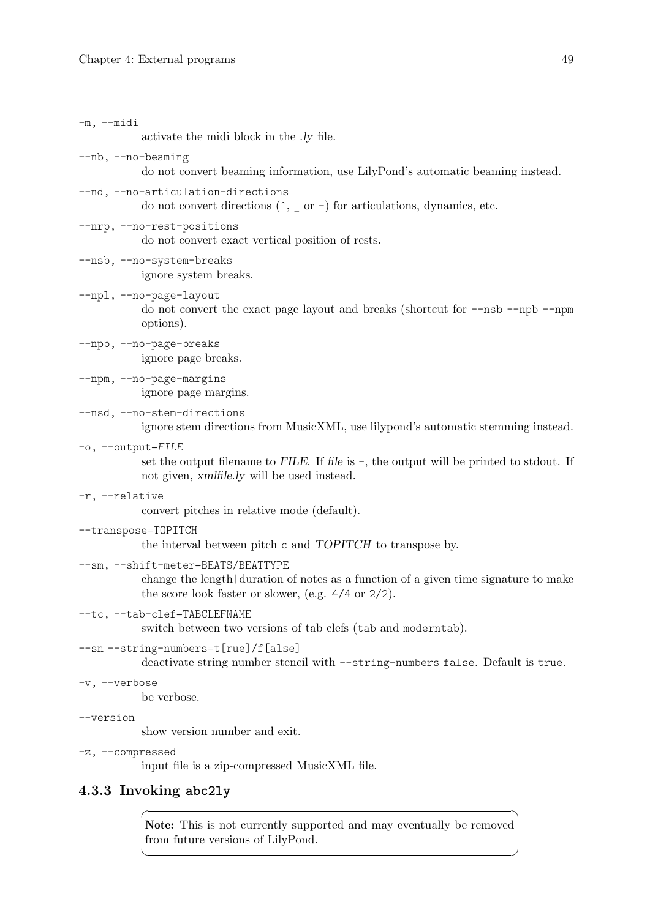| $-m$ , $--midi$    | activate the midi block in the <i>ly</i> file.                                                                                                                                        |
|--------------------|---------------------------------------------------------------------------------------------------------------------------------------------------------------------------------------|
| --nb, --no-beaming | do not convert beaming information, use LilyPond's automatic beaming instead.                                                                                                         |
|                    | --nd, --no-articulation-directions<br>do not convert directions $(\hat{\ }$ , _ or -) for articulations, dynamics, etc.                                                               |
|                    | --nrp, --no-rest-positions<br>do not convert exact vertical position of rests.                                                                                                        |
|                    | --nsb, --no-system-breaks<br>ignore system breaks.                                                                                                                                    |
|                    | --npl, --no-page-layout<br>do not convert the exact page layout and breaks (shortcut for --nsb --npb --npm<br>options).                                                               |
|                    | --npb, --no-page-breaks<br>ignore page breaks.                                                                                                                                        |
|                    | --npm, --no-page-margins<br>ignore page margins.                                                                                                                                      |
|                    | --nsd, --no-stem-directions<br>ignore stem directions from MusicXML, use lilypond's automatic stemming instead.                                                                       |
| -o, --output=FILE  | set the output filename to FILE. If file is $-$ , the output will be printed to stdout. If<br>not given, xmlfile.ly will be used instead.                                             |
| -r, --relative     | convert pitches in relative mode (default).                                                                                                                                           |
|                    | --transpose=TOPITCH<br>the interval between pitch c and TOPITCH to transpose by.                                                                                                      |
|                    | --sm, --shift-meter=BEATS/BEATTYPE<br>change the length duration of notes as a function of a given time signature to make<br>the score look faster or slower, (e.g. $4/4$ or $2/2$ ). |
|                    | --tc, --tab-clef=TABCLEFNAME<br>switch between two versions of tab clefs (tab and moderntab).                                                                                         |
|                    | --sn --string-numbers=t[rue]/f[alse]<br>deactivate string number stencil with --string-numbers false. Default is true.                                                                |
| -v, --verbose      | be verbose.                                                                                                                                                                           |
| --version          | show version number and exit.                                                                                                                                                         |
| -z, --compressed   | input file is a zip-compressed MusicXML file.                                                                                                                                         |
|                    |                                                                                                                                                                                       |

# 4.3.3 Invoking **abc2ly**

Note: This is not currently supported and may eventually be removed from future versions of LilyPond.

 $\sqrt{1 - \frac{1}{2}}$ 

 $\overline{\phantom{a}}$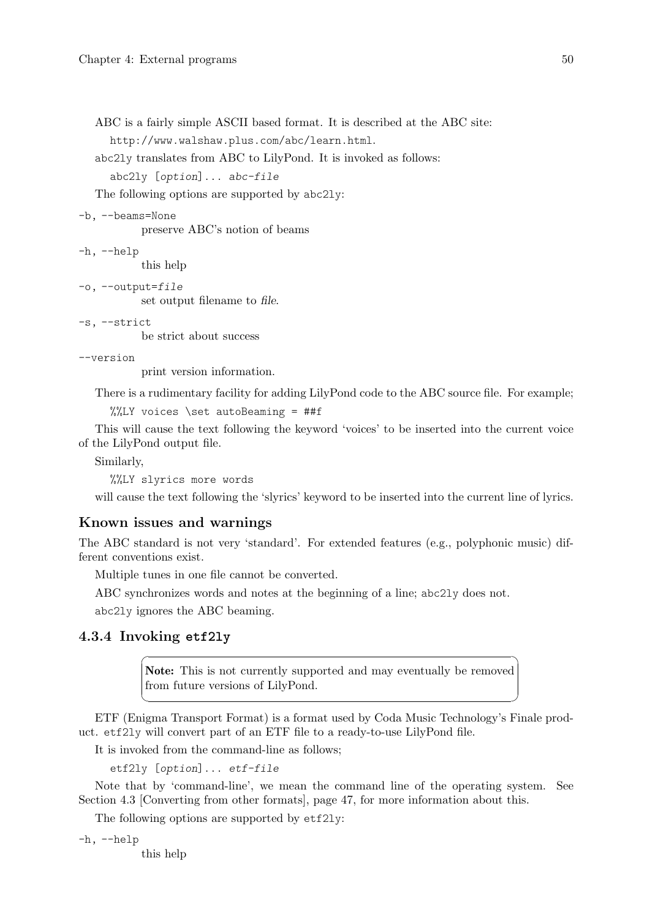ABC is a fairly simple ASCII based format. It is described at the ABC site: <http://www.walshaw.plus.com/abc/learn.html>.

abc2ly translates from ABC to LilyPond. It is invoked as follows:

abc2ly [option]... abc-file

The following options are supported by abc2ly:

```
-b, --beams=None
```
preserve ABC's notion of beams

```
-h, --help
```
this help

-o, --output=file

set output filename to file.

-s, --strict

be strict about success

--version

print version information.

There is a rudimentary facility for adding LilyPond code to the ABC source file. For example;

```
%%LY voices \set autoBeaming = ##f
```
This will cause the text following the keyword 'voices' to be inserted into the current voice of the LilyPond output file.

Similarly,

%%LY slyrics more words

will cause the text following the 'slyrics' keyword to be inserted into the current line of lyrics.

### Known issues and warnings

The ABC standard is not very 'standard'. For extended features (e.g., polyphonic music) different conventions exist.

Multiple tunes in one file cannot be converted.

ABC synchronizes words and notes at the beginning of a line; abc2ly does not.

abc2ly ignores the ABC beaming.

### 4.3.4 Invoking **etf2ly**

Note: This is not currently supported and may eventually be removed from future versions of LilyPond.

 $\sqrt{1 - \frac{1}{2}}$ 

 $\overline{\phantom{a}}$ 

ETF (Enigma Transport Format) is a format used by Coda Music Technology's Finale product. etf2ly will convert part of an ETF file to a ready-to-use LilyPond file.

It is invoked from the command-line as follows;

```
etf2ly [option]... etf-file
```
Note that by 'command-line', we mean the command line of the operating system. See [Section 4.3 \[Converting from other formats\], page 47](#page-49-0), for more information about this.

The following options are supported by etf2ly:

-h, --help

this help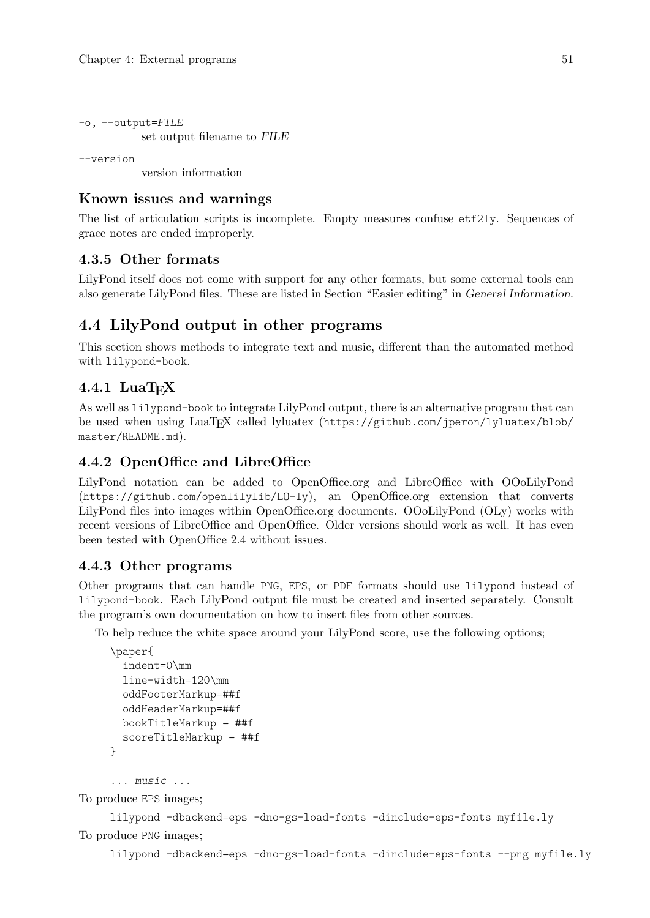```
-o, --output=FILE
           set output filename to FILE
```
--version

version information

## Known issues and warnings

The list of articulation scripts is incomplete. Empty measures confuse etf2ly. Sequences of grace notes are ended improperly.

## 4.3.5 Other formats

LilyPond itself does not come with support for any other formats, but some external tools can also generate LilyPond files. These are listed in Section "Easier editing" in General Information.

## <span id="page-53-0"></span>4.4 LilyPond output in other programs

This section shows methods to integrate text and music, different than the automated method with lilypond-book.

## $4.4.1$  LuaTFX

As well as lilypond-book to integrate LilyPond output, there is an alternative program that can be used when using LuaT<sub>EX</sub> called lyluatex ([https://github.com/jperon/lyluatex/blob/](https://github.com/jperon/lyluatex/blob/master/README.md) [master/README.md](https://github.com/jperon/lyluatex/blob/master/README.md)).

## 4.4.2 OpenOffice and LibreOffice

LilyPond notation can be added to OpenOffice.org and LibreOffice with [OOoLilyPond](https://github.com/openlilylib/LO-ly) (<https://github.com/openlilylib/LO-ly>), an OpenOffice.org extension that converts LilyPond files into images within OpenOffice.org documents. OOoLilyPond (OLy) works with recent versions of LibreOffice and OpenOffice. Older versions should work as well. It has even been tested with OpenOffice 2.4 without issues.

## 4.4.3 Other programs

Other programs that can handle PNG, EPS, or PDF formats should use lilypond instead of lilypond-book. Each LilyPond output file must be created and inserted separately. Consult the program's own documentation on how to insert files from other sources.

To help reduce the white space around your LilyPond score, use the following options;

```
\paper{
  indent=0\mm
  line-width=120\mm
  oddFooterMarkup=##f
  oddHeaderMarkup=##f
 bookTitleMarkup = ##f
 scoreTitleMarkup = ##f
}
```
... music ...

To produce EPS images;

```
lilypond -dbackend=eps -dno-gs-load-fonts -dinclude-eps-fonts myfile.ly
To produce PNG images;
```
lilypond -dbackend=eps -dno-gs-load-fonts -dinclude-eps-fonts --png myfile.ly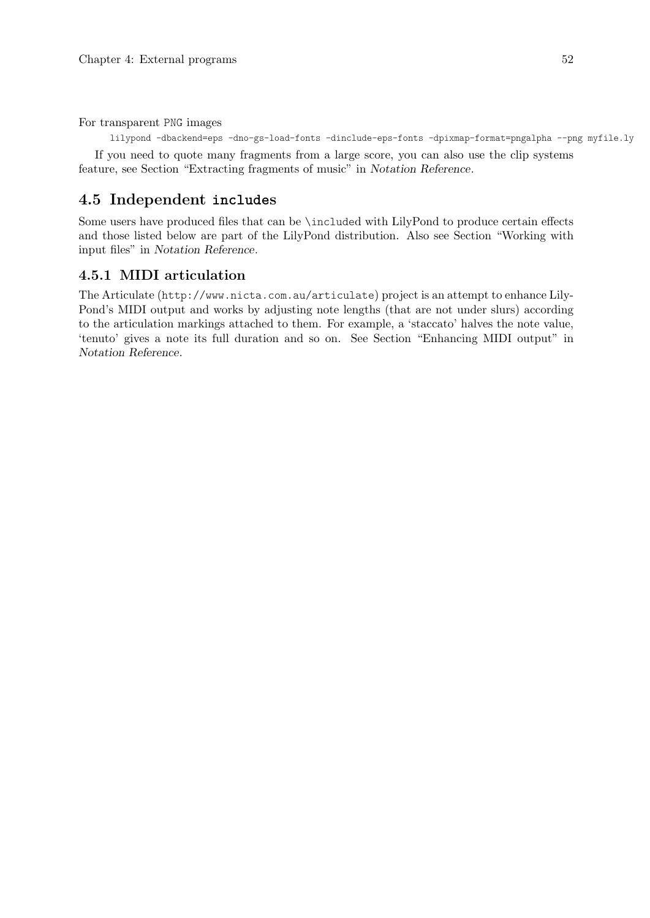For transparent PNG images

lilypond -dbackend=eps -dno-gs-load-fonts -dinclude-eps-fonts -dpixmap-format=pngalpha --png myfile.ly

If you need to quote many fragments from a large score, you can also use the clip systems feature, see Section "Extracting fragments of music" in Notation Reference.

## 4.5 Independent **include**s

Some users have produced files that can be \included with LilyPond to produce certain effects and those listed below are part of the LilyPond distribution. Also see Section "Working with input files" in Notation Reference.

## 4.5.1 MIDI articulation

The Articulate (<http://www.nicta.com.au/articulate>) project is an attempt to enhance Lily-Pond's MIDI output and works by adjusting note lengths (that are not under slurs) according to the articulation markings attached to them. For example, a 'staccato' halves the note value, 'tenuto' gives a note its full duration and so on. See Section "Enhancing MIDI output" in Notation Reference.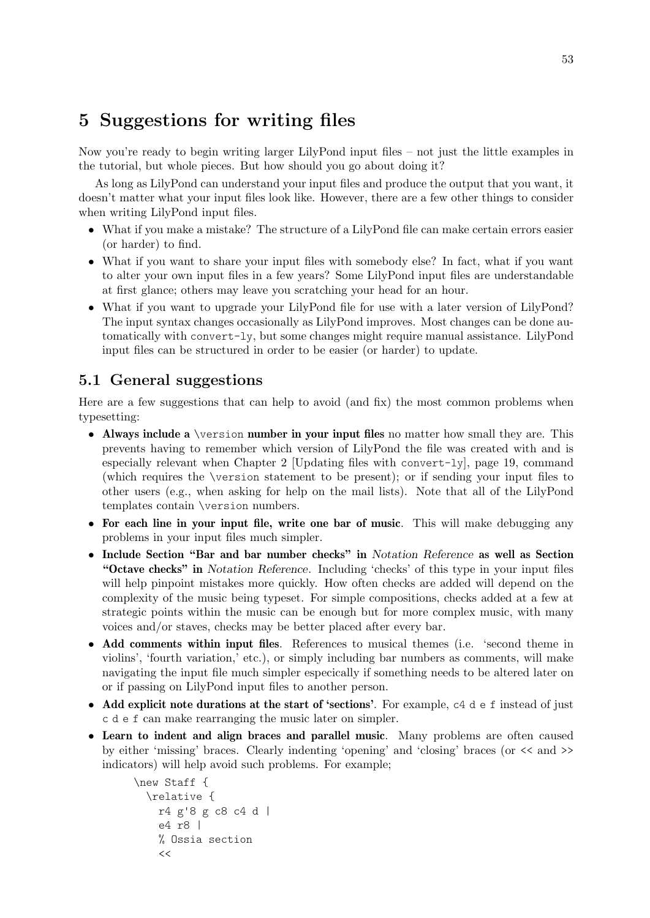# 5 Suggestions for writing files

Now you're ready to begin writing larger LilyPond input files  $-$  not just the little examples in the tutorial, but whole pieces. But how should you go about doing it?

As long as LilyPond can understand your input files and produce the output that you want, it doesn't matter what your input files look like. However, there are a few other things to consider when writing LilyPond input files.

- What if you make a mistake? The structure of a LilyPond file can make certain errors easier (or harder) to find.
- What if you want to share your input files with somebody else? In fact, what if you want to alter your own input files in a few years? Some LilyPond input files are understandable at first glance; others may leave you scratching your head for an hour.
- What if you want to upgrade your LilyPond file for use with a later version of LilyPond? The input syntax changes occasionally as LilyPond improves. Most changes can be done automatically with convert-ly, but some changes might require manual assistance. LilyPond input files can be structured in order to be easier (or harder) to update.

## 5.1 General suggestions

Here are a few suggestions that can help to avoid (and fix) the most common problems when typesetting:

- Always include a \version number in your input files no matter how small they are. This prevents having to remember which version of LilyPond the file was created with and is especially relevant when [Chapter 2 \[Updating files with](#page-21-0) convert-ly], page 19, command (which requires the \version statement to be present); or if sending your input files to other users (e.g., when asking for help on the mail lists). Note that all of the LilyPond templates contain \version numbers.
- For each line in your input file, write one bar of music. This will make debugging any problems in your input files much simpler.
- Include Section "Bar and bar number checks" in Notation Reference as well as Section "Octave checks" in Notation Reference. Including 'checks' of this type in your input files will help pinpoint mistakes more quickly. How often checks are added will depend on the complexity of the music being typeset. For simple compositions, checks added at a few at strategic points within the music can be enough but for more complex music, with many voices and/or staves, checks may be better placed after every bar.
- Add comments within input files. References to musical themes (i.e. 'second theme in violins', 'fourth variation,' etc.), or simply including bar numbers as comments, will make navigating the input file much simpler especically if something needs to be altered later on or if passing on LilyPond input files to another person.
- Add explicit note durations at the start of 'sections'. For example,  $c4 d e f$  instead of just c d e f can make rearranging the music later on simpler.
- Learn to indent and align braces and parallel music. Many problems are often caused by either 'missing' braces. Clearly indenting 'opening' and 'closing' braces (or << and >> indicators) will help avoid such problems. For example;

```
\new Staff {
  \relative {
   r4 g'8 g c8 c4 d |
    e4 r8 |
    % Ossia section
    <<
```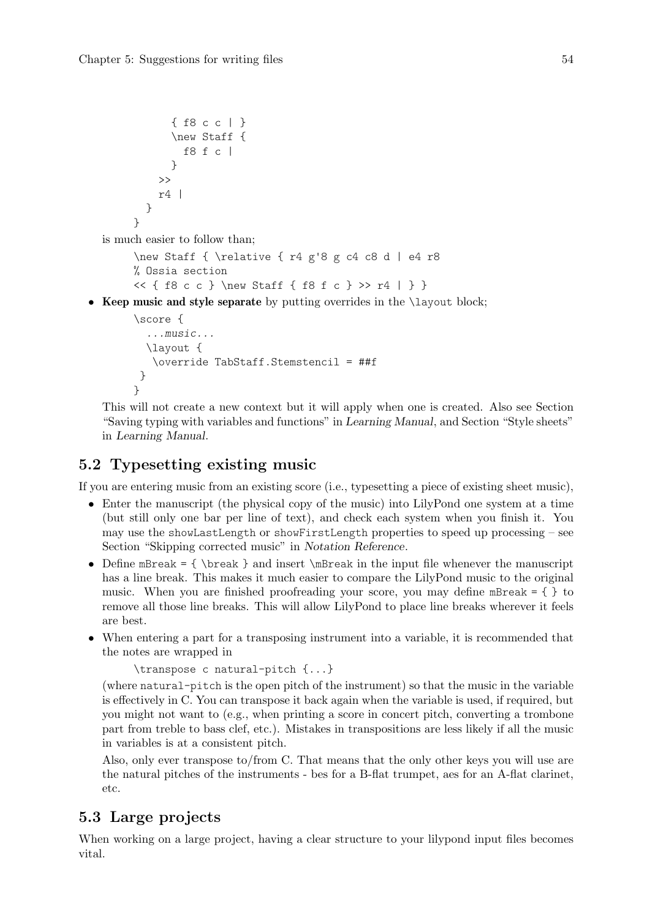```
{ f8 c c | }
              \new Staff {
                f8 f c |
              }
            >>
            r4 |
         }
       }
  is much easier to follow than;
       \new Staff { \relative { r4 g'8 g c4 c8 d | e4 r8
       % Ossia section
       << { f8 c c } \new Staff { f8 f c } >> r4 | } }
• Keep music and style separate by putting overrides in the \layout block;
       \score {
          ...music...
          \layout {
           \override TabStaff.Stemstencil = ##f
        }
       }
```
This will not create a new context but it will apply when one is created. Also see Section "Saving typing with variables and functions" in Learning Manual, and Section "Style sheets" in Learning Manual.

## 5.2 Typesetting existing music

If you are entering music from an existing score (i.e., typesetting a piece of existing sheet music),

- Enter the manuscript (the physical copy of the music) into LilyPond one system at a time (but still only one bar per line of text), and check each system when you finish it. You may use the showLastLength or showFirstLength properties to speed up processing – see Section "Skipping corrected music" in Notation Reference.
- Define mBreak = { \break } and insert \mBreak in the input file whenever the manuscript has a line break. This makes it much easier to compare the LilyPond music to the original music. When you are finished proofreading your score, you may define mBreak  $= \{\}$  to remove all those line breaks. This will allow LilyPond to place line breaks wherever it feels are best.
- When entering a part for a transposing instrument into a variable, it is recommended that the notes are wrapped in

```
\transpose c natural-pitch {...}
```
(where natural-pitch is the open pitch of the instrument) so that the music in the variable is effectively in C. You can transpose it back again when the variable is used, if required, but you might not want to (e.g., when printing a score in concert pitch, converting a trombone part from treble to bass clef, etc.). Mistakes in transpositions are less likely if all the music in variables is at a consistent pitch.

Also, only ever transpose to/from C. That means that the only other keys you will use are the natural pitches of the instruments - bes for a B-flat trumpet, aes for an A-flat clarinet, etc.

## 5.3 Large projects

When working on a large project, having a clear structure to your lilypond input files becomes vital.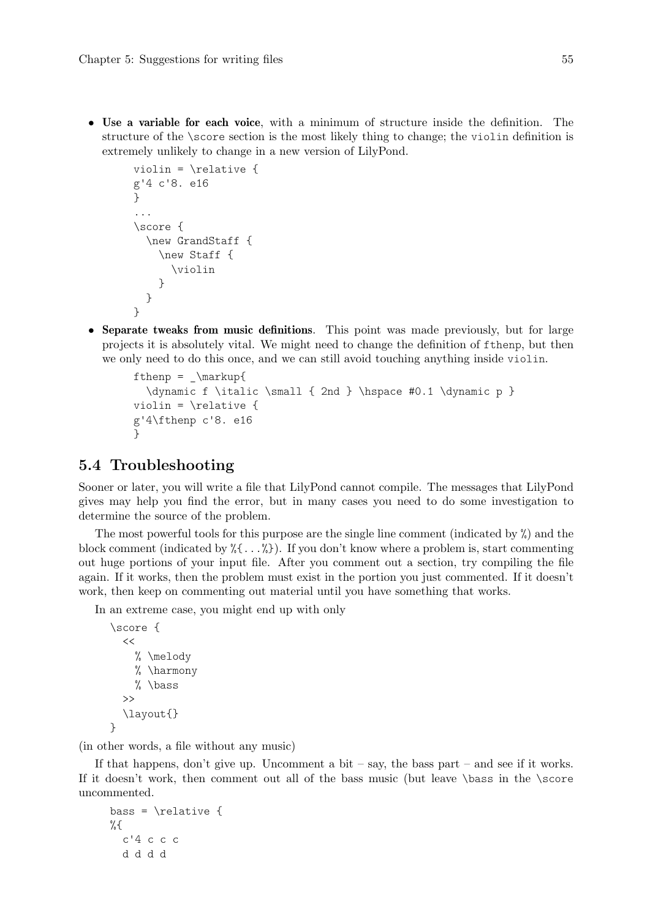• Use a variable for each voice, with a minimum of structure inside the definition. The structure of the \score section is the most likely thing to change; the violin definition is extremely unlikely to change in a new version of LilyPond.

```
violin = \relative {
g'4 c'8. e16
}
...
\score {
  \new GrandStaff {
    \new Staff {
      \violin
    }
  }
}
```
• Separate tweaks from music definitions. This point was made previously, but for large projects it is absolutely vital. We might need to change the definition of fthenp, but then we only need to do this once, and we can still avoid touching anything inside violin.

```
fthenp = \mathrm{maxupp}\{\dynamic f \italic \small { 2nd } \hspace #0.1 \dynamic p }
violin = \relax{\text{relative}} {
g'4\fthenp c'8. e16
}
```
## 5.4 Troubleshooting

Sooner or later, you will write a file that LilyPond cannot compile. The messages that LilyPond gives may help you find the error, but in many cases you need to do some investigation to determine the source of the problem.

The most powerful tools for this purpose are the single line comment (indicated by %) and the block comment (indicated by %{...%}). If you don't know where a problem is, start commenting out huge portions of your input file. After you comment out a section, try compiling the file again. If it works, then the problem must exist in the portion you just commented. If it doesn't work, then keep on commenting out material until you have something that works.

In an extreme case, you might end up with only

```
\score {
  <<% \melody
     % \harmony
     % \bass
  \rightarrow\layout{}
\lambda
```
(in other words, a file without any music)

If that happens, don't give up. Uncomment a bit – say, the bass part – and see if it works. If it doesn't work, then comment out all of the bass music (but leave \bass in the \score uncommented.

```
bass = \relaxpoonleft%{
  c'4 c c c
  d d d d
```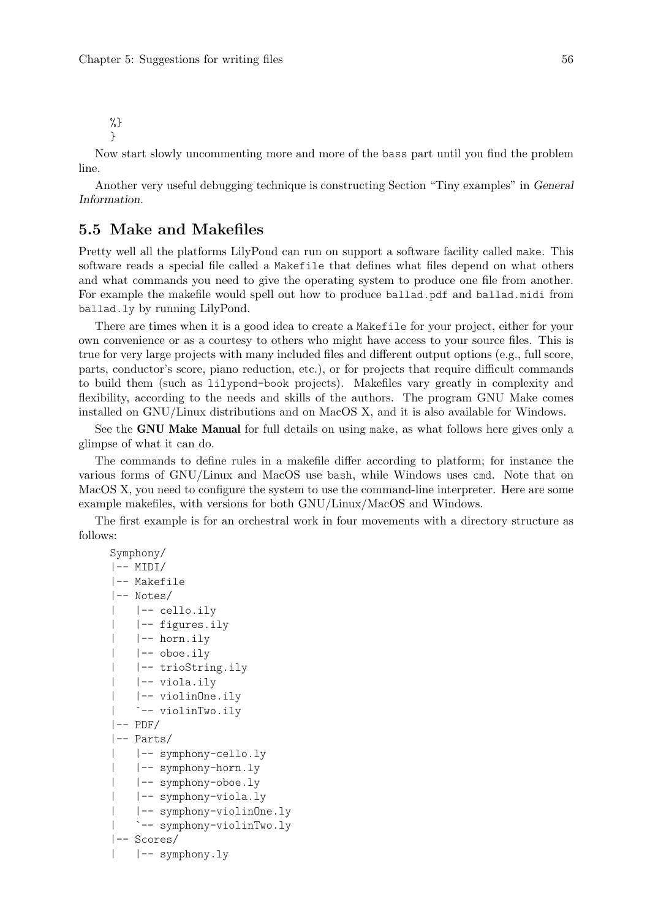%} }

Now start slowly uncommenting more and more of the bass part until you find the problem line.

Another very useful debugging technique is constructing Section "Tiny examples" in General Information.

## 5.5 Make and Makefiles

Pretty well all the platforms LilyPond can run on support a software facility called make. This software reads a special file called a Makefile that defines what files depend on what others and what commands you need to give the operating system to produce one file from another. For example the makefile would spell out how to produce ballad.pdf and ballad.midi from ballad.ly by running LilyPond.

There are times when it is a good idea to create a Makefile for your project, either for your own convenience or as a courtesy to others who might have access to your source files. This is true for very large projects with many included files and different output options (e.g., full score, parts, conductor's score, piano reduction, etc.), or for projects that require difficult commands to build them (such as lilypond-book projects). Makefiles vary greatly in complexity and flexibility, according to the needs and skills of the authors. The program GNU Make comes installed on GNU/Linux distributions and on MacOS X, and it is also available for Windows.

See the GNU Make Manual for full details on using make, as what follows here gives only a glimpse of what it can do.

The commands to define rules in a makefile differ according to platform; for instance the various forms of GNU/Linux and MacOS use bash, while Windows uses cmd. Note that on MacOS X, you need to configure the system to use the command-line interpreter. Here are some example makefiles, with versions for both GNU/Linux/MacOS and Windows.

The first example is for an orchestral work in four movements with a directory structure as follows:

```
Symphony/
|-- MIDI/
|-- Makefile
|-- Notes/
| |-- cello.ily
| |-- figures.ily
| |-- horn.ily
| |-- oboe.ily
| |-- trioString.ily
| |-- viola.ily
| |-- violinOne.ily
| `-- violinTwo.ily
|-- PDF/
|-- Parts/
| |-- symphony-cello.ly
| |-- symphony-horn.ly
| |-- symphony-oboe.ly
| |-- symphony-viola.ly
| |-- symphony-violinOne.ly
| `-- symphony-violinTwo.ly
|-- Scores/
  |-- symphony.ly
```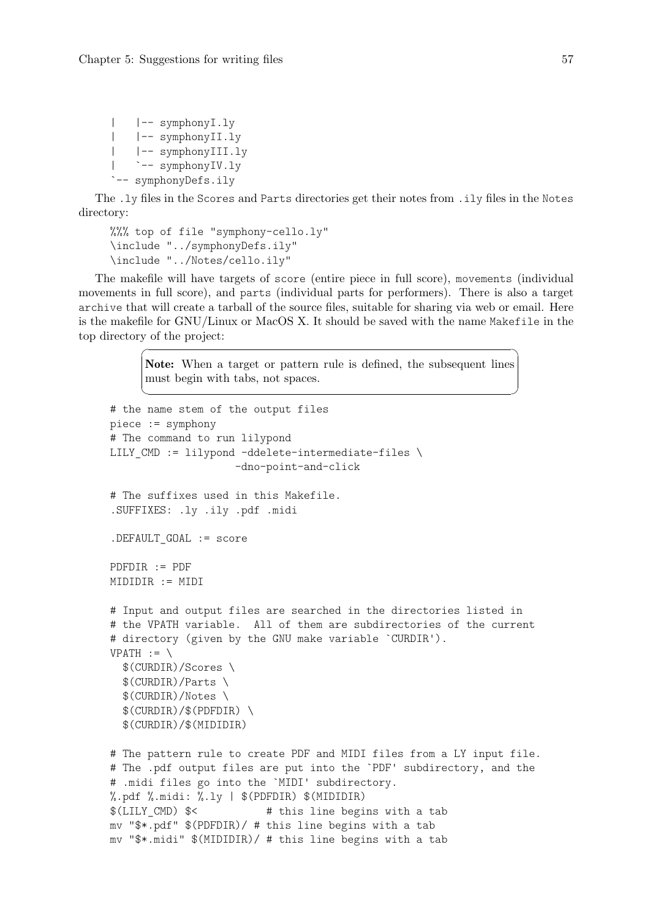```
| |-- symphonyI.ly
| |-- symphonyII.ly
| |-- symphonyIII.ly
   | `-- symphonyIV.ly
`-- symphonyDefs.ily
```
The .ly files in the Scores and Parts directories get their notes from .ily files in the Notes directory:

```
%%% top of file "symphony-cello.ly"
\include "../symphonyDefs.ily"
\include "../Notes/cello.ily"
```
The makefile will have targets of score (entire piece in full score), movements (individual movements in full score), and parts (individual parts for performers). There is also a target archive that will create a tarball of the source files, suitable for sharing via web or email. Here is the makefile for GNU/Linux or MacOS X. It should be saved with the name Makefile in the top directory of the project:

> Note: When a target or pattern rule is defined, the subsequent lines must begin with tabs, not spaces.

 $\sqrt{a^2 + b^2}$ 

 $\overline{\phantom{a}}$ 

```
# the name stem of the output files
piece := symphony
# The command to run lilypond
LILY CMD := lilypond -ddelete-intermediate-files \setminus-dno-point-and-click
# The suffixes used in this Makefile.
.SUFFIXES: .ly .ily .pdf .midi
.DEFAULT_GOAL := score
PDFDIR := PDF
MIDIDIR := MIDI
# Input and output files are searched in the directories listed in
# the VPATH variable. All of them are subdirectories of the current
# directory (given by the GNU make variable `CURDIR').
VPATH := \setminus$(CURDIR)/Scores \
  $(CURDIR)/Parts \
  $(CURDIR)/Notes \
  $(CURDIR)/$(PDFDIR) \
  $(CURDIR)/$(MIDIDIR)
# The pattern rule to create PDF and MIDI files from a LY input file.
# The .pdf output files are put into the `PDF' subdirectory, and the
# .midi files go into the `MIDI' subdirectory.
\%.pdf \%.midi: \%.ly | \$(PDFDIR) $(MIDIDIR)$(LILY_CMD) $< # this line begins with a tab
mv "$*.pdf" $(PDFDIR)/ # this line begins with a tab
mv "$*.midi" $(MIDIDIR)/ # this line begins with a tab
```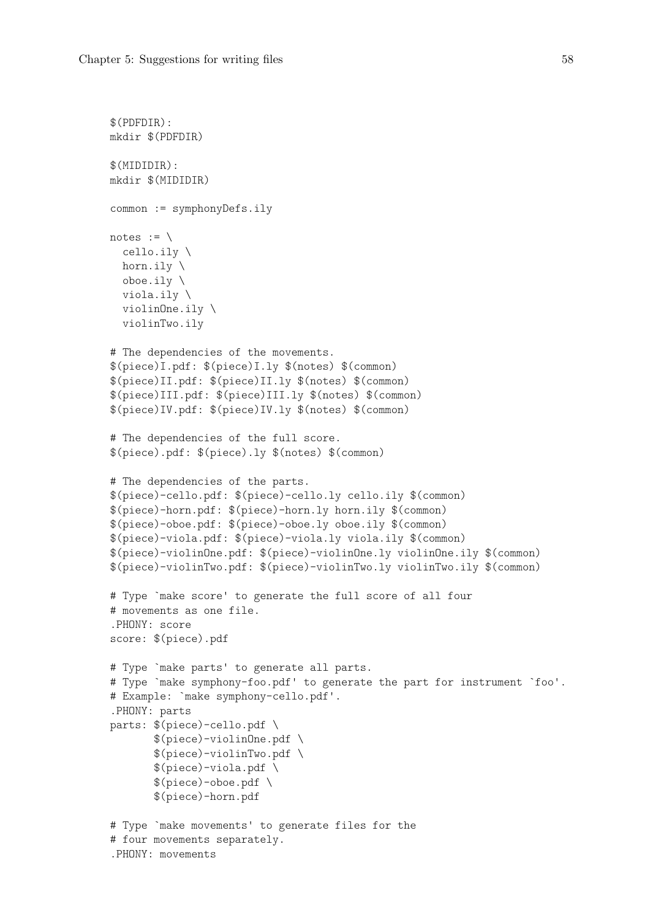```
$(PDFDIR):
mkdir $(PDFDIR)
$(MIDIDIR):
mkdir $(MIDIDIR)
common := symphonyDefs.ily
notes := \setminuscello.ily \
  horn.ily \
  oboe.ily \
  viola.ily \
  violinOne.ily \
  violinTwo.ily
# The dependencies of the movements.
$(piece)I.pdf: $(piece)I.ly $(notes) $(common)
$(piece)II.pdf: $(piece)II.ly $(notes) $(common)
$(piece)III.pdf: $(piece)III.ly $(notes) $(common)
$(piece)IV.pdf: $(piece)IV.ly $(notes) $(common)
# The dependencies of the full score.
$(piece).pdf: $(piece).ly $(notes) $(common)
# The dependencies of the parts.
$(piece)-cello.pdf: $(piece)-cello.ly cello.ily $(common)
$(piece)-horn.pdf: $(piece)-horn.ly horn.ily $(common)
$(piece)-oboe.pdf: $(piece)-oboe.ly oboe.ily $(common)
$(piece)-viola.pdf: $(piece)-viola.ly viola.ily $(common)
$(piece)-violinOne.pdf: $(piece)-violinOne.ly violinOne.ily $(common)
$(piece)-violinTwo.pdf: $(piece)-violinTwo.ly violinTwo.ily $(common)
# Type `make score' to generate the full score of all four
# movements as one file.
.PHONY: score
score: $(piece).pdf
# Type `make parts' to generate all parts.
# Type `make symphony-foo.pdf' to generate the part for instrument `foo'.
# Example: `make symphony-cello.pdf'.
.PHONY: parts
parts: $(piece)-cello.pdf \
       $(piece)-violinOne.pdf \
       $(piece)-violinTwo.pdf \
       $(piece)-viola.pdf \
       $(piece)-oboe.pdf$(piece)-horn.pdf
# Type `make movements' to generate files for the
# four movements separately.
.PHONY: movements
```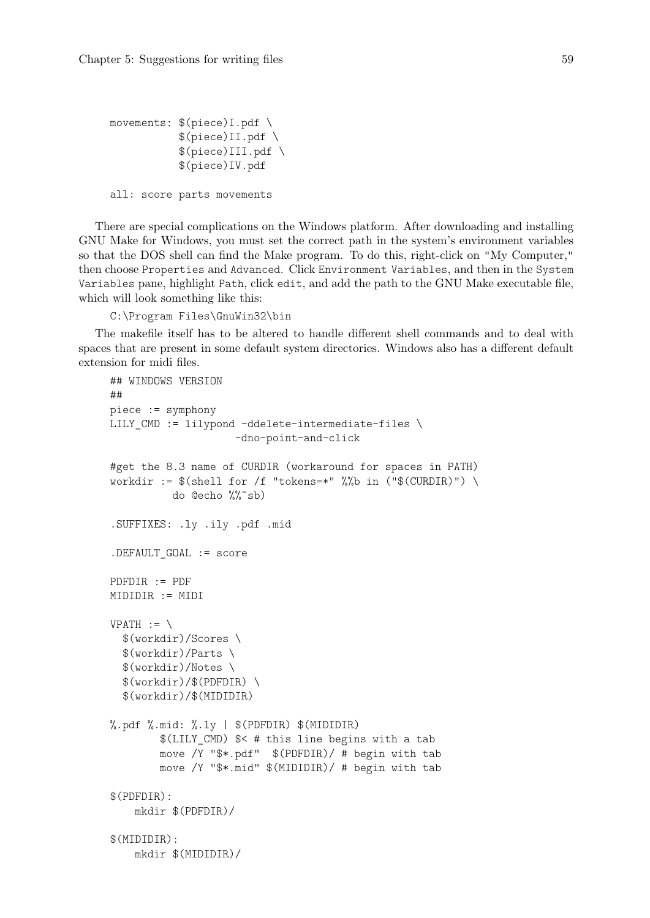```
movements: $(piece)I.pdf \
           $(piece)II.pdf \
           $(piece)III.pdf \
           $(piece)IV.pdf
all: score parts movements
```
There are special complications on the Windows platform. After downloading and installing GNU Make for Windows, you must set the correct path in the system's environment variables so that the DOS shell can find the Make program. To do this, right-click on "My Computer," then choose Properties and Advanced. Click Environment Variables, and then in the System Variables pane, highlight Path, click edit, and add the path to the GNU Make executable file, which will look something like this:

C:\Program Files\GnuWin32\bin

The makefile itself has to be altered to handle different shell commands and to deal with spaces that are present in some default system directories. Windows also has a different default extension for midi files.

```
## WINDOWS VERSION
##
piece := symphony
LILY_CMD := lilypond -ddelete-intermediate-files \
                    -dno-point-and-click
#get the 8.3 name of CURDIR (workaround for spaces in PATH)
workdir := $(shell for /f "tokens=*" % "hench in ("$(CURDIR)") \ \do @echo %%˜sb)
.SUFFIXES: .ly .ily .pdf .mid
.DEFAULT_GOAL := score
PDFDIR := PDF
MIDIDIR := MIDI
VPATH := \setminus$(workdir)/Scores \
  $(workdir)/Parts \
  $(workdir)/Notes \
  $(workdir)/$(PDFDIR) \
  $(workdir)/$(MIDIDIR)
\%.pdf \%.mid: \%.ly | \$(PDFDIR) $(MIDIDIR)$(LILY_CMD) $< # this line begins with a tab
        move /Y "$*.pdf" $(PDFDIR)/ # begin with tab
        move /Y "$*.mid" $(MIDIDIR)/ # begin with tab
$(PDFDIR):
    mkdir $(PDFDIR)/
$(MIDIDIR):
    mkdir $(MIDIDIR)/
```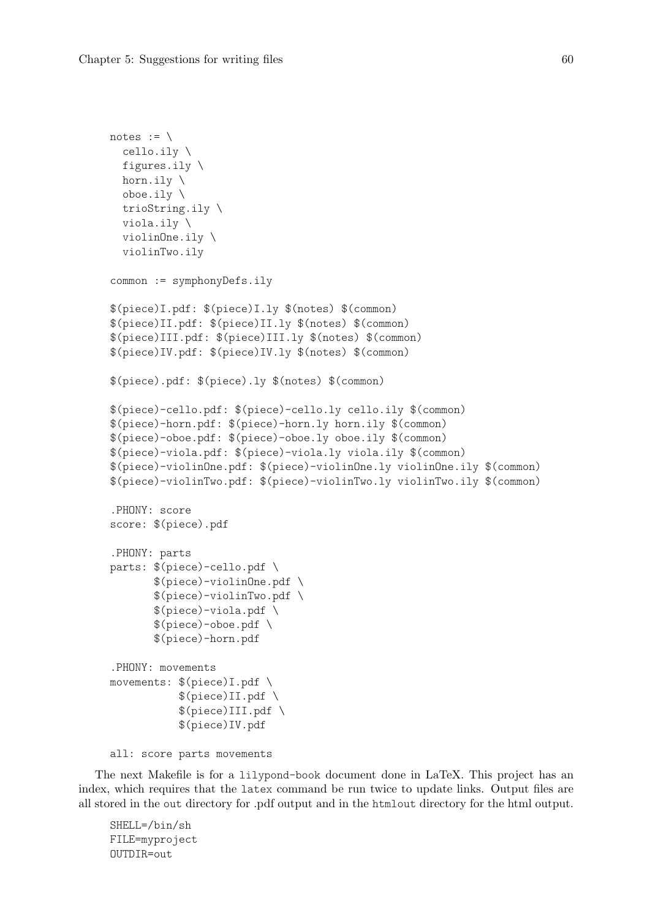```
notes := \setminuscello.ily \
  figures.ily \
  horn.ily \
  oboe.ily \
  trioString.ily \
  viola.ily \
  violinOne.ily \
  violinTwo.ily
common := symphonyDefs.ily
$(piece)I.pdf: $(piece)I.ly $(notes) $(common)
$(piece)II.pdf: $(piece)II.ly $(notes) $(common)
$(piece)III.pdf: $(piece)III.ly $(notes) $(common)
$(piece)IV.pdf: $(piece)IV.ly $(notes) $(common)
$(piece).pdf: $(piece).ly $(notes) $(common)
$(piece)-cello.pdf: $(piece)-cello.ly cello.ily $(common)
$(piece)-horn.pdf: $(piece)-horn.ly horn.ily $(common)
$(piece)-oboe.pdf: $(piece)-oboe.ly oboe.ily $(common)
$(piece)-viola.pdf: $(piece)-viola.ly viola.ily $(common)
$(piece)-violinOne.pdf: $(piece)-violinOne.ly violinOne.ily $(common)
$(piece)-violinTwo.pdf: $(piece)-violinTwo.ly violinTwo.ily $(common)
.PHONY: score
score: $(piece).pdf
.PHONY: parts
parts: $(piece)-cello.pdf \
       $(piece)-violinOne.pdf \
       $(piece)-violinTwo.pdf \
       $(piece)-viola.pdf \
       $(piece)-oboe.pdf \
       $(piece)-horn.pdf
.PHONY: movements
movements: $(piece)I.pdf \
           $(piece)II.pdf \
           $(piece)III.pdf$(piece)IV.pdf
```

```
all: score parts movements
```
The next Makefile is for a lilypond-book document done in LaTeX. This project has an index, which requires that the latex command be run twice to update links. Output files are all stored in the out directory for .pdf output and in the htmlout directory for the html output.

SHELL=/bin/sh FILE=myproject OUTDIR=out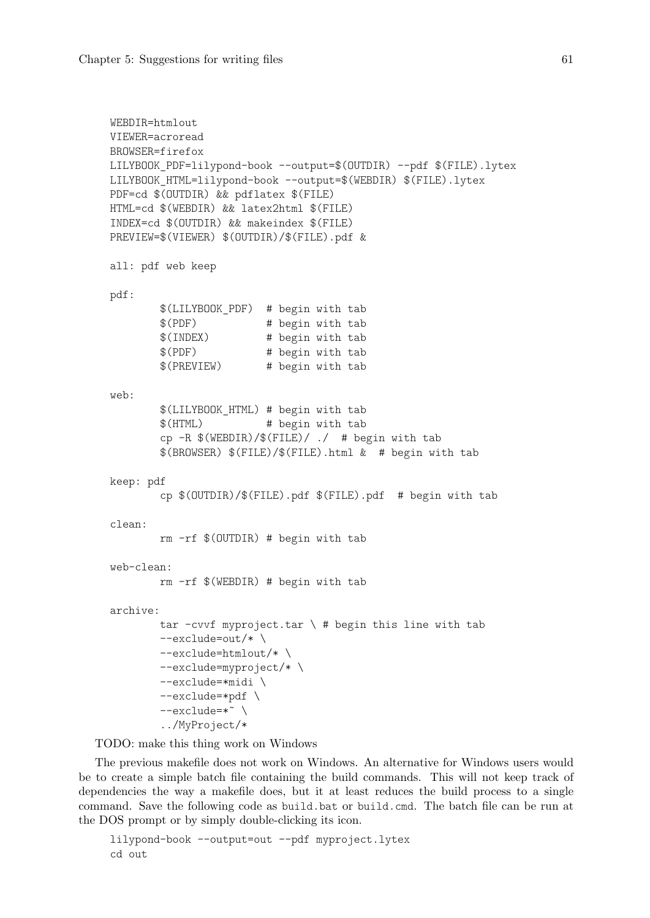```
WEBDIR=htmlout
VIEWER=acroread
BROWSER=firefox
LILYBOOK_PDF=lilypond-book --output=$(OUTDIR) --pdf $(FILE).lytex
LILYBOOK_HTML=lilypond-book --output=$(WEBDIR) $(FILE).lytex
PDF=cd $(OUTDIR) && pdflatex $(FILE)
HTML=cd $(WEBDIR) && latex2html $(FILE)
INDEX=cd $(OUTDIR) && makeindex $(FILE)
PREVIEW=$(VIEWER) $(OUTDIR)/$(FILE).pdf &
all: pdf web keep
pdf:
        $(LILYBOOK_PDF) # begin with tab
       $(PDF) # begin with tab
       $(INDEX) # begin with tab
       $(PDF) # begin with tab
        $(PREVIEW) # begin with tab
web:
       $(LILYBOOK_HTML) # begin with tab
       $(HTML) # begin with tab
       cp -R \$(WEBDIR)/$(FILE)/./ # begin with tab
        $(BROWSER) $(FILE)/$(FILE).html & # begin with tab
keep: pdf
       cp $(OUTDIR)/$(FILE).pdf $(FILE).pdf # begin with tab
clean:
       rm -rf $(OUTDIR) # begin with tab
web-clean:
       rm -rf $(WEBDIR) # begin with tab
archive:
       tar -cvvf myproject.tar \langle # begin this line with tab
       --exclude=out/* \
       --exclude=htmlout/* \
        --exclude=myproject/* \
       --exclude=*midi \
        --exclude=*pdf \
        --exclude=*˜ \
        ../MyProject/*
```
TODO: make this thing work on Windows

The previous makefile does not work on Windows. An alternative for Windows users would be to create a simple batch file containing the build commands. This will not keep track of dependencies the way a makefile does, but it at least reduces the build process to a single command. Save the following code as build.bat or build.cmd. The batch file can be run at the DOS prompt or by simply double-clicking its icon.

lilypond-book --output=out --pdf myproject.lytex cd out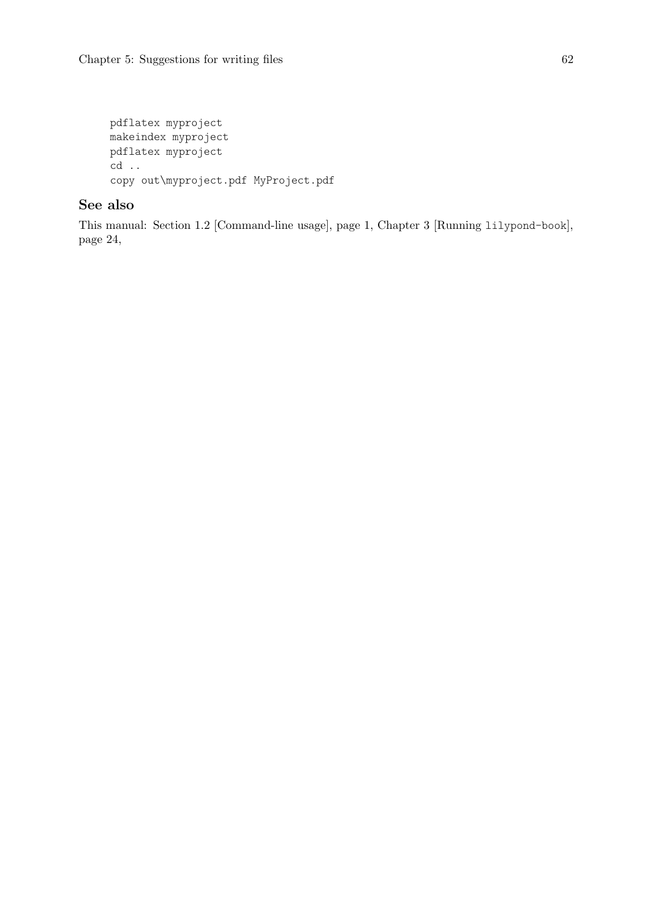```
pdflatex myproject
makeindex myproject
pdflatex myproject
cd ..
copy out\myproject.pdf MyProject.pdf
```
## See also

This manual: [Section 1.2 \[Command-line usage\], page 1](#page-3-0), [Chapter 3 \[Running](#page-26-0) lilypond-book], [page 24,](#page-26-0)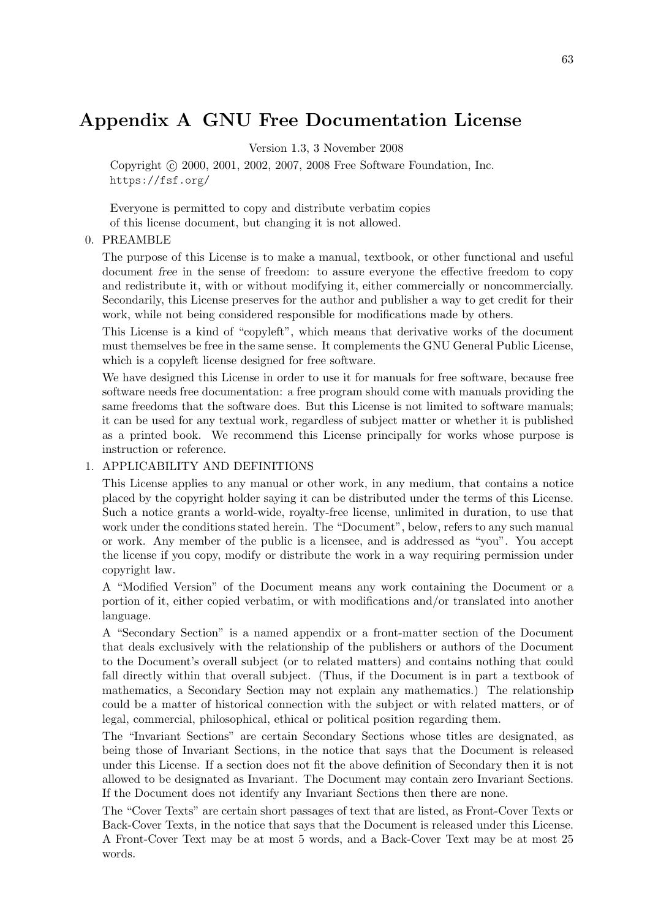# Appendix A GNU Free Documentation License

Version 1.3, 3 November 2008

Copyright (c) 2000, 2001, 2002, 2007, 2008 Free Software Foundation, Inc. <https://fsf.org/>

Everyone is permitted to copy and distribute verbatim copies of this license document, but changing it is not allowed.

#### 0. PREAMBLE

The purpose of this License is to make a manual, textbook, or other functional and useful document free in the sense of freedom: to assure everyone the effective freedom to copy and redistribute it, with or without modifying it, either commercially or noncommercially. Secondarily, this License preserves for the author and publisher a way to get credit for their work, while not being considered responsible for modifications made by others.

This License is a kind of "copyleft", which means that derivative works of the document must themselves be free in the same sense. It complements the GNU General Public License, which is a copyleft license designed for free software.

We have designed this License in order to use it for manuals for free software, because free software needs free documentation: a free program should come with manuals providing the same freedoms that the software does. But this License is not limited to software manuals; it can be used for any textual work, regardless of subject matter or whether it is published as a printed book. We recommend this License principally for works whose purpose is instruction or reference.

#### 1. APPLICABILITY AND DEFINITIONS

This License applies to any manual or other work, in any medium, that contains a notice placed by the copyright holder saying it can be distributed under the terms of this License. Such a notice grants a world-wide, royalty-free license, unlimited in duration, to use that work under the conditions stated herein. The "Document", below, refers to any such manual or work. Any member of the public is a licensee, and is addressed as "you". You accept the license if you copy, modify or distribute the work in a way requiring permission under copyright law.

A "Modified Version" of the Document means any work containing the Document or a portion of it, either copied verbatim, or with modifications and/or translated into another language.

A "Secondary Section" is a named appendix or a front-matter section of the Document that deals exclusively with the relationship of the publishers or authors of the Document to the Document's overall subject (or to related matters) and contains nothing that could fall directly within that overall subject. (Thus, if the Document is in part a textbook of mathematics, a Secondary Section may not explain any mathematics.) The relationship could be a matter of historical connection with the subject or with related matters, or of legal, commercial, philosophical, ethical or political position regarding them.

The "Invariant Sections" are certain Secondary Sections whose titles are designated, as being those of Invariant Sections, in the notice that says that the Document is released under this License. If a section does not fit the above definition of Secondary then it is not allowed to be designated as Invariant. The Document may contain zero Invariant Sections. If the Document does not identify any Invariant Sections then there are none.

The "Cover Texts" are certain short passages of text that are listed, as Front-Cover Texts or Back-Cover Texts, in the notice that says that the Document is released under this License. A Front-Cover Text may be at most 5 words, and a Back-Cover Text may be at most 25 words.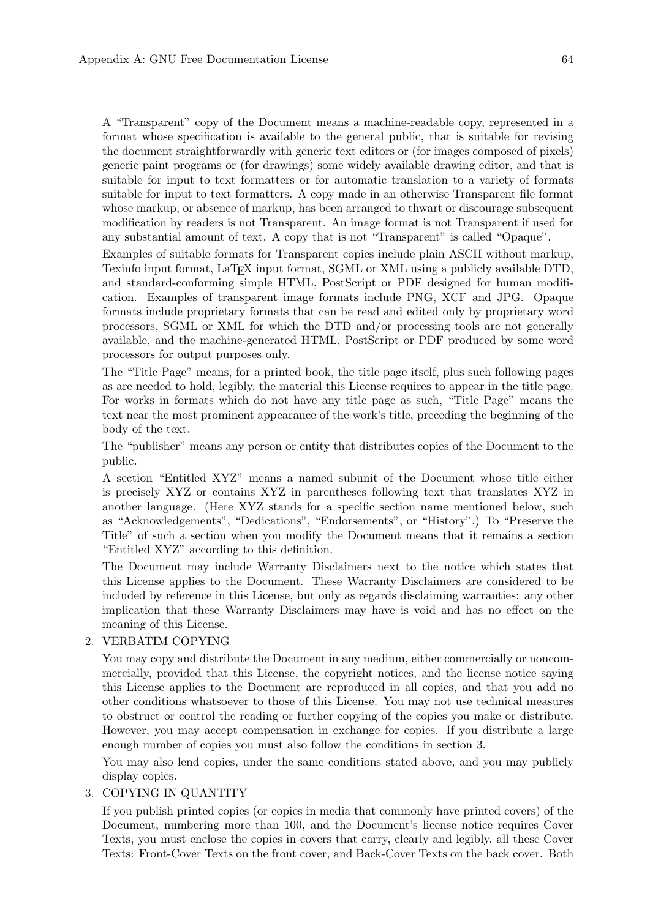A "Transparent" copy of the Document means a machine-readable copy, represented in a format whose specification is available to the general public, that is suitable for revising the document straightforwardly with generic text editors or (for images composed of pixels) generic paint programs or (for drawings) some widely available drawing editor, and that is suitable for input to text formatters or for automatic translation to a variety of formats suitable for input to text formatters. A copy made in an otherwise Transparent file format whose markup, or absence of markup, has been arranged to thwart or discourage subsequent modification by readers is not Transparent. An image format is not Transparent if used for any substantial amount of text. A copy that is not "Transparent" is called "Opaque".

Examples of suitable formats for Transparent copies include plain ASCII without markup, Texinfo input format, LaT<sub>E</sub>X input format, SGML or XML using a publicly available DTD, and standard-conforming simple HTML, PostScript or PDF designed for human modification. Examples of transparent image formats include PNG, XCF and JPG. Opaque formats include proprietary formats that can be read and edited only by proprietary word processors, SGML or XML for which the DTD and/or processing tools are not generally available, and the machine-generated HTML, PostScript or PDF produced by some word processors for output purposes only.

The "Title Page" means, for a printed book, the title page itself, plus such following pages as are needed to hold, legibly, the material this License requires to appear in the title page. For works in formats which do not have any title page as such, "Title Page" means the text near the most prominent appearance of the work's title, preceding the beginning of the body of the text.

The "publisher" means any person or entity that distributes copies of the Document to the public.

A section "Entitled XYZ" means a named subunit of the Document whose title either is precisely XYZ or contains XYZ in parentheses following text that translates XYZ in another language. (Here XYZ stands for a specific section name mentioned below, such as "Acknowledgements", "Dedications", "Endorsements", or "History".) To "Preserve the Title" of such a section when you modify the Document means that it remains a section "Entitled XYZ" according to this definition.

The Document may include Warranty Disclaimers next to the notice which states that this License applies to the Document. These Warranty Disclaimers are considered to be included by reference in this License, but only as regards disclaiming warranties: any other implication that these Warranty Disclaimers may have is void and has no effect on the meaning of this License.

#### 2. VERBATIM COPYING

You may copy and distribute the Document in any medium, either commercially or noncommercially, provided that this License, the copyright notices, and the license notice saying this License applies to the Document are reproduced in all copies, and that you add no other conditions whatsoever to those of this License. You may not use technical measures to obstruct or control the reading or further copying of the copies you make or distribute. However, you may accept compensation in exchange for copies. If you distribute a large enough number of copies you must also follow the conditions in section 3.

You may also lend copies, under the same conditions stated above, and you may publicly display copies.

### 3. COPYING IN QUANTITY

If you publish printed copies (or copies in media that commonly have printed covers) of the Document, numbering more than 100, and the Document's license notice requires Cover Texts, you must enclose the copies in covers that carry, clearly and legibly, all these Cover Texts: Front-Cover Texts on the front cover, and Back-Cover Texts on the back cover. Both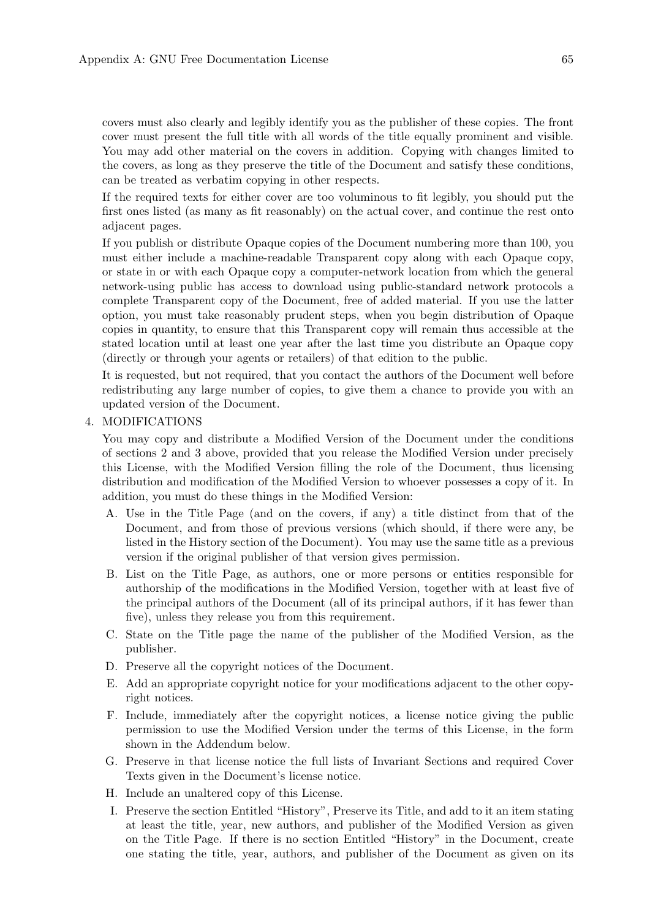covers must also clearly and legibly identify you as the publisher of these copies. The front cover must present the full title with all words of the title equally prominent and visible. You may add other material on the covers in addition. Copying with changes limited to the covers, as long as they preserve the title of the Document and satisfy these conditions, can be treated as verbatim copying in other respects.

If the required texts for either cover are too voluminous to fit legibly, you should put the first ones listed (as many as fit reasonably) on the actual cover, and continue the rest onto adjacent pages.

If you publish or distribute Opaque copies of the Document numbering more than 100, you must either include a machine-readable Transparent copy along with each Opaque copy, or state in or with each Opaque copy a computer-network location from which the general network-using public has access to download using public-standard network protocols a complete Transparent copy of the Document, free of added material. If you use the latter option, you must take reasonably prudent steps, when you begin distribution of Opaque copies in quantity, to ensure that this Transparent copy will remain thus accessible at the stated location until at least one year after the last time you distribute an Opaque copy (directly or through your agents or retailers) of that edition to the public.

It is requested, but not required, that you contact the authors of the Document well before redistributing any large number of copies, to give them a chance to provide you with an updated version of the Document.

#### 4. MODIFICATIONS

You may copy and distribute a Modified Version of the Document under the conditions of sections 2 and 3 above, provided that you release the Modified Version under precisely this License, with the Modified Version filling the role of the Document, thus licensing distribution and modification of the Modified Version to whoever possesses a copy of it. In addition, you must do these things in the Modified Version:

- A. Use in the Title Page (and on the covers, if any) a title distinct from that of the Document, and from those of previous versions (which should, if there were any, be listed in the History section of the Document). You may use the same title as a previous version if the original publisher of that version gives permission.
- B. List on the Title Page, as authors, one or more persons or entities responsible for authorship of the modifications in the Modified Version, together with at least five of the principal authors of the Document (all of its principal authors, if it has fewer than five), unless they release you from this requirement.
- C. State on the Title page the name of the publisher of the Modified Version, as the publisher.
- D. Preserve all the copyright notices of the Document.
- E. Add an appropriate copyright notice for your modifications adjacent to the other copyright notices.
- F. Include, immediately after the copyright notices, a license notice giving the public permission to use the Modified Version under the terms of this License, in the form shown in the Addendum below.
- G. Preserve in that license notice the full lists of Invariant Sections and required Cover Texts given in the Document's license notice.
- H. Include an unaltered copy of this License.
- I. Preserve the section Entitled "History", Preserve its Title, and add to it an item stating at least the title, year, new authors, and publisher of the Modified Version as given on the Title Page. If there is no section Entitled "History" in the Document, create one stating the title, year, authors, and publisher of the Document as given on its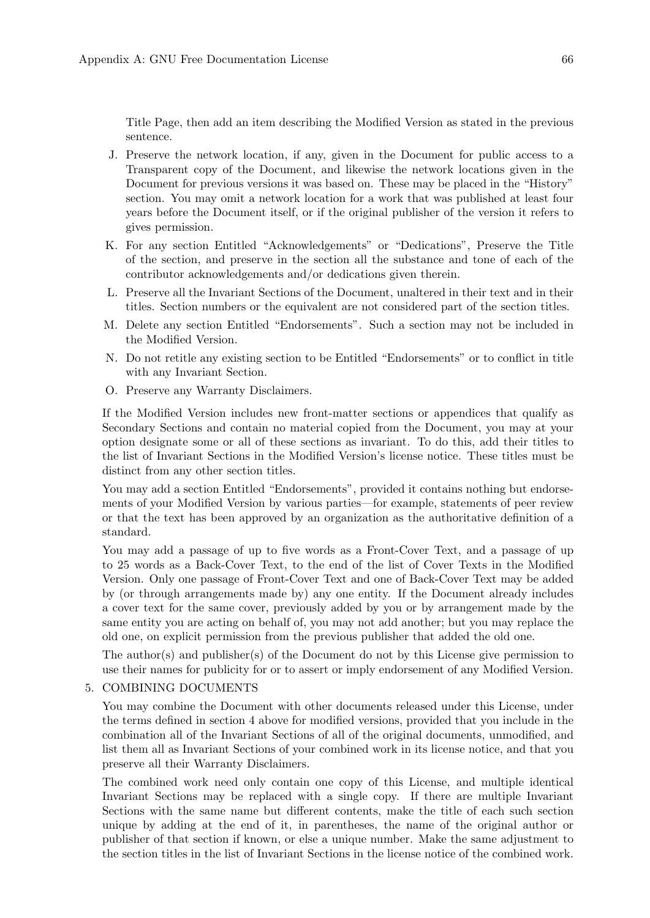Title Page, then add an item describing the Modified Version as stated in the previous sentence.

- J. Preserve the network location, if any, given in the Document for public access to a Transparent copy of the Document, and likewise the network locations given in the Document for previous versions it was based on. These may be placed in the "History" section. You may omit a network location for a work that was published at least four years before the Document itself, or if the original publisher of the version it refers to gives permission.
- K. For any section Entitled "Acknowledgements" or "Dedications", Preserve the Title of the section, and preserve in the section all the substance and tone of each of the contributor acknowledgements and/or dedications given therein.
- L. Preserve all the Invariant Sections of the Document, unaltered in their text and in their titles. Section numbers or the equivalent are not considered part of the section titles.
- M. Delete any section Entitled "Endorsements". Such a section may not be included in the Modified Version.
- N. Do not retitle any existing section to be Entitled "Endorsements" or to conflict in title with any Invariant Section.
- O. Preserve any Warranty Disclaimers.

If the Modified Version includes new front-matter sections or appendices that qualify as Secondary Sections and contain no material copied from the Document, you may at your option designate some or all of these sections as invariant. To do this, add their titles to the list of Invariant Sections in the Modified Version's license notice. These titles must be distinct from any other section titles.

You may add a section Entitled "Endorsements", provided it contains nothing but endorsements of your Modified Version by various parties—for example, statements of peer review or that the text has been approved by an organization as the authoritative definition of a standard.

You may add a passage of up to five words as a Front-Cover Text, and a passage of up to 25 words as a Back-Cover Text, to the end of the list of Cover Texts in the Modified Version. Only one passage of Front-Cover Text and one of Back-Cover Text may be added by (or through arrangements made by) any one entity. If the Document already includes a cover text for the same cover, previously added by you or by arrangement made by the same entity you are acting on behalf of, you may not add another; but you may replace the old one, on explicit permission from the previous publisher that added the old one.

The author(s) and publisher(s) of the Document do not by this License give permission to use their names for publicity for or to assert or imply endorsement of any Modified Version.

#### 5. COMBINING DOCUMENTS

You may combine the Document with other documents released under this License, under the terms defined in section 4 above for modified versions, provided that you include in the combination all of the Invariant Sections of all of the original documents, unmodified, and list them all as Invariant Sections of your combined work in its license notice, and that you preserve all their Warranty Disclaimers.

The combined work need only contain one copy of this License, and multiple identical Invariant Sections may be replaced with a single copy. If there are multiple Invariant Sections with the same name but different contents, make the title of each such section unique by adding at the end of it, in parentheses, the name of the original author or publisher of that section if known, or else a unique number. Make the same adjustment to the section titles in the list of Invariant Sections in the license notice of the combined work.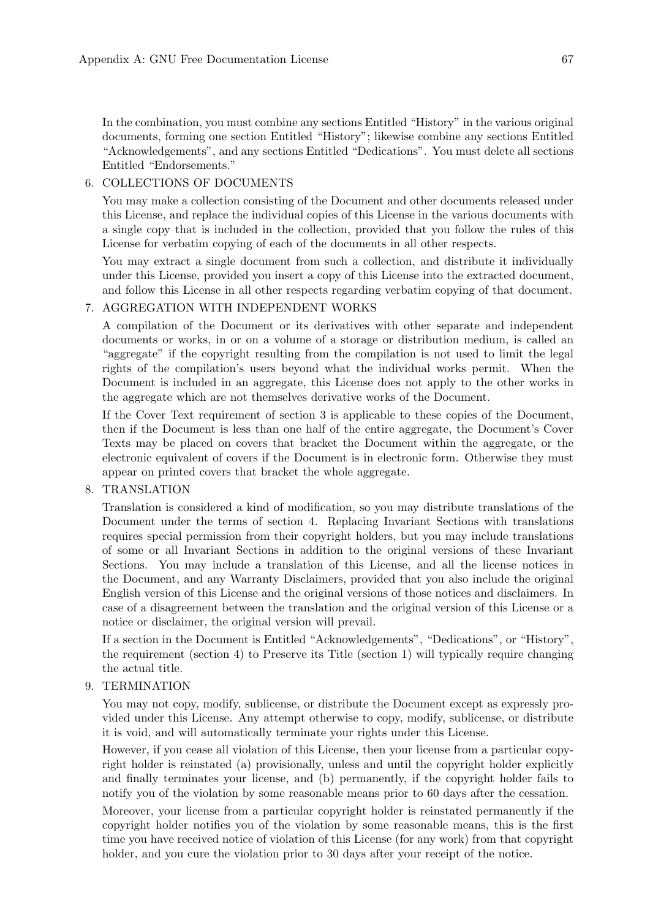In the combination, you must combine any sections Entitled "History" in the various original documents, forming one section Entitled "History"; likewise combine any sections Entitled "Acknowledgements", and any sections Entitled "Dedications". You must delete all sections Entitled "Endorsements."

#### 6. COLLECTIONS OF DOCUMENTS

You may make a collection consisting of the Document and other documents released under this License, and replace the individual copies of this License in the various documents with a single copy that is included in the collection, provided that you follow the rules of this License for verbatim copying of each of the documents in all other respects.

You may extract a single document from such a collection, and distribute it individually under this License, provided you insert a copy of this License into the extracted document, and follow this License in all other respects regarding verbatim copying of that document.

## 7. AGGREGATION WITH INDEPENDENT WORKS

A compilation of the Document or its derivatives with other separate and independent documents or works, in or on a volume of a storage or distribution medium, is called an "aggregate" if the copyright resulting from the compilation is not used to limit the legal rights of the compilation's users beyond what the individual works permit. When the Document is included in an aggregate, this License does not apply to the other works in the aggregate which are not themselves derivative works of the Document.

If the Cover Text requirement of section 3 is applicable to these copies of the Document, then if the Document is less than one half of the entire aggregate, the Document's Cover Texts may be placed on covers that bracket the Document within the aggregate, or the electronic equivalent of covers if the Document is in electronic form. Otherwise they must appear on printed covers that bracket the whole aggregate.

#### 8. TRANSLATION

Translation is considered a kind of modification, so you may distribute translations of the Document under the terms of section 4. Replacing Invariant Sections with translations requires special permission from their copyright holders, but you may include translations of some or all Invariant Sections in addition to the original versions of these Invariant Sections. You may include a translation of this License, and all the license notices in the Document, and any Warranty Disclaimers, provided that you also include the original English version of this License and the original versions of those notices and disclaimers. In case of a disagreement between the translation and the original version of this License or a notice or disclaimer, the original version will prevail.

If a section in the Document is Entitled "Acknowledgements", "Dedications", or "History", the requirement (section 4) to Preserve its Title (section 1) will typically require changing the actual title.

#### 9. TERMINATION

You may not copy, modify, sublicense, or distribute the Document except as expressly provided under this License. Any attempt otherwise to copy, modify, sublicense, or distribute it is void, and will automatically terminate your rights under this License.

However, if you cease all violation of this License, then your license from a particular copyright holder is reinstated (a) provisionally, unless and until the copyright holder explicitly and finally terminates your license, and (b) permanently, if the copyright holder fails to notify you of the violation by some reasonable means prior to 60 days after the cessation.

Moreover, your license from a particular copyright holder is reinstated permanently if the copyright holder notifies you of the violation by some reasonable means, this is the first time you have received notice of violation of this License (for any work) from that copyright holder, and you cure the violation prior to 30 days after your receipt of the notice.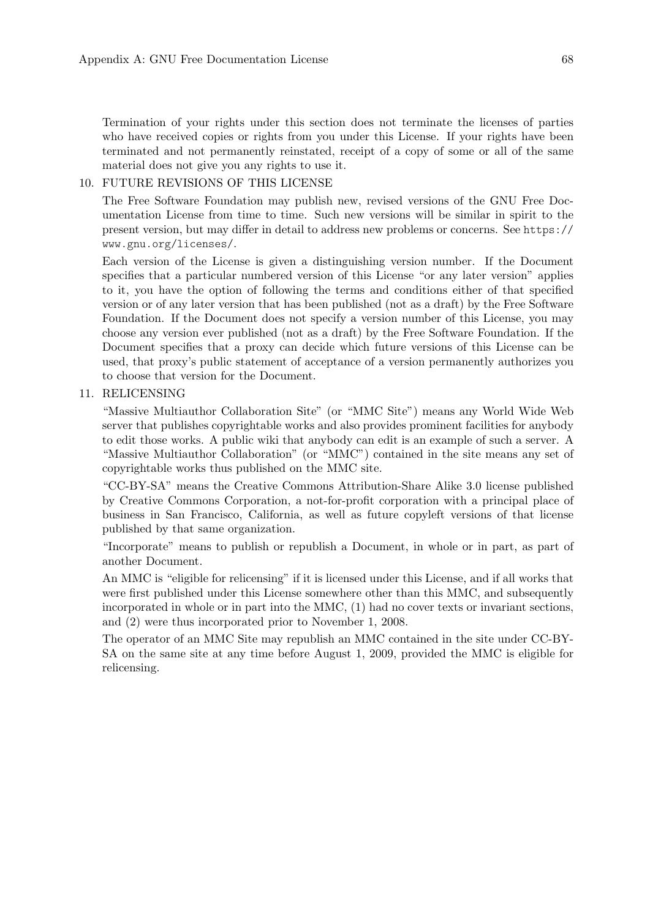Termination of your rights under this section does not terminate the licenses of parties who have received copies or rights from you under this License. If your rights have been terminated and not permanently reinstated, receipt of a copy of some or all of the same material does not give you any rights to use it.

#### 10. FUTURE REVISIONS OF THIS LICENSE

The Free Software Foundation may publish new, revised versions of the GNU Free Documentation License from time to time. Such new versions will be similar in spirit to the present version, but may differ in detail to address new problems or concerns. See [https://](https://www.gnu.org/licenses/) [www.gnu.org/licenses/](https://www.gnu.org/licenses/).

Each version of the License is given a distinguishing version number. If the Document specifies that a particular numbered version of this License "or any later version" applies to it, you have the option of following the terms and conditions either of that specified version or of any later version that has been published (not as a draft) by the Free Software Foundation. If the Document does not specify a version number of this License, you may choose any version ever published (not as a draft) by the Free Software Foundation. If the Document specifies that a proxy can decide which future versions of this License can be used, that proxy's public statement of acceptance of a version permanently authorizes you to choose that version for the Document.

#### 11. RELICENSING

"Massive Multiauthor Collaboration Site" (or "MMC Site") means any World Wide Web server that publishes copyrightable works and also provides prominent facilities for anybody to edit those works. A public wiki that anybody can edit is an example of such a server. A "Massive Multiauthor Collaboration" (or "MMC") contained in the site means any set of copyrightable works thus published on the MMC site.

"CC-BY-SA" means the Creative Commons Attribution-Share Alike 3.0 license published by Creative Commons Corporation, a not-for-profit corporation with a principal place of business in San Francisco, California, as well as future copyleft versions of that license published by that same organization.

"Incorporate" means to publish or republish a Document, in whole or in part, as part of another Document.

An MMC is "eligible for relicensing" if it is licensed under this License, and if all works that were first published under this License somewhere other than this MMC, and subsequently incorporated in whole or in part into the MMC, (1) had no cover texts or invariant sections, and (2) were thus incorporated prior to November 1, 2008.

The operator of an MMC Site may republish an MMC contained in the site under CC-BY-SA on the same site at any time before August 1, 2009, provided the MMC is eligible for relicensing.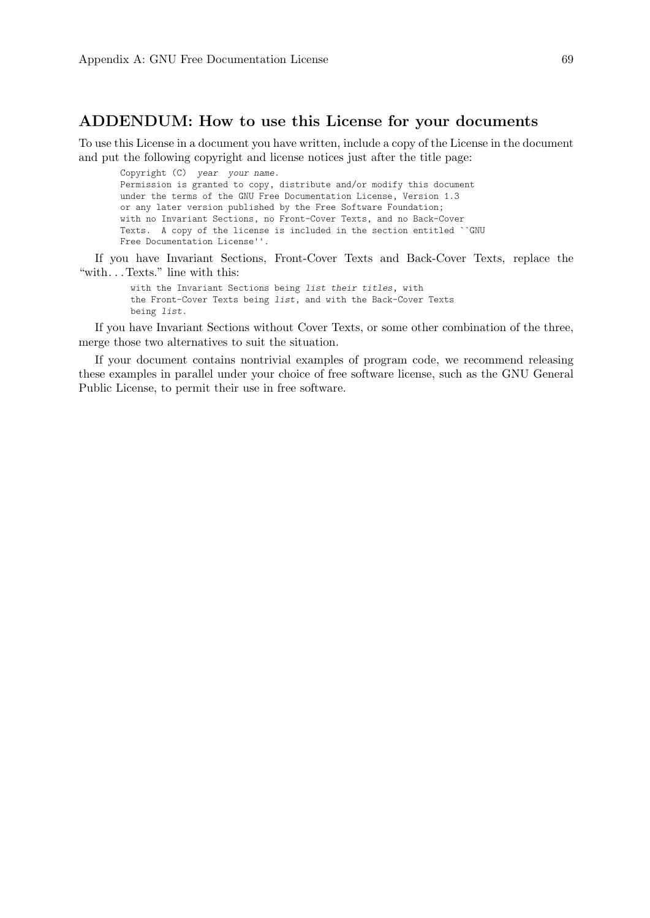### ADDENDUM: How to use this License for your documents

To use this License in a document you have written, include a copy of the License in the document and put the following copyright and license notices just after the title page:

Copyright (C) year your name. Permission is granted to copy, distribute and/or modify this document under the terms of the GNU Free Documentation License, Version 1.3 or any later version published by the Free Software Foundation; with no Invariant Sections, no Front-Cover Texts, and no Back-Cover Texts. A copy of the license is included in the section entitled ``GNU Free Documentation License''.

If you have Invariant Sections, Front-Cover Texts and Back-Cover Texts, replace the "with. . . Texts." line with this:

with the Invariant Sections being list their titles, with the Front-Cover Texts being list, and with the Back-Cover Texts being list.

If you have Invariant Sections without Cover Texts, or some other combination of the three, merge those two alternatives to suit the situation.

If your document contains nontrivial examples of program code, we recommend releasing these examples in parallel under your choice of free software license, such as the GNU General Public License, to permit their use in free software.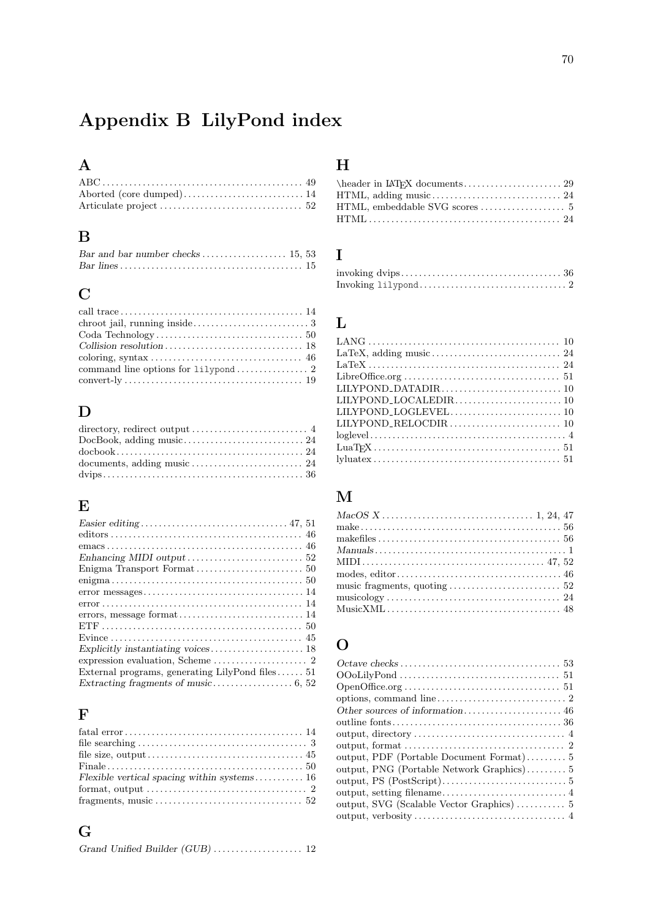# Appendix B LilyPond index

# A

| Aborted (core dumped) 14 |  |
|--------------------------|--|
|                          |  |

# B

# C

# D

| directory, redirect output $\dots\dots\dots\dots\dots\dots\dots\dots\dots$ |  |
|----------------------------------------------------------------------------|--|
|                                                                            |  |
|                                                                            |  |
|                                                                            |  |
|                                                                            |  |

### E

### F

| format, output $\dots \dots \dots \dots \dots \dots \dots \dots \dots \dots \dots \dots 2$ |  |
|--------------------------------------------------------------------------------------------|--|
|                                                                                            |  |

# G

# H

# I

### L

## M

# O

| output, format $\dots \dots \dots \dots \dots \dots \dots \dots \dots \dots \dots \dots$ |
|------------------------------------------------------------------------------------------|
|                                                                                          |
| output, PNG (Portable Network Graphics)5                                                 |
|                                                                                          |
|                                                                                          |
|                                                                                          |
|                                                                                          |
|                                                                                          |